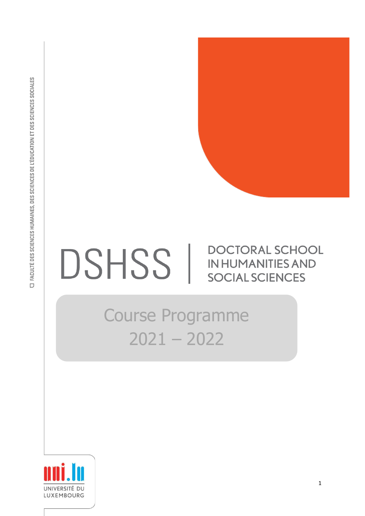

## DOCTORAL SCHOOL DSHSS | **IN HUMANITIES AND SOCIAL SCIENCES**

# Course Programme 2021 – 2022

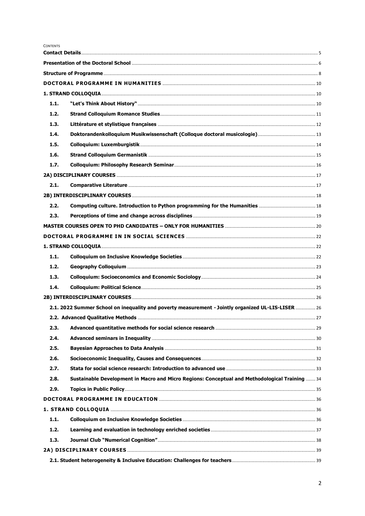CONTENTS

| 1.1. |                                                                                                    |  |  |
|------|----------------------------------------------------------------------------------------------------|--|--|
| 1.2. |                                                                                                    |  |  |
| 1.3. |                                                                                                    |  |  |
| 1.4. |                                                                                                    |  |  |
| 1.5. |                                                                                                    |  |  |
| 1.6. |                                                                                                    |  |  |
| 1.7. |                                                                                                    |  |  |
|      |                                                                                                    |  |  |
| 2.1. |                                                                                                    |  |  |
|      |                                                                                                    |  |  |
| 2.2. |                                                                                                    |  |  |
| 2.3. |                                                                                                    |  |  |
|      |                                                                                                    |  |  |
|      |                                                                                                    |  |  |
|      |                                                                                                    |  |  |
| 1.1. |                                                                                                    |  |  |
| 1.2. |                                                                                                    |  |  |
| 1.3. |                                                                                                    |  |  |
| 1.4. |                                                                                                    |  |  |
|      |                                                                                                    |  |  |
|      | 2.1. 2022 Summer School on inequality and poverty measurement - Jointly organized UL-LIS-LISER  26 |  |  |
|      |                                                                                                    |  |  |
| 2.3. |                                                                                                    |  |  |
| 2.4. |                                                                                                    |  |  |
| 2.5. |                                                                                                    |  |  |
| 2.6. |                                                                                                    |  |  |
| 2.7. |                                                                                                    |  |  |
| 2.8. | Sustainable Development in Macro and Micro Regions: Conceptual and Methodological Training  34     |  |  |
| 2.9. |                                                                                                    |  |  |
|      |                                                                                                    |  |  |
|      |                                                                                                    |  |  |
| 1.1. |                                                                                                    |  |  |
| 1.2. |                                                                                                    |  |  |
| 1.3. |                                                                                                    |  |  |
|      |                                                                                                    |  |  |
|      |                                                                                                    |  |  |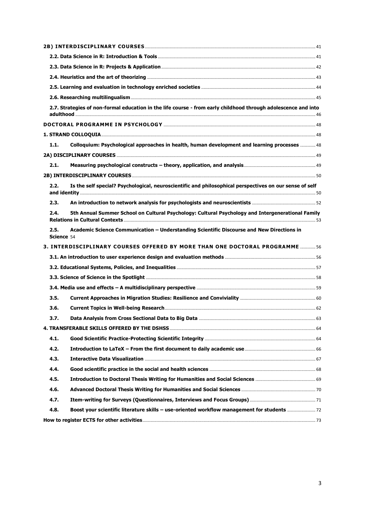|                    | 2.7. Strategies of non-formal education in the life course - from early childhood through adolescence and into |  |
|--------------------|----------------------------------------------------------------------------------------------------------------|--|
|                    |                                                                                                                |  |
|                    |                                                                                                                |  |
| 1.1.               | Colloquium: Psychological approaches in health, human development and learning processes  48                   |  |
|                    |                                                                                                                |  |
| 2.1.               |                                                                                                                |  |
|                    |                                                                                                                |  |
| 2.2.               | Is the self special? Psychological, neuroscientific and philosophical perspectives on our sense of self        |  |
| 2.3.               |                                                                                                                |  |
| 2.4.               | 5th Annual Summer School on Cultural Psychology: Cultural Psychology and Intergenerational Family              |  |
| 2.5.<br>Science 54 | Academic Science Communication - Understanding Scientific Discourse and New Directions in                      |  |
|                    | 3. INTERDISCIPLINARY COURSES OFFERED BY MORE THAN ONE DOCTORAL PROGRAMME 56                                    |  |
|                    |                                                                                                                |  |
|                    |                                                                                                                |  |
|                    |                                                                                                                |  |
|                    |                                                                                                                |  |
| 3.5.               |                                                                                                                |  |
| 3.6.               |                                                                                                                |  |
| 3.7.               |                                                                                                                |  |
|                    |                                                                                                                |  |
| 4.1.               |                                                                                                                |  |
| 4.2.               |                                                                                                                |  |
| 4.3.               |                                                                                                                |  |
| 4.4.               |                                                                                                                |  |
| 4.5.               |                                                                                                                |  |
| 4.6.               |                                                                                                                |  |
| 4.7.               |                                                                                                                |  |
| 4.8.               |                                                                                                                |  |
|                    |                                                                                                                |  |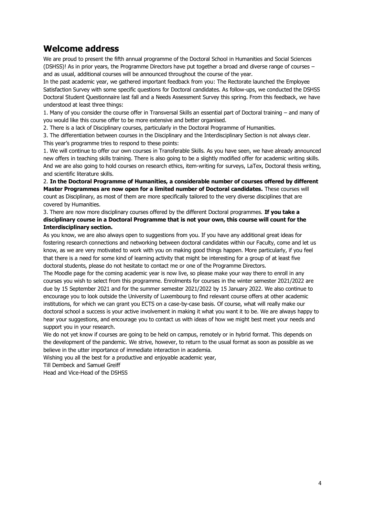### **Welcome address**

We are proud to present the fifth annual programme of the Doctoral School in Humanities and Social Sciences (DSHSS)! As in prior years, the Programme Directors have put together a broad and diverse range of courses – and as usual, additional courses will be announced throughout the course of the year.

In the past academic year, we gathered important feedback from you: The Rectorate launched the Employee Satisfaction Survey with some specific questions for Doctoral candidates. As follow-ups, we conducted the DSHSS Doctoral Student Questionnaire last fall and a Needs Assessment Survey this spring. From this feedback, we have understood at least three things:

1. Many of you consider the course offer in Transversal Skills an essential part of Doctoral training – and many of you would like this course offer to be more extensive and better organised.

2. There is a lack of Disciplinary courses, particularly in the Doctoral Programme of Humanities.

3. The differentiation between courses in the Disciplinary and the Interdisciplinary Section is not always clear. This year's programme tries to respond to these points:

1. We will continue to offer our own courses in Transferable Skills. As you have seen, we have already announced new offers in teaching skills training. There is also going to be a slightly modified offer for academic writing skills. And we are also going to hold courses on research ethics, item-writing for surveys, LaTex, Doctoral thesis writing, and scientific literature skills.

2. **In the Doctoral Programme of Humanities, a considerable number of courses offered by different Master Programmes are now open for a limited number of Doctoral candidates.** These courses will count as Disciplinary, as most of them are more specifically tailored to the very diverse disciplines that are covered by Humanities.

3. There are now more disciplinary courses offered by the different Doctoral programmes. **If you take a disciplinary course in a Doctoral Programme that is not your own, this course will count for the Interdisciplinary section.**

As you know, we are also always open to suggestions from you. If you have any additional great ideas for fostering research connections and networking between doctoral candidates within our Faculty, come and let us know, as we are very motivated to work with you on making good things happen. More particularly, if you feel that there is a need for some kind of learning activity that might be interesting for a group of at least five doctoral students, please do not hesitate to contact me or one of the Programme Directors.

The Moodle page for the coming academic year is now live, so please make your way there to enroll in any courses you wish to select from this programme. Enrolments for courses in the winter semester 2021/2022 are due by 15 September 2021 and for the summer semester 2021/2022 by 15 January 2022. We also continue to encourage you to look outside the University of Luxembourg to find relevant course offers at other academic institutions, for which we can grant you ECTS on a case-by-case basis. Of course, what will really make our doctoral school a success is your active involvement in making it what you want it to be. We are always happy to hear your suggestions, and encourage you to contact us with ideas of how we might best meet your needs and support you in your research.

We do not yet know if courses are going to be held on campus, remotely or in hybrid format. This depends on the development of the pandemic. We strive, however, to return to the usual format as soon as possible as we believe in the utter importance of immediate interaction in academia.

Wishing you all the best for a productive and enjoyable academic year,

Till Dembeck and Samuel Greiff

Head and Vice-Head of the DSHSS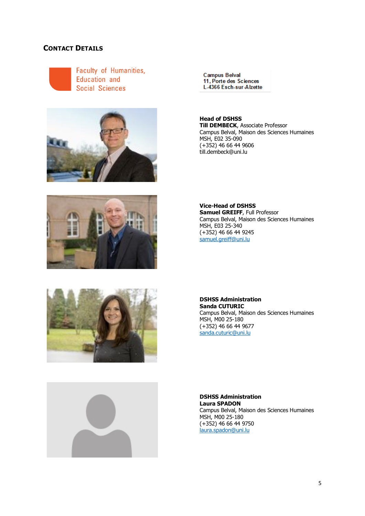#### <span id="page-4-0"></span>**CONTACT DETAILS**



Faculty of Humanities, Education and **Social Sciences** 









**Campus Belval** 11. Porte des Sciences L-4366 Esch-sur-Alzette

**Head of DSHSS Till DEMBECK**, Associate Professor Campus Belval, Maison des Sciences Humaines MSH, E02 35-090 (+352) 46 66 44 9606 till.dembeck@uni.lu

**Vice-Head of DSHSS Samuel GREIFF**, Full Professor Campus Belval, Maison des Sciences Humaines MSH, E03 25-340 (+352) 46 66 44 9245 [samuel.greiff@uni.lu](mailto:samuel.greiff@uni.lu)

**DSHSS Administration Sanda CUTURIC** Campus Belval, Maison des Sciences Humaines MSH, M00 25-180 (+352) 46 66 44 9677 [sanda.cuturic@uni.lu](mailto:sanda.cuturic@uni.lu)

**DSHSS Administration Laura SPADON** Campus Belval, Maison des Sciences Humaines MSH, M00 25-180 (+352) 46 66 44 9750 [laura.spadon@uni.lu](mailto:laura.spadon@uni.lu)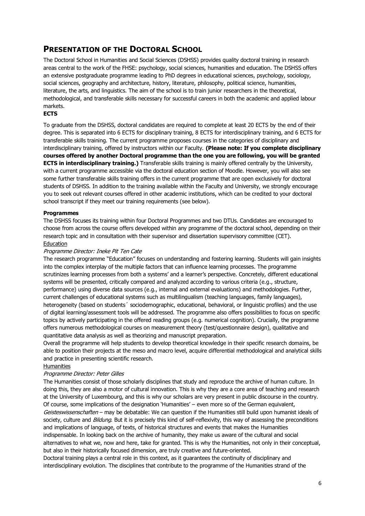#### <span id="page-5-0"></span>**PRESENTATION OF THE DOCTORAL SCHOOL**

The Doctoral School in Humanities and Social Sciences (DSHSS) provides quality doctoral training in research areas central to the work of the FHSE: psychology, social sciences, humanities and education. The DSHSS offers an extensive postgraduate programme leading to PhD degrees in educational sciences, psychology, sociology, social sciences, geography and architecture, history, literature, philosophy, political science, humanities, literature, the arts, and linguistics. The aim of the school is to train junior researchers in the theoretical, methodological, and transferable skills necessary for successful careers in both the academic and applied labour markets.

#### **ECTS**

To graduate from the DSHSS, doctoral candidates are required to complete at least 20 ECTS by the end of their degree. This is separated into 6 ECTS for disciplinary training, 8 ECTS for interdisciplinary training, and 6 ECTS for transferable skills training. The current programme proposes courses in the categories of disciplinary and interdisciplinary training, offered by instructors within our Faculty. **(Please note: If you complete disciplinary courses offered by another Doctoral programme than the one you are following, you will be granted ECTS in interdisciplinary training.)** Transferable skills training is mainly offered centrally by the University, with a current programme accessible via the doctoral education section of Moodle. However, you will also see some further transferable skills training offers in the current programme that are open exclusively for doctoral students of DSHSS. In addition to the training available within the Faculty and University, we strongly encourage you to seek out relevant courses offered in other academic institutions, which can be credited to your doctoral school transcript if they meet our training requirements (see below).

#### **Programmes**

The DSHSS focuses its training within four Doctoral Programmes and two DTUs. Candidates are encouraged to choose from across the course offers developed within any programme of the doctoral school, depending on their research topic and in consultation with their supervisor and dissertation supervisory committee (CET). Education

#### Programme Director: Ineke Pit Ten Cate

The research programme "Education" focuses on understanding and fostering learning. Students will gain insights into the complex interplay of the multiple factors that can influence learning processes. The programme scrutinizes learning processes from both a systems' and a learner's perspective. Concretely, different educational systems will be presented, critically compared and analyzed according to various criteria (e.g., structure, performance) using diverse data sources (e.g., internal and external evaluations) and methodologies. Further, current challenges of educational systems such as multilingualism (teaching languages, family languages), heterogeneity (based on students´ sociodemographic, educational, behavioral, or linguistic profiles) and the use of digital learning/assessment tools will be addressed. The programme also offers possibilities to focus on specific topics by actively participating in the offered reading groups (e.g. numerical cognition). Crucially, the programme offers numerous methodological courses on measurement theory (test/questionnaire design), qualitative and quantitative data analysis as well as theorizing and manuscript preparation.

Overall the programme will help students to develop theoretical knowledge in their specific research domains, be able to position their projects at the meso and macro level, acquire differential methodological and analytical skills and practice in presenting scientific research.

#### **Humanities**

#### Programme Director: Peter Gilles

The Humanities consist of those scholarly disciplines that study and reproduce the archive of human culture. In doing this, they are also a motor of cultural innovation. This is why they are a core area of teaching and research at the University of Luxembourg, and this is why our scholars are very present in public discourse in the country. Of course, some implications of the designation 'Humanities' – even more so of the German equivalent, Geisteswissenschaften - may be debatable: We can question if the Humanities still build upon humanist ideals of society, culture and *Bildung*. But it is precisely this kind of self-reflexivity, this way of assessing the preconditions and implications of language, of texts, of historical structures and events that makes the Humanities indispensable. In looking back on the archive of humanity, they make us aware of the cultural and social alternatives to what we, now and here, take for granted. This is why the Humanities, not only in their conceptual, but also in their historically focused dimension, are truly creative and future-oriented.

Doctoral training plays a central role in this context, as it guarantees the continuity of disciplinary and interdisciplinary evolution. The disciplines that contribute to the programme of the Humanities strand of the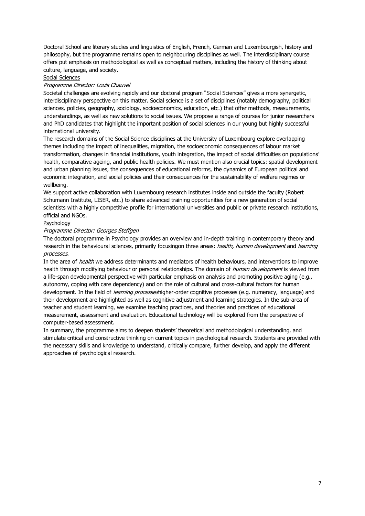Doctoral School are literary studies and linguistics of English, French, German and Luxembourgish, history and philosophy, but the programme remains open to neighbouring disciplines as well. The interdisciplinary course offers put emphasis on methodological as well as conceptual matters, including the history of thinking about culture, language, and society.

Social Sciences

#### Programme Director: Louis Chauvel

Societal challenges are evolving rapidly and our doctoral program "Social Sciences" gives a more synergetic, interdisciplinary perspective on this matter. Social science is a set of disciplines (notably demography, political sciences, policies, geography, sociology, socioeconomics, education, etc.) that offer methods, measurements, understandings, as well as new solutions to social issues. We propose a range of courses for junior researchers and PhD candidates that highlight the important position of social sciences in our young but highly successful international university.

The research domains of the Social Science disciplines at the University of Luxembourg explore overlapping themes including the impact of inequalities, migration, the socioeconomic consequences of labour market transformation, changes in financial institutions, youth integration, the impact of social difficulties on populations' health, comparative ageing, and public health policies. We must mention also crucial topics: spatial development and urban planning issues, the consequences of educational reforms, the dynamics of European political and economic integration, and social policies and their consequences for the sustainability of welfare regimes or wellbeing.

We support active collaboration with Luxembourg research institutes inside and outside the faculty (Robert Schumann Institute, LISER, etc.) to share advanced training opportunities for a new generation of social scientists with a highly competitive profile for international universities and public or private research institutions, official and NGOs.

#### Psychology

#### Programme Director: Georges Steffgen

The doctoral programme in Psychology provides an overview and in-depth training in contemporary theory and research in the behavioural sciences, primarily focusingon three areas: health, human development and learning processes.

In the area of *health* we address determinants and mediators of health behaviours, and interventions to improve health through modifying behaviour or personal relationships. The domain of human development is viewed from a life-span developmental perspective with particular emphasis on analysis and promoting positive aging (e.g., autonomy, coping with care dependency) and on the role of cultural and cross-cultural factors for human development. In the field of *learning processes* higher-order cognitive processes (e.g. numeracy, language) and their development are highlighted as well as cognitive adjustment and learning strategies. In the sub-area of teacher and student learning, we examine teaching practices, and theories and practices of educational measurement, assessment and evaluation. Educational technology will be explored from the perspective of computer-based assessment.

In summary, the programme aims to deepen students' theoretical and methodological understanding, and stimulate critical and constructive thinking on current topics in psychological research. Students are provided with the necessary skills and knowledge to understand, critically compare, further develop, and apply the different approaches of psychological research.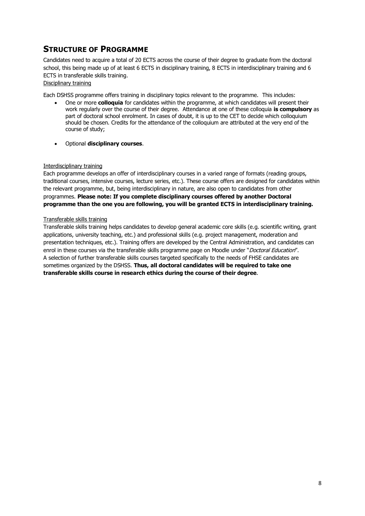### <span id="page-7-0"></span>**STRUCTURE OF PROGRAMME**

Candidates need to acquire a total of 20 ECTS across the course of their degree to graduate from the doctoral school, this being made up of at least 6 ECTS in disciplinary training, 8 ECTS in interdisciplinary training and 6 ECTS in transferable skills training.

Disciplinary training

Each DSHSS programme offers training in disciplinary topics relevant to the programme. This includes:

- One or more **colloquia** for candidates within the programme, at which candidates will present their work regularly over the course of their degree. Attendance at one of these colloquia **is compulsory** as part of doctoral school enrolment. In cases of doubt, it is up to the CET to decide which colloquium should be chosen. Credits for the attendance of the colloquium are attributed at the very end of the course of study;
- Optional **disciplinary courses**.

#### Interdisciplinary training

Each programme develops an offer of interdisciplinary courses in a varied range of formats (reading groups, traditional courses, intensive courses, lecture series, etc.). These course offers are designed for candidates within the relevant programme, but, being interdisciplinary in nature, are also open to candidates from other programmes. **Please note: If you complete disciplinary courses offered by another Doctoral programme than the one you are following, you will be granted ECTS in interdisciplinary training.**

#### Transferable skills training

Transferable skills training helps candidates to develop general academic core skills (e.g. scientific writing, grant applications, university teaching, etc.) and professional skills (e.g. project management, moderation and presentation techniques, etc.). Training offers are developed by the Central Administration, and candidates can enrol in these courses via the transferable skills programme page on Moodle under "Doctoral Education". A selection of further transferable skills courses targeted specifically to the needs of FHSE candidates are sometimes organized by the DSHSS. **Thus, all doctoral candidates will be required to take one transferable skills course in research ethics during the course of their degree**.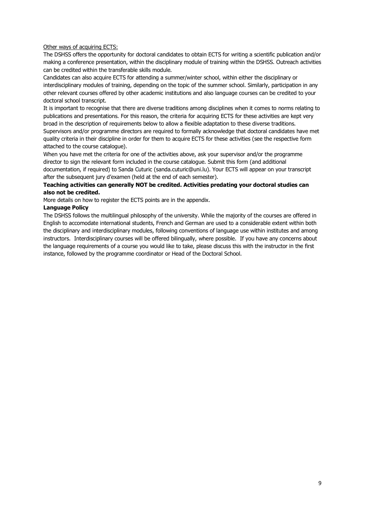#### Other ways of acquiring ECTS:

The DSHSS offers the opportunity for doctoral candidates to obtain ECTS for writing a scientific publication and/or making a conference presentation, within the disciplinary module of training within the DSHSS. Outreach activities can be credited within the transferable skills module.

Candidates can also acquire ECTS for attending a summer/winter school, within either the disciplinary or interdisciplinary modules of training, depending on the topic of the summer school. Similarly, participation in any other relevant courses offered by other academic institutions and also language courses can be credited to your doctoral school transcript.

It is important to recognise that there are diverse traditions among disciplines when it comes to norms relating to publications and presentations. For this reason, the criteria for acquiring ECTS for these activities are kept very broad in the description of requirements below to allow a flexible adaptation to these diverse traditions.

Supervisors and/or programme directors are required to formally acknowledge that doctoral candidates have met quality criteria in their discipline in order for them to acquire ECTS for these activities (see the respective form attached to the course catalogue).

When you have met the criteria for one of the activities above, ask your supervisor and/or the programme director to sign the relevant form included in the course catalogue. Submit this form (and additional documentation, if required) to Sanda Cuturic (sanda.cuturic@uni.lu). Your ECTS will appear on your transcript after the subsequent jury d'examen (held at the end of each semester).

#### **Teaching activities can generally NOT be credited. Activities predating your doctoral studies can also not be credited.**

More details on how to register the ECTS points are in the appendix.

#### **Language Policy**

The DSHSS follows the multilingual philosophy of the university. While the majority of the courses are offered in English to accomodate international students, French and German are used to a considerable extent within both the disciplinary and interdisciplinary modules, following conventions of language use within institutes and among instructors. Interdisciplinary courses will be offered bilingually, where possible. If you have any concerns about the language requirements of a course you would like to take, please discuss this with the instructor in the first instance, followed by the programme coordinator or Head of the Doctoral School.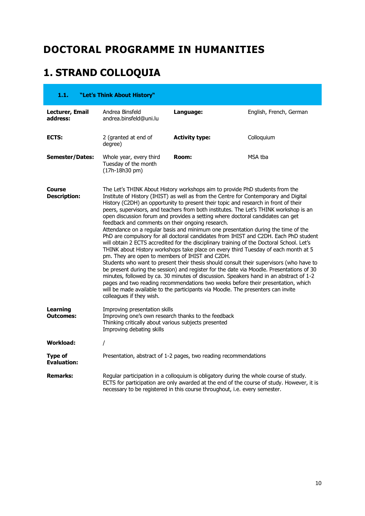# <span id="page-9-0"></span>**DOCTORAL PROGRAMME IN HUMANITIES**

# <span id="page-9-1"></span>**1. STRAND COLLOQUIA**

<span id="page-9-2"></span>

| 1.1.                                 | "Let's Think About History"                                                                                                                                               |                                                                                                                                                                                                                                                                                                                                                                                                                                                                                                                                                                                                                                                                                                                                                                                                                                                                                                                                                                                                                                                                                                                                                                         |                                                                                           |
|--------------------------------------|---------------------------------------------------------------------------------------------------------------------------------------------------------------------------|-------------------------------------------------------------------------------------------------------------------------------------------------------------------------------------------------------------------------------------------------------------------------------------------------------------------------------------------------------------------------------------------------------------------------------------------------------------------------------------------------------------------------------------------------------------------------------------------------------------------------------------------------------------------------------------------------------------------------------------------------------------------------------------------------------------------------------------------------------------------------------------------------------------------------------------------------------------------------------------------------------------------------------------------------------------------------------------------------------------------------------------------------------------------------|-------------------------------------------------------------------------------------------|
| Lecturer, Email<br>address:          | Andrea Binsfeld<br>andrea.binsfeld@uni.lu                                                                                                                                 | Language:                                                                                                                                                                                                                                                                                                                                                                                                                                                                                                                                                                                                                                                                                                                                                                                                                                                                                                                                                                                                                                                                                                                                                               | English, French, German                                                                   |
| ECTS:                                | 2 (granted at end of<br>degree)                                                                                                                                           | <b>Activity type:</b>                                                                                                                                                                                                                                                                                                                                                                                                                                                                                                                                                                                                                                                                                                                                                                                                                                                                                                                                                                                                                                                                                                                                                   | Colloquium                                                                                |
| <b>Semester/Dates:</b>               | Whole year, every third<br>Tuesday of the month<br>(17h-18h30 pm)                                                                                                         | Room:                                                                                                                                                                                                                                                                                                                                                                                                                                                                                                                                                                                                                                                                                                                                                                                                                                                                                                                                                                                                                                                                                                                                                                   | MSA tba                                                                                   |
| Course<br><b>Description:</b>        | feedback and comments on their ongoing research.<br>pm. They are open to members of IHIST and C2DH.<br>colleagues if they wish.                                           | The Let's THINK About History workshops aim to provide PhD students from the<br>Institute of History (IHIST) as well as from the Centre for Contemporary and Digital<br>History (C2DH) an opportunity to present their topic and research in front of their<br>peers, supervisors, and teachers from both institutes. The Let's THINK workshop is an<br>open discussion forum and provides a setting where doctoral candidates can get<br>Attendance on a regular basis and minimum one presentation during the time of the<br>will obtain 2 ECTS accredited for the disciplinary training of the Doctoral School. Let's<br>THINK about History workshops take place on every third Tuesday of each month at 5<br>Students who want to present their thesis should consult their supervisors (who have to<br>be present during the session) and register for the date via Moodle. Presentations of 30<br>minutes, followed by ca. 30 minutes of discussion. Speakers hand in an abstract of 1-2<br>pages and two reading recommendations two weeks before their presentation, which<br>will be made available to the participants via Moodle. The presenters can invite | PhD are compulsory for all doctoral candidates from IHIST and C2DH. Each PhD student      |
| <b>Learning</b><br><b>Outcomes:</b>  | Improving presentation skills<br>Improving one's own research thanks to the feedback<br>Thinking critically about various subjects presented<br>Improving debating skills |                                                                                                                                                                                                                                                                                                                                                                                                                                                                                                                                                                                                                                                                                                                                                                                                                                                                                                                                                                                                                                                                                                                                                                         |                                                                                           |
| <b>Workload:</b>                     | I                                                                                                                                                                         |                                                                                                                                                                                                                                                                                                                                                                                                                                                                                                                                                                                                                                                                                                                                                                                                                                                                                                                                                                                                                                                                                                                                                                         |                                                                                           |
| <b>Type of</b><br><b>Evaluation:</b> |                                                                                                                                                                           | Presentation, abstract of 1-2 pages, two reading recommendations                                                                                                                                                                                                                                                                                                                                                                                                                                                                                                                                                                                                                                                                                                                                                                                                                                                                                                                                                                                                                                                                                                        |                                                                                           |
| <b>Remarks:</b>                      |                                                                                                                                                                           | Regular participation in a colloquium is obligatory during the whole course of study.<br>necessary to be registered in this course throughout, i.e. every semester.                                                                                                                                                                                                                                                                                                                                                                                                                                                                                                                                                                                                                                                                                                                                                                                                                                                                                                                                                                                                     | ECTS for participation are only awarded at the end of the course of study. However, it is |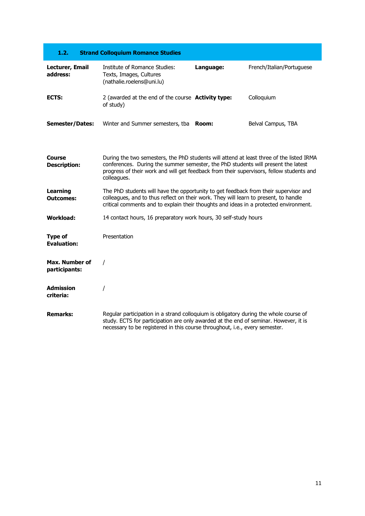<span id="page-10-0"></span>

| 1.2.                                 | <b>Strand Colloquium Romance Studies</b>                                                                                                                                                                                                                                                 |           |                           |
|--------------------------------------|------------------------------------------------------------------------------------------------------------------------------------------------------------------------------------------------------------------------------------------------------------------------------------------|-----------|---------------------------|
| Lecturer, Email<br>address:          | Institute of Romance Studies:<br>Texts, Images, Cultures<br>(nathalie.roelens@uni.lu)                                                                                                                                                                                                    | Language: | French/Italian/Portuguese |
| ECTS:                                | 2 (awarded at the end of the course Activity type:<br>of study)                                                                                                                                                                                                                          |           | Colloquium                |
| <b>Semester/Dates:</b>               | Winter and Summer semesters, tba                                                                                                                                                                                                                                                         | Room:     | Belval Campus, TBA        |
| Course<br><b>Description:</b>        | During the two semesters, the PhD students will attend at least three of the listed IRMA<br>conferences. During the summer semester, the PhD students will present the latest<br>progress of their work and will get feedback from their supervisors, fellow students and<br>colleagues. |           |                           |
| <b>Learning</b><br><b>Outcomes:</b>  | The PhD students will have the opportunity to get feedback from their supervisor and<br>colleagues, and to thus reflect on their work. They will learn to present, to handle<br>critical comments and to explain their thoughts and ideas in a protected environment.                    |           |                           |
| Workload:                            | 14 contact hours, 16 preparatory work hours, 30 self-study hours                                                                                                                                                                                                                         |           |                           |
| <b>Type of</b><br><b>Evaluation:</b> | Presentation                                                                                                                                                                                                                                                                             |           |                           |
| Max. Number of<br>participants:      | $\prime$                                                                                                                                                                                                                                                                                 |           |                           |
| Admission<br>criteria:               |                                                                                                                                                                                                                                                                                          |           |                           |
| <b>Remarks:</b>                      | Regular participation in a strand colloquium is obligatory during the whole course of<br>study. ECTS for participation are only awarded at the end of seminar. However, it is<br>necessary to be registered in this course throughout, i.e., every semester.                             |           |                           |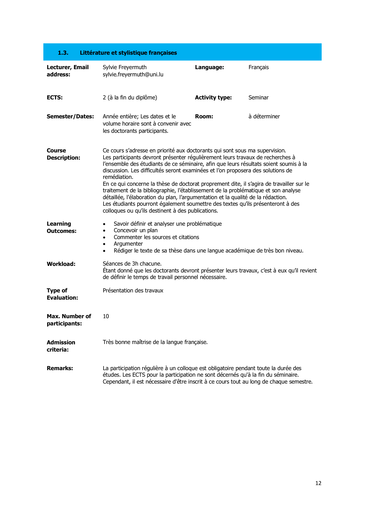<span id="page-11-0"></span>

| 1.3.                                 | Littérature et stylistique françaises                                                                                                                                                                                                                                                                                                                                                                                                                                                                                                                                                                                                                                                                                                                                   |                       |              |  |
|--------------------------------------|-------------------------------------------------------------------------------------------------------------------------------------------------------------------------------------------------------------------------------------------------------------------------------------------------------------------------------------------------------------------------------------------------------------------------------------------------------------------------------------------------------------------------------------------------------------------------------------------------------------------------------------------------------------------------------------------------------------------------------------------------------------------------|-----------------------|--------------|--|
| Lecturer, Email<br>address:          | Sylvie Freyermuth<br>sylvie.freyermuth@uni.lu                                                                                                                                                                                                                                                                                                                                                                                                                                                                                                                                                                                                                                                                                                                           | Language:             | Français     |  |
| ECTS:                                | 2 (à la fin du diplôme)                                                                                                                                                                                                                                                                                                                                                                                                                                                                                                                                                                                                                                                                                                                                                 | <b>Activity type:</b> | Seminar      |  |
| <b>Semester/Dates:</b>               | Année entière; Les dates et le<br>volume horaire sont à convenir avec<br>les doctorants participants.                                                                                                                                                                                                                                                                                                                                                                                                                                                                                                                                                                                                                                                                   | Room:                 | à déterminer |  |
| Course<br><b>Description:</b>        | Ce cours s'adresse en priorité aux doctorants qui sont sous ma supervision.<br>Les participants devront présenter régulièrement leurs travaux de recherches à<br>l'ensemble des étudiants de ce séminaire, afin que leurs résultats soient soumis à la<br>discussion. Les difficultés seront examinées et l'on proposera des solutions de<br>remédiation.<br>En ce qui concerne la thèse de doctorat proprement dite, il s'agira de travailler sur le<br>traitement de la bibliographie, l'établissement de la problématique et son analyse<br>détaillée, l'élaboration du plan, l'argumentation et la qualité de la rédaction.<br>Les étudiants pourront également soumettre des textes qu'ils présenteront à des<br>colloques ou qu'ils destinent à des publications. |                       |              |  |
| Learning<br><b>Outcomes:</b>         | Savoir définir et analyser une problématique<br>$\bullet$<br>Concevoir un plan<br>$\bullet$<br>Commenter les sources et citations<br>$\bullet$<br>Argumenter<br>$\bullet$<br>Rédiger le texte de sa thèse dans une langue académique de très bon niveau.<br>$\bullet$                                                                                                                                                                                                                                                                                                                                                                                                                                                                                                   |                       |              |  |
| <b>Workload:</b>                     | Séances de 3h chacune.<br>Etant donné que les doctorants devront présenter leurs travaux, c'est à eux qu'il revient<br>de définir le temps de travail personnel nécessaire.                                                                                                                                                                                                                                                                                                                                                                                                                                                                                                                                                                                             |                       |              |  |
| <b>Type of</b><br><b>Evaluation:</b> | Présentation des travaux                                                                                                                                                                                                                                                                                                                                                                                                                                                                                                                                                                                                                                                                                                                                                |                       |              |  |
| Max. Number of<br>participants:      | 10                                                                                                                                                                                                                                                                                                                                                                                                                                                                                                                                                                                                                                                                                                                                                                      |                       |              |  |
| <b>Admission</b><br>criteria:        | Très bonne maîtrise de la langue française.                                                                                                                                                                                                                                                                                                                                                                                                                                                                                                                                                                                                                                                                                                                             |                       |              |  |
| <b>Remarks:</b>                      | La participation régulière à un colloque est obligatoire pendant toute la durée des<br>études. Les ECTS pour la participation ne sont décernés qu'à la fin du séminaire.<br>Cependant, il est nécessaire d'être inscrit à ce cours tout au long de chaque semestre.                                                                                                                                                                                                                                                                                                                                                                                                                                                                                                     |                       |              |  |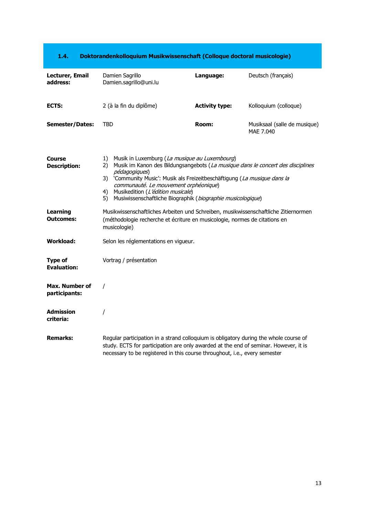<span id="page-12-0"></span>

| Lecturer, Email<br>address:          | Damien Sagrillo<br>Damien.sagrillo@uni.lu                                                                                                                                                                                                                                                                                                                                                           | Language:             | Deutsch (français)                        |
|--------------------------------------|-----------------------------------------------------------------------------------------------------------------------------------------------------------------------------------------------------------------------------------------------------------------------------------------------------------------------------------------------------------------------------------------------------|-----------------------|-------------------------------------------|
| ECTS:                                | 2 (à la fin du diplôme)                                                                                                                                                                                                                                                                                                                                                                             | <b>Activity type:</b> | Kolloquium (colloque)                     |
| <b>Semester/Dates:</b>               | <b>TBD</b>                                                                                                                                                                                                                                                                                                                                                                                          | <b>Room:</b>          | Musiksaal (salle de musique)<br>MAE 7.040 |
| Course<br><b>Description:</b>        | Musik in Luxemburg (La musique au Luxembourg)<br>1)<br>Musik im Kanon des Bildungsangebots (La musique dans le concert des disciplines<br>2)<br>pédagogiques)<br>3) 'Community Music': Musik als Freizeitbeschäftigung (La musique dans la<br>communauté. Le mouvement orphéonique)<br>Musikedition (L'édition musicale)<br>4)<br>Musiwissenschaftliche Biographik (biographie musicologique)<br>5) |                       |                                           |
| <b>Learning</b><br><b>Outcomes:</b>  | Musikwissenschaftliches Arbeiten und Schreiben, musikwissenschaftliche Zitiernormen<br>(méthodologie recherche et écriture en musicologie, normes de citations en<br>musicologie)                                                                                                                                                                                                                   |                       |                                           |
| Workload:                            | Selon les réglementations en vigueur.                                                                                                                                                                                                                                                                                                                                                               |                       |                                           |
| <b>Type of</b><br><b>Evaluation:</b> | Vortrag / présentation                                                                                                                                                                                                                                                                                                                                                                              |                       |                                           |
| Max. Number of<br>participants:      | $\prime$                                                                                                                                                                                                                                                                                                                                                                                            |                       |                                           |
| <b>Admission</b><br>criteria:        |                                                                                                                                                                                                                                                                                                                                                                                                     |                       |                                           |
| <b>Remarks:</b>                      | Regular participation in a strand colloquium is obligatory during the whole course of<br>study. ECTS for participation are only awarded at the end of seminar. However, it is<br>necessary to be registered in this course throughout, i.e., every semester                                                                                                                                         |                       |                                           |

#### **1.4. Doktorandenkolloquium Musikwissenschaft (Colloque doctoral musicologie)**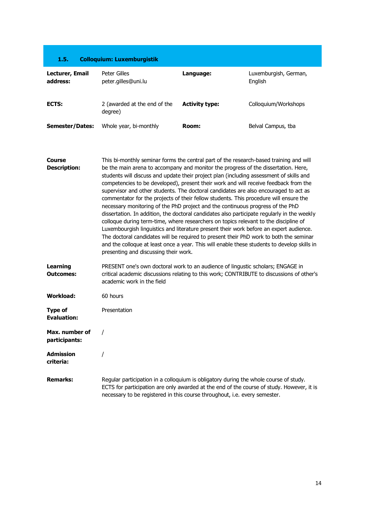<span id="page-13-0"></span>

| 1.5.                                 | <b>Colloquium: Luxemburgistik</b>                                                                                                                                                                                                                                                                                                                                                                                                                                                                                                                                                                                                                                                                                                                                                                                                                                                                                                                                                                                                                                                                                                                     |                       |                                  |
|--------------------------------------|-------------------------------------------------------------------------------------------------------------------------------------------------------------------------------------------------------------------------------------------------------------------------------------------------------------------------------------------------------------------------------------------------------------------------------------------------------------------------------------------------------------------------------------------------------------------------------------------------------------------------------------------------------------------------------------------------------------------------------------------------------------------------------------------------------------------------------------------------------------------------------------------------------------------------------------------------------------------------------------------------------------------------------------------------------------------------------------------------------------------------------------------------------|-----------------------|----------------------------------|
| Lecturer, Email<br>address:          | Peter Gilles<br>peter.gilles@uni.lu                                                                                                                                                                                                                                                                                                                                                                                                                                                                                                                                                                                                                                                                                                                                                                                                                                                                                                                                                                                                                                                                                                                   | Language:             | Luxemburgish, German,<br>English |
| ECTS:                                | 2 (awarded at the end of the<br>degree)                                                                                                                                                                                                                                                                                                                                                                                                                                                                                                                                                                                                                                                                                                                                                                                                                                                                                                                                                                                                                                                                                                               | <b>Activity type:</b> | Colloquium/Workshops             |
| <b>Semester/Dates:</b>               | Whole year, bi-monthly                                                                                                                                                                                                                                                                                                                                                                                                                                                                                                                                                                                                                                                                                                                                                                                                                                                                                                                                                                                                                                                                                                                                | Room:                 | Belval Campus, tba               |
| Course<br><b>Description:</b>        | This bi-monthly seminar forms the central part of the research-based training and will<br>be the main arena to accompany and monitor the progress of the dissertation. Here,<br>students will discuss and update their project plan (including assessment of skills and<br>competencies to be developed), present their work and will receive feedback from the<br>supervisor and other students. The doctoral candidates are also encouraged to act as<br>commentator for the projects of their fellow students. This procedure will ensure the<br>necessary monitoring of the PhD project and the continuous progress of the PhD<br>dissertation. In addition, the doctoral candidates also participate regularly in the weekly<br>colloque during term-time, where researchers on topics relevant to the discipline of<br>Luxembourgish linguistics and literature present their work before an expert audience.<br>The doctoral candidates will be required to present their PhD work to both the seminar<br>and the colloque at least once a year. This will enable these students to develop skills in<br>presenting and discussing their work. |                       |                                  |
| Learning<br><b>Outcomes:</b>         | PRESENT one's own doctoral work to an audience of lingustic scholars; ENGAGE in<br>critical academic discussions relating to this work; CONTRIBUTE to discussions of other's<br>academic work in the field                                                                                                                                                                                                                                                                                                                                                                                                                                                                                                                                                                                                                                                                                                                                                                                                                                                                                                                                            |                       |                                  |
| <b>Workload:</b>                     | 60 hours                                                                                                                                                                                                                                                                                                                                                                                                                                                                                                                                                                                                                                                                                                                                                                                                                                                                                                                                                                                                                                                                                                                                              |                       |                                  |
| <b>Type of</b><br><b>Evaluation:</b> | Presentation                                                                                                                                                                                                                                                                                                                                                                                                                                                                                                                                                                                                                                                                                                                                                                                                                                                                                                                                                                                                                                                                                                                                          |                       |                                  |
| Max. number of<br>participants:      |                                                                                                                                                                                                                                                                                                                                                                                                                                                                                                                                                                                                                                                                                                                                                                                                                                                                                                                                                                                                                                                                                                                                                       |                       |                                  |
| <b>Admission</b><br>criteria:        |                                                                                                                                                                                                                                                                                                                                                                                                                                                                                                                                                                                                                                                                                                                                                                                                                                                                                                                                                                                                                                                                                                                                                       |                       |                                  |
| <b>Remarks:</b>                      | Regular participation in a colloquium is obligatory during the whole course of study.<br>ECTS for participation are only awarded at the end of the course of study. However, it is<br>necessary to be registered in this course throughout, i.e. every semester.                                                                                                                                                                                                                                                                                                                                                                                                                                                                                                                                                                                                                                                                                                                                                                                                                                                                                      |                       |                                  |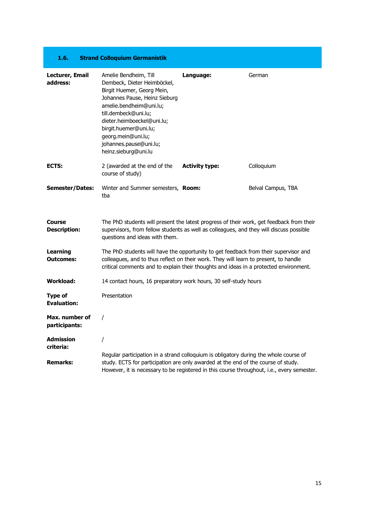#### **1.6. Strand Colloquium Germanistik**

<span id="page-14-0"></span>

| Lecturer, Email<br>address:          | Amelie Bendheim, Till<br>Dembeck, Dieter Heimböckel,<br>Birgit Huemer, Georg Mein,<br>Johannes Pause, Heinz Sieburg<br>amelie.bendheim@uni.lu;<br>till.dembeck@uni.lu;<br>dieter.heimboeckel@uni.lu;<br>birgit.huemer@uni.lu;<br>georg.mein@uni.lu;<br>johannes.pause@uni.lu;<br>heinz.sieburg@uni.lu | Language:             | German             |
|--------------------------------------|-------------------------------------------------------------------------------------------------------------------------------------------------------------------------------------------------------------------------------------------------------------------------------------------------------|-----------------------|--------------------|
| ECTS:                                | 2 (awarded at the end of the<br>course of study)                                                                                                                                                                                                                                                      | <b>Activity type:</b> | Colloquium         |
| <b>Semester/Dates:</b>               | Winter and Summer semesters, <b>Room:</b><br>tba                                                                                                                                                                                                                                                      |                       | Belval Campus, TBA |
| <b>Course</b><br><b>Description:</b> | The PhD students will present the latest progress of their work, get feedback from their<br>supervisors, from fellow students as well as colleagues, and they will discuss possible<br>questions and ideas with them.                                                                                 |                       |                    |
| <b>Learning</b><br><b>Outcomes:</b>  | The PhD students will have the opportunity to get feedback from their supervisor and<br>colleagues, and to thus reflect on their work. They will learn to present, to handle<br>critical comments and to explain their thoughts and ideas in a protected environment.                                 |                       |                    |
| <b>Workload:</b>                     | 14 contact hours, 16 preparatory work hours, 30 self-study hours                                                                                                                                                                                                                                      |                       |                    |
| <b>Type of</b><br><b>Evaluation:</b> | Presentation                                                                                                                                                                                                                                                                                          |                       |                    |
| Max. number of<br>participants:      | $\prime$                                                                                                                                                                                                                                                                                              |                       |                    |
| <b>Admission</b><br>criteria:        | I                                                                                                                                                                                                                                                                                                     |                       |                    |
| <b>Remarks:</b>                      | Regular participation in a strand colloquium is obligatory during the whole course of<br>study. ECTS for participation are only awarded at the end of the course of study.<br>However, it is necessary to be registered in this course throughout, i.e., every semester.                              |                       |                    |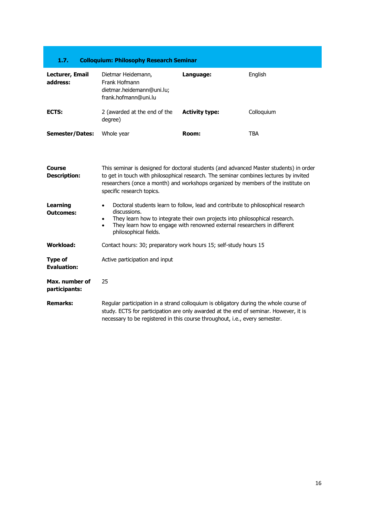<span id="page-15-0"></span>

| 1.7.                          | <b>Colloquium: Philosophy Research Seminar</b>                                                                                                                                                                                                                                                    |                       |            |
|-------------------------------|---------------------------------------------------------------------------------------------------------------------------------------------------------------------------------------------------------------------------------------------------------------------------------------------------|-----------------------|------------|
| Lecturer, Email<br>address:   | Dietmar Heidemann,<br>Frank Hofmann<br>dietmar.heidemann@uni.lu;<br>frank.hofmann@uni.lu                                                                                                                                                                                                          | Language:             | English    |
| ECTS:                         | 2 (awarded at the end of the<br>degree)                                                                                                                                                                                                                                                           | <b>Activity type:</b> | Colloquium |
| <b>Semester/Dates:</b>        | Whole year                                                                                                                                                                                                                                                                                        | Room:                 | TBA        |
| Course<br><b>Description:</b> | This seminar is designed for doctoral students (and advanced Master students) in order<br>to get in touch with philosophical research. The seminar combines lectures by invited<br>researchers (once a month) and workshops organized by members of the institute on<br>specific research topics. |                       |            |

| Learning<br><b>Outcomes:</b>    | Doctoral students learn to follow, lead and contribute to philosophical research<br>$\bullet$<br>discussions.<br>They learn how to integrate their own projects into philosophical research.<br>٠<br>They learn how to engage with renowned external researchers in different<br>٠<br>philosophical fields. |  |  |
|---------------------------------|-------------------------------------------------------------------------------------------------------------------------------------------------------------------------------------------------------------------------------------------------------------------------------------------------------------|--|--|
| Workload:                       | Contact hours: 30; preparatory work hours 15; self-study hours 15                                                                                                                                                                                                                                           |  |  |
| Type of<br><b>Evaluation:</b>   | Active participation and input                                                                                                                                                                                                                                                                              |  |  |
| Max. number of<br>participants: | 25                                                                                                                                                                                                                                                                                                          |  |  |
| <b>Remarks:</b>                 | Regular participation in a strand colloguium is obligatory during the whole course of<br>study. ECTS for participation are only awarded at the end of seminar. However, it is<br>necessary to be registered in this course throughout, <i>i.e.</i> , every semester.                                        |  |  |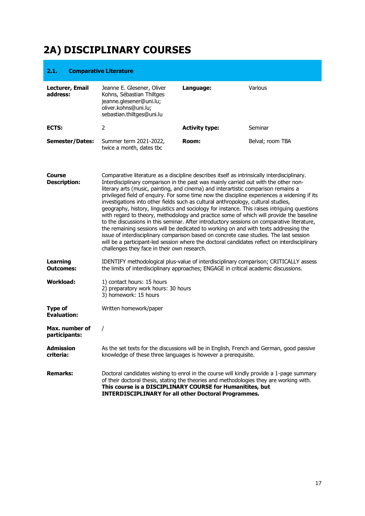# <span id="page-16-0"></span>**2A) DISCIPLINARY COURSES**

#### <span id="page-16-1"></span>**2.1. Comparative Literature**

**participants:**

| Lecturer, Email<br>address: | Jeanne E. Glesener, Oliver<br>Kohns, Sébastian Thiltges<br>jeanne.glesener@uni.lu;<br>oliver.kohns@uni.lu;<br>sebastian.thiltges@uni.lu | Language:             | Various          |
|-----------------------------|-----------------------------------------------------------------------------------------------------------------------------------------|-----------------------|------------------|
| ECTS:                       |                                                                                                                                         | <b>Activity type:</b> | Seminar          |
| <b>Semester/Dates:</b>      | Summer term 2021-2022,<br>twice a month, dates tbc                                                                                      | Room:                 | Belval; room TBA |

| <b>Course</b><br><b>Description:</b> | Comparative literature as a discipline describes itself as intrinsically interdisciplinary.<br>Interdisciplinary comparison in the past was mainly carried out with the other non-<br>literary arts (music, painting, and cinema) and interartistic comparison remains a<br>privileged field of enquiry. For some time now the discipline experiences a widening if its<br>investigations into other fields such as cultural anthropology, cultural studies,<br>geography, history, linguistics and sociology for instance. This raises intriguing questions<br>with regard to theory, methodology and practice some of which will provide the baseline<br>to the discussions in this seminar. After introductory sessions on comparative literature,<br>the remaining sessions will be dedicated to working on and with texts addressing the<br>issue of interdisciplinary comparison based on concrete case studies. The last session<br>will be a participant-led session where the doctoral candidates reflect on interdisciplinary<br>challenges they face in their own research. |
|--------------------------------------|----------------------------------------------------------------------------------------------------------------------------------------------------------------------------------------------------------------------------------------------------------------------------------------------------------------------------------------------------------------------------------------------------------------------------------------------------------------------------------------------------------------------------------------------------------------------------------------------------------------------------------------------------------------------------------------------------------------------------------------------------------------------------------------------------------------------------------------------------------------------------------------------------------------------------------------------------------------------------------------------------------------------------------------------------------------------------------------|
| Learning<br><b>Outcomes:</b>         | IDENTIFY methodological plus-value of interdisciplinary comparison; CRITICALLY assess<br>the limits of interdisciplinary approaches; ENGAGE in critical academic discussions.                                                                                                                                                                                                                                                                                                                                                                                                                                                                                                                                                                                                                                                                                                                                                                                                                                                                                                          |
| <b>Workload:</b>                     | 1) contact hours: 15 hours<br>2) preparatory work hours: 30 hours<br>3) homework: 15 hours                                                                                                                                                                                                                                                                                                                                                                                                                                                                                                                                                                                                                                                                                                                                                                                                                                                                                                                                                                                             |
| Type of<br><b>Evaluation:</b>        | Written homework/paper                                                                                                                                                                                                                                                                                                                                                                                                                                                                                                                                                                                                                                                                                                                                                                                                                                                                                                                                                                                                                                                                 |
| Max. number of                       |                                                                                                                                                                                                                                                                                                                                                                                                                                                                                                                                                                                                                                                                                                                                                                                                                                                                                                                                                                                                                                                                                        |

| <b>Admission</b> | As the set texts for the discussions will be in English, French and German, good passive |
|------------------|------------------------------------------------------------------------------------------|
| criteria:        | knowledge of these three languages is however a prerequisite.                            |
|                  |                                                                                          |

**Remarks:** Doctoral candidates wishing to enrol in the course will kindly provide a 1-page summary of their doctoral thesis, stating the theories and methodologies they are working with. **This course is a DISCIPLINARY COURSE for Humanitites, but INTERDISCIPLINARY for all other Doctoral Programmes.**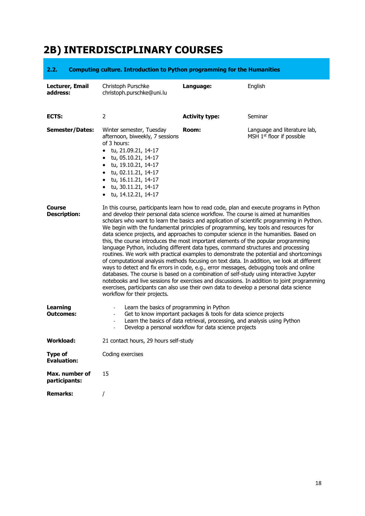# <span id="page-17-0"></span>**2B) INTERDISCIPLINARY COURSES**

#### <span id="page-17-1"></span>**2.2. Computing culture. Introduction to Python programming for the Humanities**

| Lecturer, Email<br>address:          | Christoph Purschke<br>christoph.purschke@uni.lu                                                                                                                                                                                                                                                                                                                                                                                                                                                                                                                                                                                                                                                                                                                                                                                                                                                                                                                                                                                                                                                                                                                                                                                                    | Language:                                                                                                                                                                                              | English                                                   |
|--------------------------------------|----------------------------------------------------------------------------------------------------------------------------------------------------------------------------------------------------------------------------------------------------------------------------------------------------------------------------------------------------------------------------------------------------------------------------------------------------------------------------------------------------------------------------------------------------------------------------------------------------------------------------------------------------------------------------------------------------------------------------------------------------------------------------------------------------------------------------------------------------------------------------------------------------------------------------------------------------------------------------------------------------------------------------------------------------------------------------------------------------------------------------------------------------------------------------------------------------------------------------------------------------|--------------------------------------------------------------------------------------------------------------------------------------------------------------------------------------------------------|-----------------------------------------------------------|
| ECTS:                                | 2                                                                                                                                                                                                                                                                                                                                                                                                                                                                                                                                                                                                                                                                                                                                                                                                                                                                                                                                                                                                                                                                                                                                                                                                                                                  | <b>Activity type:</b>                                                                                                                                                                                  | Seminar                                                   |
| <b>Semester/Dates:</b>               | Winter semester, Tuesday<br>afternoon, biweekly, 7 sessions<br>of 3 hours:<br>• tu, 21.09.21, 14-17<br>$\bullet$ tu, 05.10.21, 14-17<br>$\bullet$ tu, 19.10.21, 14-17<br>$\bullet$ tu, 02.11.21, 14-17<br>• tu, 16.11.21, 14-17<br>$\bullet$ tu, 30.11.21, 14-17<br>$\bullet$ tu, 14.12.21, 14-17                                                                                                                                                                                                                                                                                                                                                                                                                                                                                                                                                                                                                                                                                                                                                                                                                                                                                                                                                  | Room:                                                                                                                                                                                                  | Language and literature lab,<br>MSH 1st floor if possible |
| Course<br><b>Description:</b>        | In this course, participants learn how to read code, plan and execute programs in Python<br>and develop their personal data science workflow. The course is aimed at humanities<br>scholars who want to learn the basics and application of scientific programming in Python.<br>We begin with the fundamental principles of programming, key tools and resources for<br>data science projects, and approaches to computer science in the humanities. Based on<br>this, the course introduces the most important elements of the popular programming<br>language Python, including different data types, command structures and processing<br>routines. We work with practical examples to demonstrate the potential and shortcomings<br>of computational analysis methods focusing on text data. In addition, we look at different<br>ways to detect and fix errors in code, e.g., error messages, debugging tools and online<br>databases. The course is based on a combination of self-study using interactive Jupyter<br>notebooks and live sessions for exercises and discussions. In addition to joint programming<br>exercises, participants can also use their own data to develop a personal data science<br>workflow for their projects. |                                                                                                                                                                                                        |                                                           |
| <b>Learning</b><br><b>Outcomes:</b>  | Learn the basics of programming in Python<br>$\blacksquare$<br>$\blacksquare$<br>$\blacksquare$                                                                                                                                                                                                                                                                                                                                                                                                                                                                                                                                                                                                                                                                                                                                                                                                                                                                                                                                                                                                                                                                                                                                                    | Get to know important packages & tools for data science projects<br>Learn the basics of data retrieval, processing, and analysis using Python<br>Develop a personal workflow for data science projects |                                                           |
| Workload:                            | 21 contact hours, 29 hours self-study                                                                                                                                                                                                                                                                                                                                                                                                                                                                                                                                                                                                                                                                                                                                                                                                                                                                                                                                                                                                                                                                                                                                                                                                              |                                                                                                                                                                                                        |                                                           |
| <b>Type of</b><br><b>Evaluation:</b> | Coding exercises                                                                                                                                                                                                                                                                                                                                                                                                                                                                                                                                                                                                                                                                                                                                                                                                                                                                                                                                                                                                                                                                                                                                                                                                                                   |                                                                                                                                                                                                        |                                                           |
| Max. number of<br>participants:      | 15                                                                                                                                                                                                                                                                                                                                                                                                                                                                                                                                                                                                                                                                                                                                                                                                                                                                                                                                                                                                                                                                                                                                                                                                                                                 |                                                                                                                                                                                                        |                                                           |
| <b>Remarks:</b>                      | T                                                                                                                                                                                                                                                                                                                                                                                                                                                                                                                                                                                                                                                                                                                                                                                                                                                                                                                                                                                                                                                                                                                                                                                                                                                  |                                                                                                                                                                                                        |                                                           |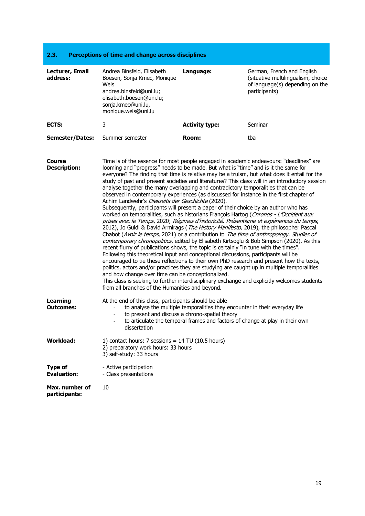<span id="page-18-0"></span>

| 2.3.                        | Perceptions of time and change across disciplines                                                                                                                     |                       |                                                                                                                     |
|-----------------------------|-----------------------------------------------------------------------------------------------------------------------------------------------------------------------|-----------------------|---------------------------------------------------------------------------------------------------------------------|
| Lecturer, Email<br>address: | Andrea Binsfeld, Elisabeth<br>Boesen, Sonja Kmec, Monique<br>Weis<br>andrea.binsfeld@uni.lu;<br>elisabeth.boesen@uni.lu:<br>sonja.kmec@uni.lu,<br>monique.weis@uni.lu | Language:             | German, French and English<br>situative multilingualism, choice<br>of language(s) depending on the<br>participants) |
| ECTS:                       | 3                                                                                                                                                                     | <b>Activity type:</b> | Seminar                                                                                                             |
| <b>Semester/Dates:</b>      | Summer semester                                                                                                                                                       | Room:                 | tba                                                                                                                 |

**Course Description:** Time is of the essence for most people engaged in academic endeavours: "deadlines" are looming and "progress" needs to be made. But what is "time" and is it the same for everyone? The finding that time is relative may be a truism, but what does it entail for the study of past and present societies and literatures? This class will in an introductory session analyse together the many overlapping and contradictory temporalities that can be observed in contemporary experiences (as discussed for instance in the first chapter of Achim Landwehr's Diesseits der Geschichte (2020). Subsequently, participants will present a paper of their choice by an author who has worked on temporalities, such as historians François Hartog (Chronos - L'Occident aux prises avec le Temps, 2020; Régimes d'historicité. Présentisme et expériences du temps, 2012), Jo Guldi & David Armirags (The History Manifesto, 2019), the philosopher Pascal Chabot (Avoir le temps, 2021) or a contribution to The time of anthropology. Studies of contemporary chronopolitics, edited by Elisabeth Kirtsoglu & Bob Simpson (2020). As this recent flurry of publications shows, the topic is certainly "in tune with the times". Following this theoretical input and conceptional discussions, participants will be encouraged to tie these reflections to their own PhD research and present how the texts, politics, actors and/or practices they are studying are caught up in multiple temporalities and how change over time can be conceptionalized. This class is seeking to further interdisciplinary exchange and explicitly welcomes students from all branches of the Humanities and beyond. **Learning Outcomes:** At the end of this class, participants should be able to analyse the multiple temporalities they encounter in their everyday life to present and discuss a chrono-spatial theory to articulate the temporal frames and factors of change at play in their own dissertation **Workload:** 1) contact hours: 7 sessions = 14 TU (10.5 hours) 2) preparatory work hours: 33 hours 3) self-study: 33 hours **Type of Evaluation:** - Active participation - Class presentations

**Max. number of participants:** 10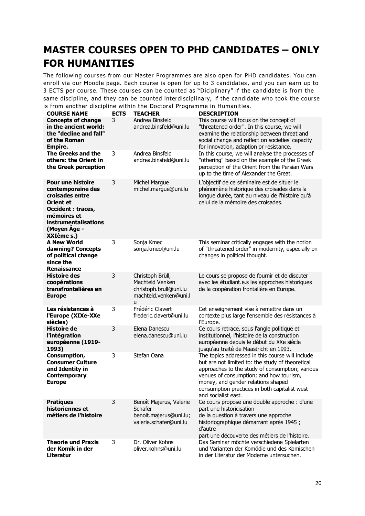# <span id="page-19-0"></span>**MASTER COURSES OPEN TO PHD CANDIDATES – ONLY FOR HUMANITIES**

The following courses from our Master Programmes are also open for PHD candidates. You can enroll via our Moodle page. Each course is open for up to 3 candidates, and you can earn up to 3 ECTS per course. These courses can be counted as "Diciplinary" if the candidate is from the same discipline, and they can be counted interdisciplinary, if the candidate who took the course is from another discipline within the Doctoral Programme in Humanities.

| <b>COURSE NAME</b>                                                                                                                                                                            | <b>ECTS</b> | <b>TEACHER</b>                                                                              | <b>DESCRIPTION</b>                                                                                                                                                                                                                                                                                               |
|-----------------------------------------------------------------------------------------------------------------------------------------------------------------------------------------------|-------------|---------------------------------------------------------------------------------------------|------------------------------------------------------------------------------------------------------------------------------------------------------------------------------------------------------------------------------------------------------------------------------------------------------------------|
| <b>Concepts of change</b><br>in the ancient world:<br>the "decline and fall"<br>of the Roman<br>Empire.                                                                                       | 3           | Andrea Binsfeld<br>andrea.binsfeld@uni.lu                                                   | This course will focus on the concept of<br>"threatened order". In this course, we will<br>examine the relationship between threat and<br>social change and reflect on societies' capacity<br>for innovation, adaption or resistance.                                                                            |
| <b>The Greeks and the</b><br>others: the Orient in<br>the Greek perception                                                                                                                    | 3           | Andrea Binsfeld<br>andrea.binsfeld@uni.lu                                                   | In this course, we will analyse the processes of<br>"othering" based on the example of the Greek<br>perception of the Orient from the Persian Wars<br>up to the time of Alexander the Great.                                                                                                                     |
| <b>Pour une histoire</b><br>contemporaine des<br>croisades entre<br><b>Orient et</b><br><b>Occident : traces,</b><br>mémoires et<br><b>instrumentalisations</b><br>(Moyen Âge -<br>XXIème s.) | 3           | <b>Michel Margue</b><br>michel.margue@uni.lu                                                | L'objectif de ce séminaire est de situer le<br>phénomène historique des croisades dans la<br>longue durée, tant au niveau de l'histoire qu'à<br>celui de la mémoire des croisades.                                                                                                                               |
| A New World<br>dawning? Concepts<br>of political change<br>since the<br><b>Renaissance</b>                                                                                                    | 3           | Sonja Kmec<br>sonja.kmec@uni.lu                                                             | This seminar critically engages with the notion<br>of "threatened order" in modernity, especially on<br>changes in political thought.                                                                                                                                                                            |
| <b>Histoire des</b><br>coopérations<br>transfrontalières en<br><b>Europe</b>                                                                                                                  | 3           | Christoph Brüll,<br>Machteld Venken<br>christoph.brull@uni.lu<br>machteld.venken@uni.l<br>u | Le cours se propose de fournir et de discuter<br>avec les étudiant.e.s les approches historiques<br>de la coopération frontalière en Europe.                                                                                                                                                                     |
| Les résistances à<br>l'Europe (XIXe-XXe<br>siècles)                                                                                                                                           | 3           | Frédéric Clavert<br>frederic.clavert@uni.lu                                                 | Cet enseignement vise à remettre dans un<br>contexte plus large l'ensemble des résistances à<br>l'Europe.                                                                                                                                                                                                        |
| <b>Histoire de</b><br>l'intégration<br>européenne (1919-<br>1993)                                                                                                                             | 3           | Elena Danescu<br>elena.danescu@uni.lu                                                       | Ce cours retrace, sous l'angle politique et<br>institutionnel, l'histoire de la construction<br>européenne depuis le début du XXe siècle<br>jusqu'au traité de Maastricht en 1993.                                                                                                                               |
| Consumption,<br><b>Consumer Culture</b><br>and Identity in<br><b>Contemporary</b><br>Europe                                                                                                   | 3           | Stefan Oana                                                                                 | The topics addressed in this course will include<br>but are not limited to: the study of theoretical<br>approaches to the study of consumption; various<br>venues of consumption; and how tourism,<br>money, and gender relations shaped<br>consumption practices in both capitalist west<br>and socialist east. |
| <b>Pratiques</b><br>historiennes et<br>métiers de l'histoire                                                                                                                                  | 3           | Benoît Majerus, Valerie<br>Schafer<br>benoit.majerus@uni.lu;<br>valerie.schafer@uni.lu      | Ce cours propose une double approche : d'une<br>part une historicisation<br>de la question à travers une approche<br>historiographique démarrant après 1945 ;<br>d'autre<br>part une découverte des métiers de l'histoire.                                                                                       |
| <b>Theorie und Praxis</b><br>der Komik in der<br>Literatur                                                                                                                                    | 3           | Dr. Oliver Kohns<br>oliver.kohns@uni.lu                                                     | Das Seminar möchte verschiedene Spielarten<br>und Varianten der Komödie und des Komischen<br>in der Literatur der Moderne untersuchen.                                                                                                                                                                           |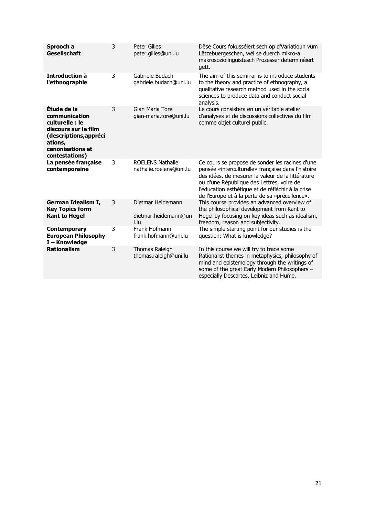| Sprooch a<br><b>Gesellschaft</b>                                                                                                                   | 3 | Peter Gilles<br>peter.gilles@uni.lu                | Dëse Cours fokusséiert sech op d'Variatioun vum<br>Lëtzebuergeschen, wéi se duerch mikro-a<br>makrosoziolinguistesch Prozesser determinéiert<br>gëtt.                                                                                                                                                          |
|----------------------------------------------------------------------------------------------------------------------------------------------------|---|----------------------------------------------------|----------------------------------------------------------------------------------------------------------------------------------------------------------------------------------------------------------------------------------------------------------------------------------------------------------------|
| Introduction à<br>l'ethnographie                                                                                                                   | 3 | Gabriele Budach<br>gabriele.budach@uni.lu          | The aim of this seminar is to introduce students<br>to the theory and practice of ethnography, a<br>qualitative research method used in the social<br>sciences to produce data and conduct social<br>analysis.                                                                                                 |
| Étude de la<br>communication<br>culturelle : le<br>discours sur le film<br>(descriptions, appréci<br>ations,<br>canonisations et<br>contestations) | 3 | Gian Maria Tore<br>gian-maria.tore@uni.lu          | Le cours consistera en un véritable atelier<br>d'analyses et de discussions collectives du film<br>comme objet culturel public.                                                                                                                                                                                |
| La pensée française<br>contemporaine                                                                                                               | 3 | <b>ROELENS Nathalie</b><br>nathalie.roelens@uni.lu | Ce cours se propose de sonder les racines d'une<br>pensée «interculturelle» française dans l'histoire<br>des idées, de mesurer la valeur de la littérature<br>ou d'une République des Lettres, voire de<br>l'éducation esthétique et de réfléchir à la crise<br>de l'Europe et à la perte de sa «précellence». |
| German Idealism I,<br><b>Key Topics form</b><br><b>Kant to Hegel</b>                                                                               | 3 | Dietmar Heidemann<br>dietmar.heidemann@un<br>i.lu  | This course provides an advanced overview of<br>the philosophical development from Kant to<br>Hegel by focusing on key ideas such as idealism,<br>freedom, reason and subjectivity.                                                                                                                            |
| <b>Contemporary</b><br><b>European Philosophy</b><br>I-Knowledge                                                                                   | 3 | Frank Hofmann<br>frank.hofmann@uni.lu              | The simple starting point for our studies is the<br>question: What is knowledge?                                                                                                                                                                                                                               |
| <b>Rationalism</b>                                                                                                                                 | 3 | Thomas Raleigh<br>thomas.raleigh@uni.lu            | In this course we will try to trace some<br>Rationalist themes in metaphysics, philosophy of<br>mind and epistemology through the writings of<br>some of the great Early Modern Philosophers -<br>especially Descartes, Leibniz and Hume.                                                                      |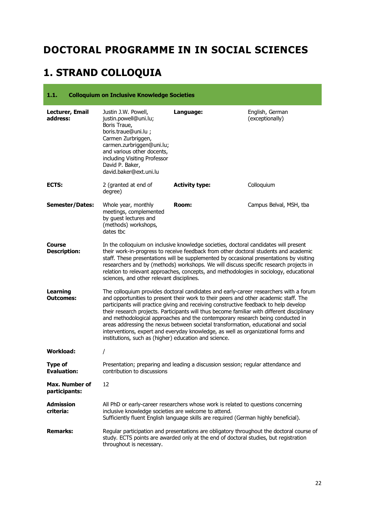# <span id="page-21-0"></span>**DOCTORAL PROGRAMME IN IN SOCIAL SCIENCES**

# <span id="page-21-1"></span>**1. STRAND COLLOQUIA**

<span id="page-21-2"></span>

| 1.1.                                   | <b>Colloquium on Inclusive Knowledge Societies</b>                                                                                                                                                                                                 |                                                                                                                                                                                                                                                                                                                                                                                                                                                                                                                                                                                                                                    |                                    |
|----------------------------------------|----------------------------------------------------------------------------------------------------------------------------------------------------------------------------------------------------------------------------------------------------|------------------------------------------------------------------------------------------------------------------------------------------------------------------------------------------------------------------------------------------------------------------------------------------------------------------------------------------------------------------------------------------------------------------------------------------------------------------------------------------------------------------------------------------------------------------------------------------------------------------------------------|------------------------------------|
| Lecturer, Email<br>address:            | Justin J.W. Powell,<br>justin.powell@uni.lu;<br>Boris Traue,<br>boris.traue@uni.lu ;<br>Carmen Zurbriggen,<br>carmen.zurbriggen@uni.lu;<br>and various other docents,<br>including Visiting Professor<br>David P. Baker,<br>david.baker@ext.uni.lu | Language:                                                                                                                                                                                                                                                                                                                                                                                                                                                                                                                                                                                                                          | English, German<br>(exceptionally) |
| ECTS:                                  | 2 (granted at end of<br>degree)                                                                                                                                                                                                                    | <b>Activity type:</b>                                                                                                                                                                                                                                                                                                                                                                                                                                                                                                                                                                                                              | Colloquium                         |
| <b>Semester/Dates:</b>                 | Whole year, monthly<br>meetings, complemented<br>by quest lectures and<br>(methods) workshops,<br>dates tbc                                                                                                                                        | <b>Room:</b>                                                                                                                                                                                                                                                                                                                                                                                                                                                                                                                                                                                                                       | Campus Belval, MSH, tba            |
| <b>Course</b><br><b>Description:</b>   | sciences, and other relevant disciplines.                                                                                                                                                                                                          | In the colloquium on inclusive knowledge societies, doctoral candidates will present<br>their work-in-progress to receive feedback from other doctoral students and academic<br>staff. These presentations will be supplemented by occasional presentations by visiting<br>researchers and by (methods) workshops. We will discuss specific research projects in<br>relation to relevant approaches, concepts, and methodologies in sociology, educational                                                                                                                                                                         |                                    |
| Learning<br><b>Outcomes:</b>           | institutions, such as (higher) education and science.                                                                                                                                                                                              | The colloquium provides doctoral candidates and early-career researchers with a forum<br>and opportunities to present their work to their peers and other academic staff. The<br>participants will practice giving and receiving constructive feedback to help develop<br>their research projects. Participants will thus become familiar with different disciplinary<br>and methodological approaches and the contemporary research being conducted in<br>areas addressing the nexus between societal transformation, educational and social<br>interventions, expert and everyday knowledge, as well as organizational forms and |                                    |
| <b>Workload:</b>                       | Ι                                                                                                                                                                                                                                                  |                                                                                                                                                                                                                                                                                                                                                                                                                                                                                                                                                                                                                                    |                                    |
| <b>Type of</b><br><b>Evaluation:</b>   | contribution to discussions                                                                                                                                                                                                                        | Presentation; preparing and leading a discussion session; regular attendance and                                                                                                                                                                                                                                                                                                                                                                                                                                                                                                                                                   |                                    |
| <b>Max. Number of</b><br>participants: | 12                                                                                                                                                                                                                                                 |                                                                                                                                                                                                                                                                                                                                                                                                                                                                                                                                                                                                                                    |                                    |
| <b>Admission</b><br>criteria:          | inclusive knowledge societies are welcome to attend.                                                                                                                                                                                               | All PhD or early-career researchers whose work is related to questions concerning<br>Sufficiently fluent English language skills are required (German highly beneficial).                                                                                                                                                                                                                                                                                                                                                                                                                                                          |                                    |
| <b>Remarks:</b>                        | throughout is necessary.                                                                                                                                                                                                                           | Regular participation and presentations are obligatory throughout the doctoral course of<br>study. ECTS points are awarded only at the end of doctoral studies, but registration                                                                                                                                                                                                                                                                                                                                                                                                                                                   |                                    |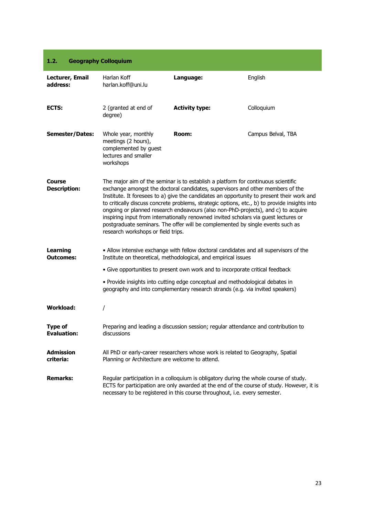#### <span id="page-22-0"></span>**1.2. Geography Colloquium**

| Lecturer, Email<br>address:         | Harlan Koff<br>harlan.koff@uni.lu                                                                        | Language:                                                                                                                                                                                                                                                                                                                                                                                                                                                                                                                                                                                                                        | English                                                                                   |
|-------------------------------------|----------------------------------------------------------------------------------------------------------|----------------------------------------------------------------------------------------------------------------------------------------------------------------------------------------------------------------------------------------------------------------------------------------------------------------------------------------------------------------------------------------------------------------------------------------------------------------------------------------------------------------------------------------------------------------------------------------------------------------------------------|-------------------------------------------------------------------------------------------|
| ECTS:                               | 2 (granted at end of<br>degree)                                                                          | <b>Activity type:</b>                                                                                                                                                                                                                                                                                                                                                                                                                                                                                                                                                                                                            | Colloquium                                                                                |
| <b>Semester/Dates:</b>              | Whole year, monthly<br>meetings (2 hours),<br>complemented by guest<br>lectures and smaller<br>workshops | Room:                                                                                                                                                                                                                                                                                                                                                                                                                                                                                                                                                                                                                            | Campus Belval, TBA                                                                        |
| Course<br><b>Description:</b>       | research workshops or field trips.                                                                       | The major aim of the seminar is to establish a platform for continuous scientific<br>exchange amongst the doctoral candidates, supervisors and other members of the<br>Institute. It foresees to a) give the candidates an opportunity to present their work and<br>to critically discuss concrete problems, strategic options, etc., b) to provide insights into<br>ongoing or planned research endeavours (also non-PhD-projects), and c) to acquire<br>inspiring input from internationally renowned invited scholars via guest lectures or<br>postgraduate seminars. The offer will be complemented by single events such as |                                                                                           |
| <b>Learning</b><br><b>Outcomes:</b> |                                                                                                          | • Allow intensive exchange with fellow doctoral candidates and all supervisors of the<br>Institute on theoretical, methodological, and empirical issues                                                                                                                                                                                                                                                                                                                                                                                                                                                                          |                                                                                           |
|                                     |                                                                                                          | • Give opportunities to present own work and to incorporate critical feedback                                                                                                                                                                                                                                                                                                                                                                                                                                                                                                                                                    |                                                                                           |
|                                     |                                                                                                          | . Provide insights into cutting edge conceptual and methodological debates in<br>geography and into complementary research strands (e.g. via invited speakers)                                                                                                                                                                                                                                                                                                                                                                                                                                                                   |                                                                                           |
| <b>Workload:</b>                    | T                                                                                                        |                                                                                                                                                                                                                                                                                                                                                                                                                                                                                                                                                                                                                                  |                                                                                           |
| Type of<br><b>Evaluation:</b>       | discussions                                                                                              | Preparing and leading a discussion session; regular attendance and contribution to                                                                                                                                                                                                                                                                                                                                                                                                                                                                                                                                               |                                                                                           |
| <b>Admission</b><br>criteria:       | Planning or Architecture are welcome to attend.                                                          | All PhD or early-career researchers whose work is related to Geography, Spatial                                                                                                                                                                                                                                                                                                                                                                                                                                                                                                                                                  |                                                                                           |
| <b>Remarks:</b>                     |                                                                                                          | Regular participation in a colloquium is obligatory during the whole course of study.<br>necessary to be registered in this course throughout, i.e. every semester.                                                                                                                                                                                                                                                                                                                                                                                                                                                              | ECTS for participation are only awarded at the end of the course of study. However, it is |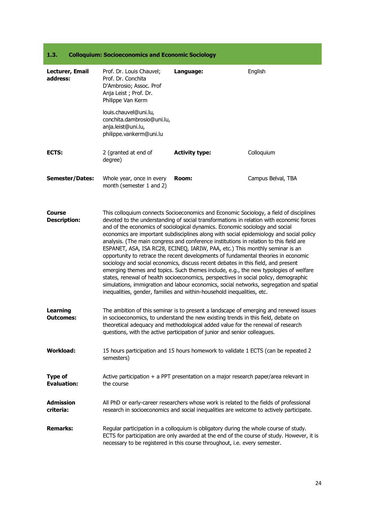### <span id="page-23-0"></span>**1.3. Colloquium: Socioeconomics and Economic Sociology**

| Lecturer, Email<br>address:          | Prof. Dr. Louis Chauvel;<br>Prof. Dr. Conchita<br>D'Ambrosio; Assoc. Prof<br>Anja Leist; Prof. Dr.<br>Philippe Van Kerm<br>louis.chauvel@uni.lu, | Language:                                                                                                                                                                                                                                                                                                                                                                                                                                                                                                                                                                                                                                                                                                                                                                                                                                                                                                                                                                                                                                                              | English                                                                                   |
|--------------------------------------|--------------------------------------------------------------------------------------------------------------------------------------------------|------------------------------------------------------------------------------------------------------------------------------------------------------------------------------------------------------------------------------------------------------------------------------------------------------------------------------------------------------------------------------------------------------------------------------------------------------------------------------------------------------------------------------------------------------------------------------------------------------------------------------------------------------------------------------------------------------------------------------------------------------------------------------------------------------------------------------------------------------------------------------------------------------------------------------------------------------------------------------------------------------------------------------------------------------------------------|-------------------------------------------------------------------------------------------|
|                                      | conchita.dambrosio@uni.lu,<br>anja.leist@uni.lu,<br>philippe.vankerm@uni.lu                                                                      |                                                                                                                                                                                                                                                                                                                                                                                                                                                                                                                                                                                                                                                                                                                                                                                                                                                                                                                                                                                                                                                                        |                                                                                           |
| ECTS:                                | 2 (granted at end of<br>degree)                                                                                                                  | <b>Activity type:</b>                                                                                                                                                                                                                                                                                                                                                                                                                                                                                                                                                                                                                                                                                                                                                                                                                                                                                                                                                                                                                                                  | Colloquium                                                                                |
| <b>Semester/Dates:</b>               | Whole year, once in every<br>month (semester 1 and 2)                                                                                            | Room:                                                                                                                                                                                                                                                                                                                                                                                                                                                                                                                                                                                                                                                                                                                                                                                                                                                                                                                                                                                                                                                                  | Campus Belval, TBA                                                                        |
| <b>Course</b><br><b>Description:</b> |                                                                                                                                                  | This colloquium connects Socioeconomics and Economic Sociology, a field of disciplines<br>devoted to the understanding of social transformations in relation with economic forces<br>and of the economics of sociological dynamics. Economic sociology and social<br>economics are important subdisciplines along with social epidemiology and social policy<br>analysis. (The main congress and conference institutions in relation to this field are<br>ESPANET, ASA, ISA RC28, ECINEQ, IARIW, PAA, etc.) This monthly seminar is an<br>opportunity to retrace the recent developments of fundamental theories in economic<br>sociology and social economics, discuss recent debates in this field, and present<br>emerging themes and topics. Such themes include, e.g., the new typologies of welfare<br>states, renewal of health socioeconomics, perspectives in social policy, demographic<br>simulations, immigration and labour economics, social networks, segregation and spatial<br>inequalities, gender, families and within-household inequalities, etc. |                                                                                           |
| <b>Learning</b><br><b>Outcomes:</b>  |                                                                                                                                                  | The ambition of this seminar is to present a landscape of emerging and renewed issues<br>in socioeconomics, to understand the new existing trends in this field, debate on<br>theoretical adequacy and methodological added value for the renewal of research<br>questions, with the active participation of junior and senior colleagues.                                                                                                                                                                                                                                                                                                                                                                                                                                                                                                                                                                                                                                                                                                                             |                                                                                           |
| <b>Workload:</b>                     | semesters)                                                                                                                                       | 15 hours participation and 15 hours homework to validate 1 ECTS (can be repeated 2                                                                                                                                                                                                                                                                                                                                                                                                                                                                                                                                                                                                                                                                                                                                                                                                                                                                                                                                                                                     |                                                                                           |
| <b>Type of</b><br><b>Evaluation:</b> | the course                                                                                                                                       | Active participation $+$ a PPT presentation on a major research paper/area relevant in                                                                                                                                                                                                                                                                                                                                                                                                                                                                                                                                                                                                                                                                                                                                                                                                                                                                                                                                                                                 |                                                                                           |
| <b>Admission</b><br>criteria:        |                                                                                                                                                  | All PhD or early-career researchers whose work is related to the fields of professional<br>research in socioeconomics and social inequalities are welcome to actively participate.                                                                                                                                                                                                                                                                                                                                                                                                                                                                                                                                                                                                                                                                                                                                                                                                                                                                                     |                                                                                           |
| <b>Remarks:</b>                      |                                                                                                                                                  | Regular participation in a colloquium is obligatory during the whole course of study.<br>necessary to be registered in this course throughout, i.e. every semester.                                                                                                                                                                                                                                                                                                                                                                                                                                                                                                                                                                                                                                                                                                                                                                                                                                                                                                    | ECTS for participation are only awarded at the end of the course of study. However, it is |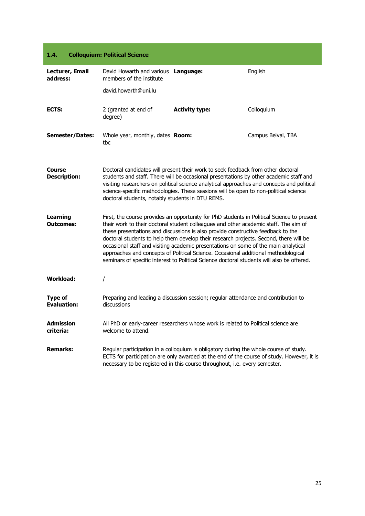<span id="page-24-0"></span>

| 1.4.                                 | <b>Colloquium: Political Science</b>                            |                                                                                                                                                                                                                                                                                                                                                                                                                                                                                                                                              |                                                                                            |
|--------------------------------------|-----------------------------------------------------------------|----------------------------------------------------------------------------------------------------------------------------------------------------------------------------------------------------------------------------------------------------------------------------------------------------------------------------------------------------------------------------------------------------------------------------------------------------------------------------------------------------------------------------------------------|--------------------------------------------------------------------------------------------|
| Lecturer, Email<br>address:          | David Howarth and various Language:<br>members of the institute |                                                                                                                                                                                                                                                                                                                                                                                                                                                                                                                                              | English                                                                                    |
|                                      | david.howarth@uni.lu                                            |                                                                                                                                                                                                                                                                                                                                                                                                                                                                                                                                              |                                                                                            |
| ECTS:                                | 2 (granted at end of<br>degree)                                 | <b>Activity type:</b>                                                                                                                                                                                                                                                                                                                                                                                                                                                                                                                        | Colloquium                                                                                 |
| <b>Semester/Dates:</b>               | Whole year, monthly, dates Room:<br>tbc                         |                                                                                                                                                                                                                                                                                                                                                                                                                                                                                                                                              | Campus Belval, TBA                                                                         |
| Course<br><b>Description:</b>        | doctoral students, notably students in DTU REMS.                | Doctoral candidates will present their work to seek feedback from other doctoral<br>students and staff. There will be occasional presentations by other academic staff and<br>visiting researchers on political science analytical approaches and concepts and political<br>science-specific methodologies. These sessions will be open to non-political science                                                                                                                                                                             |                                                                                            |
| <b>Learning</b><br><b>Outcomes:</b>  |                                                                 | their work to their doctoral student colleagues and other academic staff. The aim of<br>these presentations and discussions is also provide constructive feedback to the<br>doctoral students to help them develop their research projects. Second, there will be<br>occasional staff and visiting academic presentations on some of the main analytical<br>approaches and concepts of Political Science. Occasional additional methodological<br>seminars of specific interest to Political Science doctoral students will also be offered. | First, the course provides an opportunity for PhD students in Political Science to present |
| <b>Workload:</b>                     | T                                                               |                                                                                                                                                                                                                                                                                                                                                                                                                                                                                                                                              |                                                                                            |
| <b>Type of</b><br><b>Evaluation:</b> | discussions                                                     | Preparing and leading a discussion session; regular attendance and contribution to                                                                                                                                                                                                                                                                                                                                                                                                                                                           |                                                                                            |
| <b>Admission</b><br>criteria:        | welcome to attend.                                              | All PhD or early-career researchers whose work is related to Political science are                                                                                                                                                                                                                                                                                                                                                                                                                                                           |                                                                                            |
| <b>Remarks:</b>                      |                                                                 | Regular participation in a colloquium is obligatory during the whole course of study.<br>necessary to be registered in this course throughout, i.e. every semester.                                                                                                                                                                                                                                                                                                                                                                          | ECTS for participation are only awarded at the end of the course of study. However, it is  |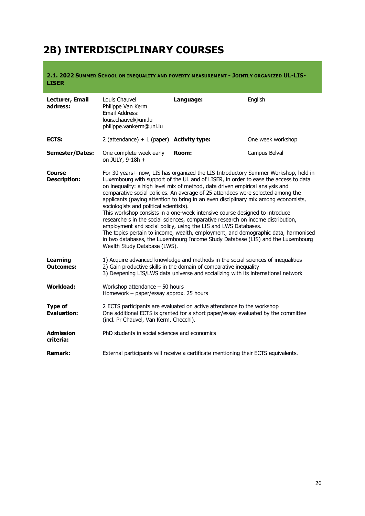# <span id="page-25-0"></span>**2B) INTERDISCIPLINARY COURSES**

<span id="page-25-1"></span>**2.1. 2022 SUMMER SCHOOL ON INEQUALITY AND POVERTY MEASUREMENT - JOINTLY ORGANIZED UL-LIS-LISER**

| Lecturer, Email<br>address:          | Louis Chauvel<br>Philippe Van Kerm<br>Email Address:<br>louis.chauvel@uni.lu<br>philippe.vankerm@uni.lu                                                                                                                                                                                                                                                                                                                                                                                                                                                                                                                                                                                                                                                                                                                                                                                                                       | Language:                                                                                                                                                   | English           |
|--------------------------------------|-------------------------------------------------------------------------------------------------------------------------------------------------------------------------------------------------------------------------------------------------------------------------------------------------------------------------------------------------------------------------------------------------------------------------------------------------------------------------------------------------------------------------------------------------------------------------------------------------------------------------------------------------------------------------------------------------------------------------------------------------------------------------------------------------------------------------------------------------------------------------------------------------------------------------------|-------------------------------------------------------------------------------------------------------------------------------------------------------------|-------------------|
| ECTS:                                | 2 (attendance) + 1 (paper) <b>Activity type:</b>                                                                                                                                                                                                                                                                                                                                                                                                                                                                                                                                                                                                                                                                                                                                                                                                                                                                              |                                                                                                                                                             | One week workshop |
| <b>Semester/Dates:</b>               | One complete week early<br>on JULY, 9-18h +                                                                                                                                                                                                                                                                                                                                                                                                                                                                                                                                                                                                                                                                                                                                                                                                                                                                                   | Room:                                                                                                                                                       | Campus Belval     |
| <b>Course</b><br><b>Description:</b> | For 30 years+ now, LIS has organized the LIS Introductory Summer Workshop, held in<br>Luxembourg with support of the UL and of LISER, in order to ease the access to data<br>on inequality: a high level mix of method, data driven empirical analysis and<br>comparative social policies. An average of 25 attendees were selected among the<br>applicants (paying attention to bring in an even disciplinary mix among economists,<br>sociologists and political scientists).<br>This workshop consists in a one-week intensive course designed to introduce<br>researchers in the social sciences, comparative research on income distribution,<br>employment and social policy, using the LIS and LWS Databases.<br>The topics pertain to income, wealth, employment, and demographic data, harmonised<br>in two databases, the Luxembourg Income Study Database (LIS) and the Luxembourg<br>Wealth Study Database (LWS). |                                                                                                                                                             |                   |
| <b>Learning</b><br><b>Outcomes:</b>  | 1) Acquire advanced knowledge and methods in the social sciences of inequalities<br>2) Gain productive skills in the domain of comparative inequality<br>3) Deepening LIS/LWS data universe and socializing with its international network                                                                                                                                                                                                                                                                                                                                                                                                                                                                                                                                                                                                                                                                                    |                                                                                                                                                             |                   |
| <b>Workload:</b>                     | Workshop attendance $-50$ hours<br>Homework - paper/essay approx. 25 hours                                                                                                                                                                                                                                                                                                                                                                                                                                                                                                                                                                                                                                                                                                                                                                                                                                                    |                                                                                                                                                             |                   |
| <b>Type of</b><br><b>Evaluation:</b> | (incl. Pr Chauvel, Van Kerm, Checchi).                                                                                                                                                                                                                                                                                                                                                                                                                                                                                                                                                                                                                                                                                                                                                                                                                                                                                        | 2 ECTS participants are evaluated on active attendance to the workshop<br>One additional ECTS is granted for a short paper/essay evaluated by the committee |                   |
| <b>Admission</b><br>criteria:        | PhD students in social sciences and economics                                                                                                                                                                                                                                                                                                                                                                                                                                                                                                                                                                                                                                                                                                                                                                                                                                                                                 |                                                                                                                                                             |                   |
| <b>Remark:</b>                       |                                                                                                                                                                                                                                                                                                                                                                                                                                                                                                                                                                                                                                                                                                                                                                                                                                                                                                                               | External participants will receive a certificate mentioning their ECTS equivalents.                                                                         |                   |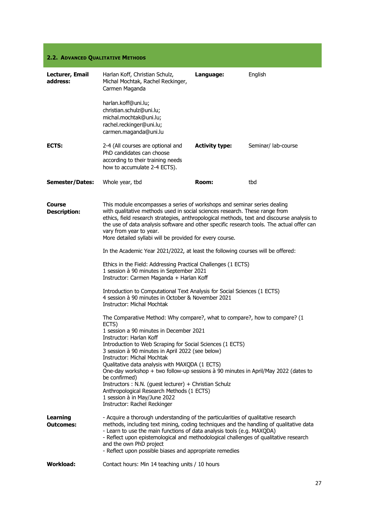#### <span id="page-26-0"></span>**2.2. ADVANCED QUALITATIVE METHODS**

| Lecturer, Email<br>address:         | Harlan Koff, Christian Schulz,<br>Michal Mochtak, Rachel Reckinger,<br>Carmen Maganda                                                                                                                                                                                                                                                                                                                                                     | Language:             | English             |
|-------------------------------------|-------------------------------------------------------------------------------------------------------------------------------------------------------------------------------------------------------------------------------------------------------------------------------------------------------------------------------------------------------------------------------------------------------------------------------------------|-----------------------|---------------------|
|                                     | harlan.koff@uni.lu;<br>christian.schulz@uni.lu;<br>michal.mochtak@uni.lu;<br>rachel.reckinger@uni.lu;<br>carmen.maganda@uni.lu                                                                                                                                                                                                                                                                                                            |                       |                     |
| ECTS:                               | 2-4 (All courses are optional and<br>PhD candidates can choose<br>according to their training needs<br>how to accumulate 2-4 ECTS).                                                                                                                                                                                                                                                                                                       | <b>Activity type:</b> | Seminar/ lab-course |
| <b>Semester/Dates:</b>              | Whole year, tbd                                                                                                                                                                                                                                                                                                                                                                                                                           | Room:                 | tbd                 |
| Course<br><b>Description:</b>       | This module encompasses a series of workshops and seminar series dealing<br>with qualitative methods used in social sciences research. These range from<br>ethics, field research strategies, anthropological methods, text and discourse analysis to<br>the use of data analysis software and other specific research tools. The actual offer can<br>vary from year to year.<br>More detailed syllabi will be provided for every course. |                       |                     |
|                                     | In the Academic Year 2021/2022, at least the following courses will be offered:                                                                                                                                                                                                                                                                                                                                                           |                       |                     |
|                                     | Ethics in the Field: Addressing Practical Challenges (1 ECTS)<br>1 session à 90 minutes in September 2021<br>Instructor: Carmen Maganda + Harlan Koff                                                                                                                                                                                                                                                                                     |                       |                     |
|                                     | Introduction to Computational Text Analysis for Social Sciences (1 ECTS)<br>4 session à 90 minutes in October & November 2021<br>Instructor: Michal Mochtak                                                                                                                                                                                                                                                                               |                       |                     |
|                                     | The Comparative Method: Why compare?, what to compare?, how to compare? (1<br>ECTS)<br>1 session a 90 minutes in December 2021<br>Instructor: Harlan Koff<br>Introduction to Web Scraping for Social Sciences (1 ECTS)<br>3 session à 90 minutes in April 2022 (see below)                                                                                                                                                                |                       |                     |
|                                     | <b>Instructor: Michal Mochtak</b><br>Qualitative data analysis with MAXQDA (1 ECTS)<br>One-day workshop + two follow-up sessions à 90 minutes in April/May 2022 (dates to<br>be confirmed)<br>Instructors : N.N. (guest lecturer) + Christian Schulz<br>Anthropological Research Methods (1 ECTS)<br>1 session à in May/June 2022<br>Instructor: Rachel Reckinger                                                                         |                       |                     |
| <b>Learning</b><br><b>Outcomes:</b> | - Acquire a thorough understanding of the particularities of qualitative research<br>methods, including text mining, coding techniques and the handling of qualitative data<br>- Learn to use the main functions of data analysis tools (e.g. MAXQDA)<br>- Reflect upon epistemological and methodological challenges of qualitative research<br>and the own PhD project<br>- Reflect upon possible biases and appropriate remedies       |                       |                     |
| <b>Workload:</b>                    | Contact hours: Min 14 teaching units / 10 hours                                                                                                                                                                                                                                                                                                                                                                                           |                       |                     |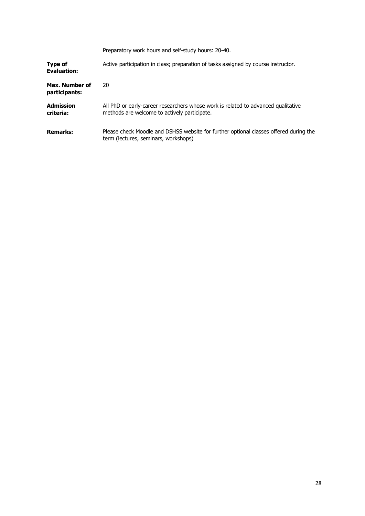|                                 | Preparatory work hours and self-study hours: 20-40.                                                                               |
|---------------------------------|-----------------------------------------------------------------------------------------------------------------------------------|
| Type of<br><b>Evaluation:</b>   | Active participation in class; preparation of tasks assigned by course instructor.                                                |
| Max. Number of<br>participants: | 20                                                                                                                                |
| <b>Admission</b><br>criteria:   | All PhD or early-career researchers whose work is related to advanced qualitative<br>methods are welcome to actively participate. |
| <b>Remarks:</b>                 | Please check Moodle and DSHSS website for further optional classes offered during the<br>term (lectures, seminars, workshops)     |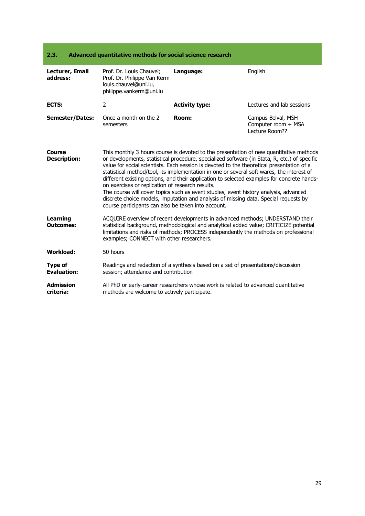<span id="page-28-0"></span>

| 2.3.<br>Advanced quantitative methods for social science research |                                                                                                                                                                                                                                                                                                                                                                                                                                                                                                                                                                                                                                                                                                                                                                           |                                                                                  |                                                             |
|-------------------------------------------------------------------|---------------------------------------------------------------------------------------------------------------------------------------------------------------------------------------------------------------------------------------------------------------------------------------------------------------------------------------------------------------------------------------------------------------------------------------------------------------------------------------------------------------------------------------------------------------------------------------------------------------------------------------------------------------------------------------------------------------------------------------------------------------------------|----------------------------------------------------------------------------------|-------------------------------------------------------------|
| Lecturer, Email<br>address:                                       | Prof. Dr. Louis Chauvel;<br>Prof. Dr. Philippe Van Kerm<br>louis.chauvel@uni.lu,<br>philippe.vankerm@uni.lu                                                                                                                                                                                                                                                                                                                                                                                                                                                                                                                                                                                                                                                               | Language:                                                                        | English                                                     |
| ECTS:                                                             | $\overline{2}$                                                                                                                                                                                                                                                                                                                                                                                                                                                                                                                                                                                                                                                                                                                                                            | <b>Activity type:</b>                                                            | Lectures and lab sessions                                   |
| <b>Semester/Dates:</b>                                            | Once a month on the 2<br>semesters                                                                                                                                                                                                                                                                                                                                                                                                                                                                                                                                                                                                                                                                                                                                        | Room:                                                                            | Campus Belval, MSH<br>Computer room + MSA<br>Lecture Room?? |
| Course<br><b>Description:</b>                                     | This monthly 3 hours course is devoted to the presentation of new quantitative methods<br>or developments, statistical procedure, specialized software (in Stata, R, etc.) of specific<br>value for social scientists. Each session is devoted to the theoretical presentation of a<br>statistical method/tool, its implementation in one or several soft wares, the interest of<br>different existing options, and their application to selected examples for concrete hands-<br>on exercises or replication of research results.<br>The course will cover topics such as event studies, event history analysis, advanced<br>discrete choice models, imputation and analysis of missing data. Special requests by<br>course participants can also be taken into account. |                                                                                  |                                                             |
| <b>Learning</b><br><b>Outcomes:</b>                               | ACQUIRE overview of recent developments in advanced methods; UNDERSTAND their<br>statistical background, methodological and analytical added value; CRITICIZE potential<br>limitations and risks of methods; PROCESS independently the methods on professional<br>examples; CONNECT with other researchers.                                                                                                                                                                                                                                                                                                                                                                                                                                                               |                                                                                  |                                                             |
| <b>Workload:</b>                                                  | 50 hours                                                                                                                                                                                                                                                                                                                                                                                                                                                                                                                                                                                                                                                                                                                                                                  |                                                                                  |                                                             |
| <b>Type of</b><br><b>Evaluation:</b>                              | session; attendance and contribution                                                                                                                                                                                                                                                                                                                                                                                                                                                                                                                                                                                                                                                                                                                                      | Readings and redaction of a synthesis based on a set of presentations/discussion |                                                             |

**Admission criteria:** All PhD or early-career researchers whose work is related to advanced quantitative methods are welcome to actively participate.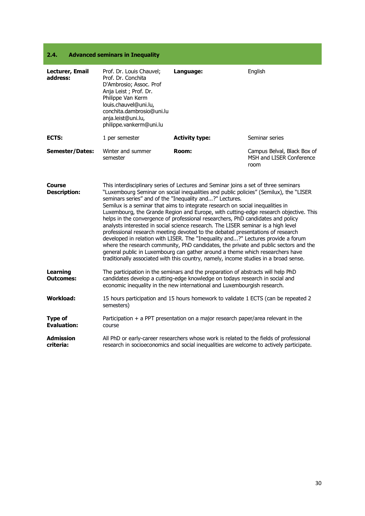#### <span id="page-29-0"></span>**2.4. Advanced seminars in Inequality**

| Lecturer, Email<br>address:          | Prof. Dr. Louis Chauvel;<br>Prof. Dr. Conchita<br>D'Ambrosio; Assoc. Prof<br>Anja Leist; Prof. Dr.<br>Philippe Van Kerm<br>louis.chauvel@uni.lu,<br>conchita.dambrosio@uni.lu<br>anja.leist@uni.lu,<br>philippe.vankerm@uni.lu                                                                                                                                                                                                                                                                                                                                                                                                                                                                                                                                                                                                                                                                                                                                                                                                   | Language:                                                                                                                                                                          | English                                                         |
|--------------------------------------|----------------------------------------------------------------------------------------------------------------------------------------------------------------------------------------------------------------------------------------------------------------------------------------------------------------------------------------------------------------------------------------------------------------------------------------------------------------------------------------------------------------------------------------------------------------------------------------------------------------------------------------------------------------------------------------------------------------------------------------------------------------------------------------------------------------------------------------------------------------------------------------------------------------------------------------------------------------------------------------------------------------------------------|------------------------------------------------------------------------------------------------------------------------------------------------------------------------------------|-----------------------------------------------------------------|
| ECTS:                                | 1 per semester                                                                                                                                                                                                                                                                                                                                                                                                                                                                                                                                                                                                                                                                                                                                                                                                                                                                                                                                                                                                                   | <b>Activity type:</b>                                                                                                                                                              | Seminar series                                                  |
| <b>Semester/Dates:</b>               | Winter and summer<br>semester                                                                                                                                                                                                                                                                                                                                                                                                                                                                                                                                                                                                                                                                                                                                                                                                                                                                                                                                                                                                    | Room:                                                                                                                                                                              | Campus Belval, Black Box of<br>MSH and LISER Conference<br>room |
| <b>Course</b><br><b>Description:</b> | This interdisciplinary series of Lectures and Seminar joins a set of three seminars<br>"Luxembourg Seminar on social inequalities and public policies" (Semilux), the "LISER<br>seminars series" and of the "Inequality and?" Lectures.<br>Semilux is a seminar that aims to integrate research on social inequalities in<br>Luxembourg, the Grande Region and Europe, with cutting-edge research objective. This<br>helps in the convergence of professional researchers, PhD candidates and policy<br>analysts interested in social science research. The LISER seminar is a high level<br>professional research meeting devoted to the debated presentations of research<br>developed in relation with LISER. The "Inequality and?" Lectures provide a forum<br>where the research community, PhD candidates, the private and public sectors and the<br>general public in Luxembourg can gather around a theme which researchers have<br>traditionally associated with this country, namely, income studies in a broad sense. |                                                                                                                                                                                    |                                                                 |
| Learning<br><b>Outcomes:</b>         | The participation in the seminars and the preparation of abstracts will help PhD<br>candidates develop a cutting-edge knowledge on todays research in social and<br>economic inequality in the new international and Luxembourgish research.                                                                                                                                                                                                                                                                                                                                                                                                                                                                                                                                                                                                                                                                                                                                                                                     |                                                                                                                                                                                    |                                                                 |
| Workload:                            | semesters)                                                                                                                                                                                                                                                                                                                                                                                                                                                                                                                                                                                                                                                                                                                                                                                                                                                                                                                                                                                                                       | 15 hours participation and 15 hours homework to validate 1 ECTS (can be repeated 2                                                                                                 |                                                                 |
| <b>Type of</b><br><b>Evaluation:</b> | course                                                                                                                                                                                                                                                                                                                                                                                                                                                                                                                                                                                                                                                                                                                                                                                                                                                                                                                                                                                                                           | Participation + a PPT presentation on a major research paper/area relevant in the                                                                                                  |                                                                 |
| <b>Admission</b><br>criteria:        |                                                                                                                                                                                                                                                                                                                                                                                                                                                                                                                                                                                                                                                                                                                                                                                                                                                                                                                                                                                                                                  | All PhD or early-career researchers whose work is related to the fields of professional<br>research in socioeconomics and social inequalities are welcome to actively participate. |                                                                 |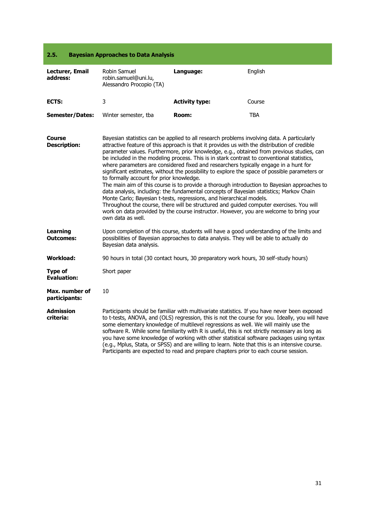#### <span id="page-30-0"></span>**2.5. Bayesian Approaches to Data Analysis**

| Lecturer, Email<br>address:          | Robin Samuel<br>robin.samuel@uni.lu,<br>Alessandro Procopio (TA)                                                                                                                                                                                                                                                                                                                                                                                                                                                                                                                                                                                                                                                                                                                                                                                                                                                                                                                                                                                                                                       | Language:             | English    |
|--------------------------------------|--------------------------------------------------------------------------------------------------------------------------------------------------------------------------------------------------------------------------------------------------------------------------------------------------------------------------------------------------------------------------------------------------------------------------------------------------------------------------------------------------------------------------------------------------------------------------------------------------------------------------------------------------------------------------------------------------------------------------------------------------------------------------------------------------------------------------------------------------------------------------------------------------------------------------------------------------------------------------------------------------------------------------------------------------------------------------------------------------------|-----------------------|------------|
| ECTS:                                | 3                                                                                                                                                                                                                                                                                                                                                                                                                                                                                                                                                                                                                                                                                                                                                                                                                                                                                                                                                                                                                                                                                                      | <b>Activity type:</b> | Course     |
| <b>Semester/Dates:</b>               | Winter semester, tba                                                                                                                                                                                                                                                                                                                                                                                                                                                                                                                                                                                                                                                                                                                                                                                                                                                                                                                                                                                                                                                                                   | Room:                 | <b>TBA</b> |
| Course<br><b>Description:</b>        | Bayesian statistics can be applied to all research problems involving data. A particularly<br>attractive feature of this approach is that it provides us with the distribution of credible<br>parameter values. Furthermore, prior knowledge, e.g., obtained from previous studies, can<br>be included in the modeling process. This is in stark contrast to conventional statistics,<br>where parameters are considered fixed and researchers typically engage in a hunt for<br>significant estimates, without the possibility to explore the space of possible parameters or<br>to formally account for prior knowledge.<br>The main aim of this course is to provide a thorough introduction to Bayesian approaches to<br>data analysis, including: the fundamental concepts of Bayesian statistics; Markov Chain<br>Monte Carlo; Bayesian t-tests, regressions, and hierarchical models.<br>Throughout the course, there will be structured and guided computer exercises. You will<br>work on data provided by the course instructor. However, you are welcome to bring your<br>own data as well. |                       |            |
| <b>Learning</b><br><b>Outcomes:</b>  | Upon completion of this course, students will have a good understanding of the limits and<br>possibilities of Bayesian approaches to data analysis. They will be able to actually do<br>Bayesian data analysis.                                                                                                                                                                                                                                                                                                                                                                                                                                                                                                                                                                                                                                                                                                                                                                                                                                                                                        |                       |            |
| Workload:                            | 90 hours in total (30 contact hours, 30 preparatory work hours, 30 self-study hours)                                                                                                                                                                                                                                                                                                                                                                                                                                                                                                                                                                                                                                                                                                                                                                                                                                                                                                                                                                                                                   |                       |            |
| <b>Type of</b><br><b>Evaluation:</b> | Short paper                                                                                                                                                                                                                                                                                                                                                                                                                                                                                                                                                                                                                                                                                                                                                                                                                                                                                                                                                                                                                                                                                            |                       |            |
| Max. number of<br>participants:      | 10                                                                                                                                                                                                                                                                                                                                                                                                                                                                                                                                                                                                                                                                                                                                                                                                                                                                                                                                                                                                                                                                                                     |                       |            |
| Admission<br>criteria:               | Participants should be familiar with multivariate statistics. If you have never been exposed<br>to t-tests, ANOVA, and (OLS) regression, this is not the course for you. Ideally, you will have<br>some elementary knowledge of multilevel regressions as well. We will mainly use the<br>software R. While some familiarity with R is useful, this is not strictly necessary as long as<br>you have some knowledge of working with other statistical software packages using syntax<br>(e.g., Mplus, Stata, or SPSS) and are willing to learn. Note that this is an intensive course.<br>Participants are expected to read and prepare chapters prior to each course session.                                                                                                                                                                                                                                                                                                                                                                                                                         |                       |            |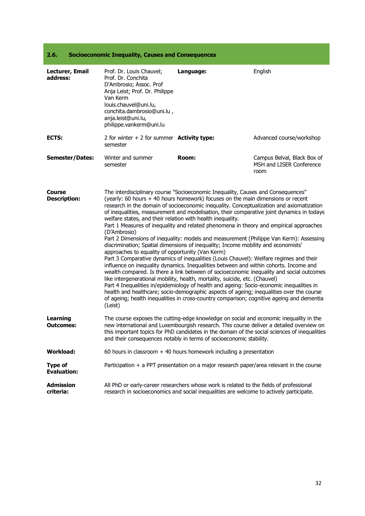#### <span id="page-31-0"></span>**2.6. Socioeconomic Inequality, Causes and Consequences**

| Lecturer, Email<br>address:          | Prof. Dr. Louis Chauvel;<br>Prof. Dr. Conchita<br>D'Ambrosio; Assoc. Prof<br>Anja Leist; Prof. Dr. Philippe<br>Van Kerm<br>louis.chauvel@uni.lu,<br>conchita.dambrosio@uni.lu,<br>anja.leist@uni.lu,<br>philippe.vankerm@uni.lu                                                                                                                                                                                                                                                                                                                                                                                                                                                                                                                                                                                                                                                                                                                                                                                                                                                                                                                                                                                                                                                                                                                                                                                                       | Language:                                                                                                                                                                          | English                                                         |
|--------------------------------------|---------------------------------------------------------------------------------------------------------------------------------------------------------------------------------------------------------------------------------------------------------------------------------------------------------------------------------------------------------------------------------------------------------------------------------------------------------------------------------------------------------------------------------------------------------------------------------------------------------------------------------------------------------------------------------------------------------------------------------------------------------------------------------------------------------------------------------------------------------------------------------------------------------------------------------------------------------------------------------------------------------------------------------------------------------------------------------------------------------------------------------------------------------------------------------------------------------------------------------------------------------------------------------------------------------------------------------------------------------------------------------------------------------------------------------------|------------------------------------------------------------------------------------------------------------------------------------------------------------------------------------|-----------------------------------------------------------------|
| ECTS:                                | 2 for winter $+ 2$ for summer <b>Activity type:</b><br>semester                                                                                                                                                                                                                                                                                                                                                                                                                                                                                                                                                                                                                                                                                                                                                                                                                                                                                                                                                                                                                                                                                                                                                                                                                                                                                                                                                                       |                                                                                                                                                                                    | Advanced course/workshop                                        |
| <b>Semester/Dates:</b>               | Winter and summer<br>semester                                                                                                                                                                                                                                                                                                                                                                                                                                                                                                                                                                                                                                                                                                                                                                                                                                                                                                                                                                                                                                                                                                                                                                                                                                                                                                                                                                                                         | Room:                                                                                                                                                                              | Campus Belval, Black Box of<br>MSH and LISER Conference<br>room |
| <b>Course</b><br><b>Description:</b> | The interdisciplinary course "Socioeconomic Inequality, Causes and Consequences"<br>(yearly: 60 hours + 40 hours homework) focuses on the main dimensions or recent<br>research in the domain of socioeconomic inequality. Conceptualization and axiomatization<br>of inequalities, measurement and modelisation, their comparative joint dynamics in todays<br>welfare states, and their relation with health inequality.<br>Part 1 Measures of inequality and related phenomena in theory and empirical approaches<br>(D'Ambrosio)<br>Part 2 Dimensions of inequality: models and measurement (Philippe Van Kerm): Assessing<br>discrimination; Spatial dimensions of inequality; Income mobility and economists'<br>approaches to equality of opportunity (Van Kerm)<br>Part 3 Comparative dynamics of inequalities (Louis Chauvel): Welfare regimes and their<br>influence on inequality dynamics. Inequalities between and within cohorts. Income and<br>wealth compared. Is there a link between of socioeconomic inequality and social outcomes<br>like intergenerational mobility, health, mortality, suicide, etc. (Chauvel)<br>Part 4 Inequalities in/epidemiology of health and ageing: Socio-economic inequalities in<br>health and healthcare; socio-demographic aspects of ageing; inequalities over the course<br>of ageing; health inequalities in cross-country comparison; cognitive ageing and dementia<br>(Leist) |                                                                                                                                                                                    |                                                                 |
| <b>Learning</b><br><b>Outcomes:</b>  | The course exposes the cutting-edge knowledge on social and economic inequality in the<br>new international and Luxembourgish research. This course deliver a detailed overview on<br>this important topics for PhD candidates in the domain of the social sciences of inequalities<br>and their consequences notably in terms of socioeconomic stability.                                                                                                                                                                                                                                                                                                                                                                                                                                                                                                                                                                                                                                                                                                                                                                                                                                                                                                                                                                                                                                                                            |                                                                                                                                                                                    |                                                                 |
| <b>Workload:</b>                     |                                                                                                                                                                                                                                                                                                                                                                                                                                                                                                                                                                                                                                                                                                                                                                                                                                                                                                                                                                                                                                                                                                                                                                                                                                                                                                                                                                                                                                       | 60 hours in classroom $+$ 40 hours homework including a presentation                                                                                                               |                                                                 |
| <b>Type of</b><br><b>Evaluation:</b> |                                                                                                                                                                                                                                                                                                                                                                                                                                                                                                                                                                                                                                                                                                                                                                                                                                                                                                                                                                                                                                                                                                                                                                                                                                                                                                                                                                                                                                       | Participation $+$ a PPT presentation on a major research paper/area relevant in the course                                                                                         |                                                                 |
| <b>Admission</b><br>criteria:        |                                                                                                                                                                                                                                                                                                                                                                                                                                                                                                                                                                                                                                                                                                                                                                                                                                                                                                                                                                                                                                                                                                                                                                                                                                                                                                                                                                                                                                       | All PhD or early-career researchers whose work is related to the fields of professional<br>research in socioeconomics and social inequalities are welcome to actively participate. |                                                                 |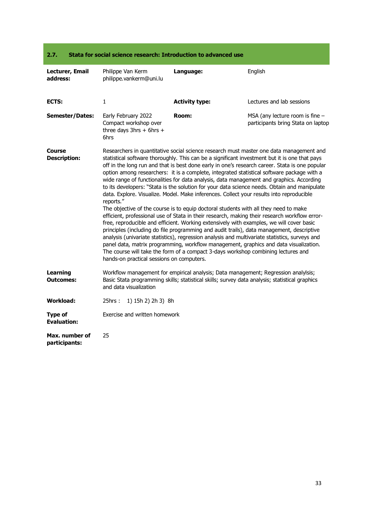<span id="page-32-0"></span>

| Stata for social science research: Introduction to advanced use<br>2.7. |                                                                                                                                                                                                                                                                                                                                                                                                                                                                                                                                                                                                                                                                                                                                                                                                                                                                                                                                                                                                                                                                                                                                                                                                                                                                                                                                                                                                              |                       |                                                                         |  |
|-------------------------------------------------------------------------|--------------------------------------------------------------------------------------------------------------------------------------------------------------------------------------------------------------------------------------------------------------------------------------------------------------------------------------------------------------------------------------------------------------------------------------------------------------------------------------------------------------------------------------------------------------------------------------------------------------------------------------------------------------------------------------------------------------------------------------------------------------------------------------------------------------------------------------------------------------------------------------------------------------------------------------------------------------------------------------------------------------------------------------------------------------------------------------------------------------------------------------------------------------------------------------------------------------------------------------------------------------------------------------------------------------------------------------------------------------------------------------------------------------|-----------------------|-------------------------------------------------------------------------|--|
| Lecturer, Email<br>address:                                             | Philippe Van Kerm<br>philippe.vankerm@uni.lu                                                                                                                                                                                                                                                                                                                                                                                                                                                                                                                                                                                                                                                                                                                                                                                                                                                                                                                                                                                                                                                                                                                                                                                                                                                                                                                                                                 | Language:             | English                                                                 |  |
| ECTS:                                                                   | $\mathbf{1}$                                                                                                                                                                                                                                                                                                                                                                                                                                                                                                                                                                                                                                                                                                                                                                                                                                                                                                                                                                                                                                                                                                                                                                                                                                                                                                                                                                                                 | <b>Activity type:</b> | Lectures and lab sessions                                               |  |
| <b>Semester/Dates:</b>                                                  | Early February 2022<br>Compact workshop over<br>three days $3hrs + 6hrs +$<br>6hrs                                                                                                                                                                                                                                                                                                                                                                                                                                                                                                                                                                                                                                                                                                                                                                                                                                                                                                                                                                                                                                                                                                                                                                                                                                                                                                                           | Room:                 | MSA (any lecture room is fine $-$<br>participants bring Stata on laptop |  |
| Course<br><b>Description:</b>                                           | Researchers in quantitative social science research must master one data management and<br>statistical software thoroughly. This can be a significant investment but it is one that pays<br>off in the long run and that is best done early in one's research career. Stata is one popular<br>option among researchers: it is a complete, integrated statistical software package with a<br>wide range of functionalities for data analysis, data management and graphics. According<br>to its developers: "Stata is the solution for your data science needs. Obtain and manipulate<br>data. Explore. Visualize. Model. Make inferences. Collect your results into reproducible<br>reports."<br>The objective of the course is to equip doctoral students with all they need to make<br>efficient, professional use of Stata in their research, making their research workflow error-<br>free, reproducible and efficient. Working extensively with examples, we will cover basic<br>principles (including do file programming and audit trails), data management, descriptive<br>analysis (univariate statistics), regression analysis and multivariate statistics, surveys and<br>panel data, matrix programming, workflow management, graphics and data visualization.<br>The course will take the form of a compact 3-days workshop combining lectures and<br>hands-on practical sessions on computers. |                       |                                                                         |  |
| <b>Learning</b><br><b>Outcomes:</b>                                     | Workflow management for empirical analysis; Data management; Regression analylsis;<br>Basic Stata programming skills; statistical skills; survey data analysis; statistical graphics<br>and data visualization                                                                                                                                                                                                                                                                                                                                                                                                                                                                                                                                                                                                                                                                                                                                                                                                                                                                                                                                                                                                                                                                                                                                                                                               |                       |                                                                         |  |
| <b>Workload:</b>                                                        | 25hrs :<br>1) 15h 2) 2h 3) 8h                                                                                                                                                                                                                                                                                                                                                                                                                                                                                                                                                                                                                                                                                                                                                                                                                                                                                                                                                                                                                                                                                                                                                                                                                                                                                                                                                                                |                       |                                                                         |  |
| <b>Type of</b><br><b>Evaluation:</b>                                    | Exercise and written homework                                                                                                                                                                                                                                                                                                                                                                                                                                                                                                                                                                                                                                                                                                                                                                                                                                                                                                                                                                                                                                                                                                                                                                                                                                                                                                                                                                                |                       |                                                                         |  |
| Max. number of<br>participants:                                         | 25                                                                                                                                                                                                                                                                                                                                                                                                                                                                                                                                                                                                                                                                                                                                                                                                                                                                                                                                                                                                                                                                                                                                                                                                                                                                                                                                                                                                           |                       |                                                                         |  |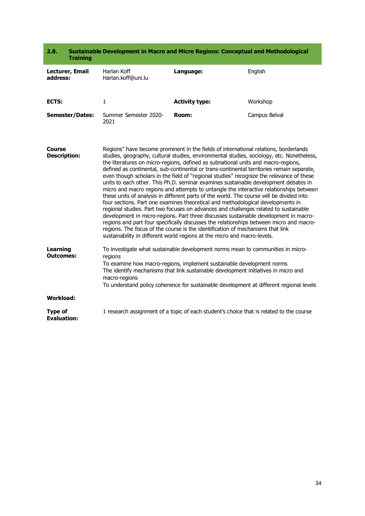<span id="page-33-0"></span>

| 2.8.<br><b>Training</b>              |                                                                                                                                                                                                                                                                                                                                                                                                                                                                                                                                                                                                                                                                                                                                                                                                                                                                                                                                                                                                                                                                                                                                                                                                                                                                          | Sustainable Development in Macro and Micro Regions: Conceptual and Methodological       |               |
|--------------------------------------|--------------------------------------------------------------------------------------------------------------------------------------------------------------------------------------------------------------------------------------------------------------------------------------------------------------------------------------------------------------------------------------------------------------------------------------------------------------------------------------------------------------------------------------------------------------------------------------------------------------------------------------------------------------------------------------------------------------------------------------------------------------------------------------------------------------------------------------------------------------------------------------------------------------------------------------------------------------------------------------------------------------------------------------------------------------------------------------------------------------------------------------------------------------------------------------------------------------------------------------------------------------------------|-----------------------------------------------------------------------------------------|---------------|
| Lecturer, Email<br>address:          | Harlan Koff<br>Harlan.koff@uni.lu                                                                                                                                                                                                                                                                                                                                                                                                                                                                                                                                                                                                                                                                                                                                                                                                                                                                                                                                                                                                                                                                                                                                                                                                                                        | Language:                                                                               | English       |
| ECTS:                                | $\mathbf{1}$                                                                                                                                                                                                                                                                                                                                                                                                                                                                                                                                                                                                                                                                                                                                                                                                                                                                                                                                                                                                                                                                                                                                                                                                                                                             | <b>Activity type:</b>                                                                   | Workshop      |
| <b>Semester/Dates:</b>               | Summer Semester 2020-<br>2021                                                                                                                                                                                                                                                                                                                                                                                                                                                                                                                                                                                                                                                                                                                                                                                                                                                                                                                                                                                                                                                                                                                                                                                                                                            | Room:                                                                                   | Campus Belval |
| Course<br><b>Description:</b>        | Regions" have become prominent in the fields of international relations, borderlands<br>studies, geography, cultural studies, environmental studies, sociology, etc. Nonetheless,<br>the literatures on micro-regions, defined as subnational units and macro-regions,<br>defined as continental, sub-continental or trans-continental territories remain separate,<br>even though scholars in the field of "regional studies" recognize the relevance of these<br>units to each other. This Ph.D. seminar examines sustainable development debates in<br>micro and macro regions and attempts to untangle the interactive relationships between<br>these units of analysis in different parts of the world. The course will be divided into<br>four sections. Part one examines theoretical and methodological developments in<br>regional studies. Part two focuses on advances and challenges related to sustainable<br>development in micro-regions. Part three discusses sustainable development in macro-<br>regions and part four specifically discusses the relationships between micro and macro-<br>regions. The focus of the course is the identification of mechanisms that link<br>sustainability in different world regions at the micro and macro-levels. |                                                                                         |               |
| <b>Learning</b><br><b>Outcomes:</b>  | To investigate what sustainable development norms mean to communities in micro-<br>regions<br>To examine how macro-regions, implement sustainable development norms<br>The identify mechanisms that link sustainable development initiatives in micro and<br>macro-regions<br>To understand policy coherence for sustainable development at different regional levels                                                                                                                                                                                                                                                                                                                                                                                                                                                                                                                                                                                                                                                                                                                                                                                                                                                                                                    |                                                                                         |               |
| <b>Workload:</b>                     |                                                                                                                                                                                                                                                                                                                                                                                                                                                                                                                                                                                                                                                                                                                                                                                                                                                                                                                                                                                                                                                                                                                                                                                                                                                                          |                                                                                         |               |
| <b>Type of</b><br><b>Evaluation:</b> |                                                                                                                                                                                                                                                                                                                                                                                                                                                                                                                                                                                                                                                                                                                                                                                                                                                                                                                                                                                                                                                                                                                                                                                                                                                                          | 1 research assignment of a topic of each student's choice that is related to the course |               |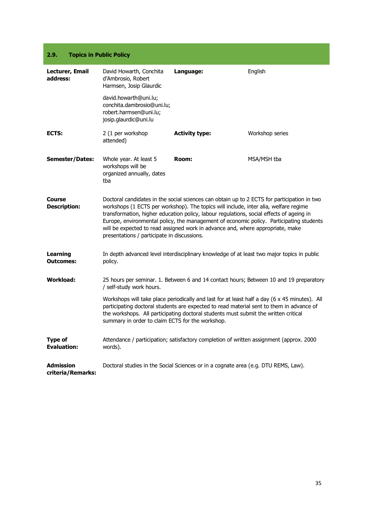#### <span id="page-34-0"></span>**2.9. Topics in Public Policy**

| Lecturer, Email<br>address:           | David Howarth, Conchita<br>d'Ambrosio, Robert<br>Harmsen, Josip Glaurdic                                                                                                                                                                                                                                                                                                                                                                                                                                    | Language:             | English         |
|---------------------------------------|-------------------------------------------------------------------------------------------------------------------------------------------------------------------------------------------------------------------------------------------------------------------------------------------------------------------------------------------------------------------------------------------------------------------------------------------------------------------------------------------------------------|-----------------------|-----------------|
|                                       | david.howarth@uni.lu;<br>conchita.dambrosio@uni.lu;<br>robert.harmsen@uni.lu;<br>josip.glaurdic@uni.lu                                                                                                                                                                                                                                                                                                                                                                                                      |                       |                 |
| ECTS:                                 | 2 (1 per workshop<br>attended)                                                                                                                                                                                                                                                                                                                                                                                                                                                                              | <b>Activity type:</b> | Workshop series |
| <b>Semester/Dates:</b>                | Whole year. At least 5<br>workshops will be<br>organized annually, dates<br>tba                                                                                                                                                                                                                                                                                                                                                                                                                             | Room:                 | MSA/MSH tba     |
| Course<br><b>Description:</b>         | Doctoral candidates in the social sciences can obtain up to 2 ECTS for participation in two<br>workshops (1 ECTS per workshop). The topics will include, inter alia, welfare regime<br>transformation, higher education policy, labour regulations, social effects of ageing in<br>Europe, environmental policy, the management of economic policy. Participating students<br>will be expected to read assigned work in advance and, where appropriate, make<br>presentations / participate in discussions. |                       |                 |
| <b>Learning</b><br><b>Outcomes:</b>   | In depth advanced level interdisciplinary knowledge of at least two major topics in public<br>policy.                                                                                                                                                                                                                                                                                                                                                                                                       |                       |                 |
| <b>Workload:</b>                      | 25 hours per seminar. 1. Between 6 and 14 contact hours; Between 10 and 19 preparatory<br>/ self-study work hours.<br>Workshops will take place periodically and last for at least half a day (6 x 45 minutes). All<br>participating doctoral students are expected to read material sent to them in advance of<br>the workshops. All participating doctoral students must submit the written critical<br>summary in order to claim ECTS for the workshop.                                                  |                       |                 |
|                                       |                                                                                                                                                                                                                                                                                                                                                                                                                                                                                                             |                       |                 |
| <b>Type of</b><br><b>Evaluation:</b>  | Attendance / participation; satisfactory completion of written assignment (approx. 2000<br>words).                                                                                                                                                                                                                                                                                                                                                                                                          |                       |                 |
| <b>Admission</b><br>criteria/Remarks: | Doctoral studies in the Social Sciences or in a cognate area (e.g. DTU REMS, Law).                                                                                                                                                                                                                                                                                                                                                                                                                          |                       |                 |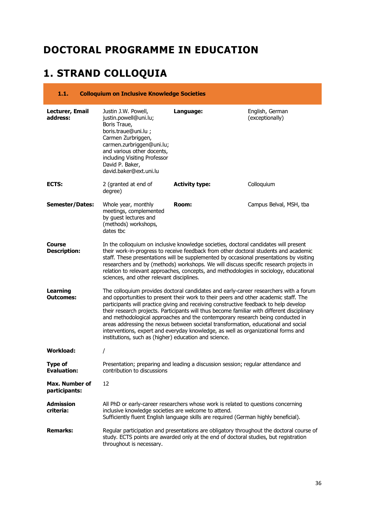### <span id="page-35-0"></span>**DOCTORAL PROGRAMME IN EDUCATION**

# <span id="page-35-1"></span>**1. STRAND COLLOQUIA**

#### <span id="page-35-2"></span>**1.1. Colloquium on Inclusive Knowledge Societies Lecturer, Email address:** Justin J.W. Powell, justin.powell@uni.lu; Boris Traue, boris.traue@uni.lu ; Carmen Zurbriggen, carmen.zurbriggen@uni.lu; and various other docents, including Visiting Professor David P. Baker, david.baker@ext.uni.lu **Language:** English, German (exceptionally) **ECTS:** 2 (granted at end of degree) **Activity type:** Colloquium **Semester/Dates:** Whole year, monthly meetings, complemented by guest lectures and (methods) workshops, dates tbc **Room:** Campus Belval, MSH, tba **Course Description:** In the colloquium on inclusive knowledge societies, doctoral candidates will present their work-in-progress to receive feedback from other doctoral students and academic staff. These presentations will be supplemented by occasional presentations by visiting researchers and by (methods) workshops. We will discuss specific research projects in relation to relevant approaches, concepts, and methodologies in sociology, educational sciences, and other relevant disciplines. **Learning Outcomes:** The colloquium provides doctoral candidates and early-career researchers with a forum and opportunities to present their work to their peers and other academic staff. The participants will practice giving and receiving constructive feedback to help develop their research projects. Participants will thus become familiar with different disciplinary and methodological approaches and the contemporary research being conducted in areas addressing the nexus between societal transformation, educational and social interventions, expert and everyday knowledge, as well as organizational forms and institutions, such as (higher) education and science. **Workload:** / **Type of Evaluation:** Presentation; preparing and leading a discussion session; regular attendance and contribution to discussions **Max. Number of participants:** 12 **Admission criteria:** All PhD or early-career researchers whose work is related to questions concerning inclusive knowledge societies are welcome to attend. Sufficiently fluent English language skills are required (German highly beneficial). **Remarks:** Regular participation and presentations are obligatory throughout the doctoral course of study. ECTS points are awarded only at the end of doctoral studies, but registration throughout is necessary.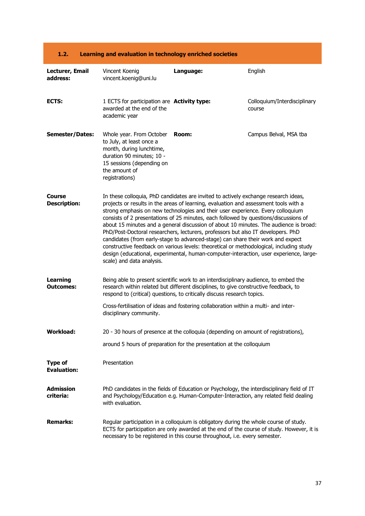| 1.2.                                 | Learning and evaluation in technology enriched societies                                                                                                                      |                                                                                                                                                                                                                                                                                                                                                                                                                                                                                                                                                                                                                                                                                                                                                                                                             |                                        |
|--------------------------------------|-------------------------------------------------------------------------------------------------------------------------------------------------------------------------------|-------------------------------------------------------------------------------------------------------------------------------------------------------------------------------------------------------------------------------------------------------------------------------------------------------------------------------------------------------------------------------------------------------------------------------------------------------------------------------------------------------------------------------------------------------------------------------------------------------------------------------------------------------------------------------------------------------------------------------------------------------------------------------------------------------------|----------------------------------------|
| Lecturer, Email<br>address:          | Vincent Koenig<br>vincent.koenig@uni.lu                                                                                                                                       | Language:                                                                                                                                                                                                                                                                                                                                                                                                                                                                                                                                                                                                                                                                                                                                                                                                   | English                                |
| ECTS:                                | 1 ECTS for participation are Activity type:<br>awarded at the end of the<br>academic year                                                                                     |                                                                                                                                                                                                                                                                                                                                                                                                                                                                                                                                                                                                                                                                                                                                                                                                             | Colloquium/Interdisciplinary<br>course |
| <b>Semester/Dates:</b>               | Whole year. From October<br>to July, at least once a<br>month, during lunchtime,<br>duration 90 minutes; 10 -<br>15 sessions (depending on<br>the amount of<br>registrations) | Room:                                                                                                                                                                                                                                                                                                                                                                                                                                                                                                                                                                                                                                                                                                                                                                                                       | Campus Belval, MSA tba                 |
| Course<br><b>Description:</b>        | scale) and data analysis.                                                                                                                                                     | In these colloquia, PhD candidates are invited to actively exchange research ideas,<br>projects or results in the areas of learning, evaluation and assessment tools with a<br>strong emphasis on new technologies and their user experience. Every colloquium<br>consists of 2 presentations of 25 minutes, each followed by questions/discussions of<br>about 15 minutes and a general discussion of about 10 minutes. The audience is broad:<br>PhD/Post-Doctoral researchers, lecturers, professors but also IT developers. PhD<br>candidates (from early-stage to advanced-stage) can share their work and expect<br>constructive feedback on various levels: theoretical or methodological, including study<br>design (educational, experimental, human-computer-interaction, user experience, large- |                                        |
| <b>Learning</b><br><b>Outcomes:</b>  |                                                                                                                                                                               | Being able to present scientific work to an interdisciplinary audience, to embed the<br>research within related but different disciplines, to give constructive feedback, to<br>respond to (critical) questions, to critically discuss research topics.                                                                                                                                                                                                                                                                                                                                                                                                                                                                                                                                                     |                                        |
|                                      | disciplinary community.                                                                                                                                                       | Cross-fertilisation of ideas and fostering collaboration within a multi- and inter-                                                                                                                                                                                                                                                                                                                                                                                                                                                                                                                                                                                                                                                                                                                         |                                        |
| <b>Workload:</b>                     |                                                                                                                                                                               | 20 - 30 hours of presence at the colloquia (depending on amount of registrations),                                                                                                                                                                                                                                                                                                                                                                                                                                                                                                                                                                                                                                                                                                                          |                                        |
|                                      |                                                                                                                                                                               | around 5 hours of preparation for the presentation at the colloquium                                                                                                                                                                                                                                                                                                                                                                                                                                                                                                                                                                                                                                                                                                                                        |                                        |
| <b>Type of</b><br><b>Evaluation:</b> | Presentation                                                                                                                                                                  |                                                                                                                                                                                                                                                                                                                                                                                                                                                                                                                                                                                                                                                                                                                                                                                                             |                                        |
| <b>Admission</b><br>criteria:        | with evaluation.                                                                                                                                                              | PhD candidates in the fields of Education or Psychology, the interdisciplinary field of IT<br>and Psychology/Education e.g. Human-Computer-Interaction, any related field dealing                                                                                                                                                                                                                                                                                                                                                                                                                                                                                                                                                                                                                           |                                        |
| <b>Remarks:</b>                      |                                                                                                                                                                               | Regular participation in a colloquium is obligatory during the whole course of study.<br>ECTS for participation are only awarded at the end of the course of study. However, it is<br>necessary to be registered in this course throughout, i.e. every semester.                                                                                                                                                                                                                                                                                                                                                                                                                                                                                                                                            |                                        |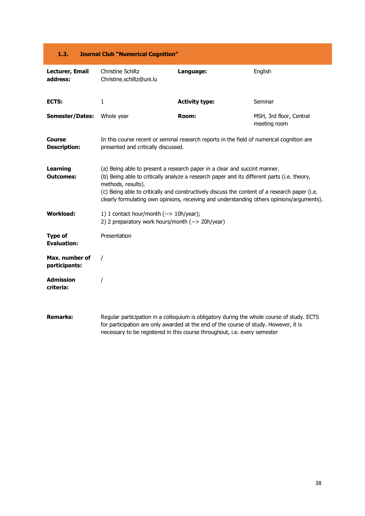### **1.3. Journal Club "Numerical Cognition"**

| Lecturer, Email<br>address:          | Christine Schiltz<br>Christine.schiltz@uni.lu                                                                                                                                                                                                                                                                                                                                                | Language:             | English                                 |
|--------------------------------------|----------------------------------------------------------------------------------------------------------------------------------------------------------------------------------------------------------------------------------------------------------------------------------------------------------------------------------------------------------------------------------------------|-----------------------|-----------------------------------------|
| ECTS:                                | 1                                                                                                                                                                                                                                                                                                                                                                                            | <b>Activity type:</b> | Seminar                                 |
| <b>Semester/Dates:</b>               | Whole year                                                                                                                                                                                                                                                                                                                                                                                   | Room:                 | MSH, 3rd floor, Central<br>meeting room |
| <b>Course</b><br><b>Description:</b> | In this course recent or seminal research reports in the field of numerical cognition are<br>presented and critically discussed.                                                                                                                                                                                                                                                             |                       |                                         |
| <b>Learning</b><br><b>Outcomes:</b>  | (a) Being able to present a research paper in a clear and succint manner.<br>(b) Being able to critically analyze a research paper and its different parts (i.e. theory,<br>methods, results).<br>(c) Being able to critically and constructively discuss the content of a research paper (i.e.<br>clearly formulating own opinions, receiving and understanding others opinions/arguments). |                       |                                         |
| <b>Workload:</b>                     | 1) 1 contact hour/month (--> 10h/year);<br>2) 2 preparatory work hours/month (--> 20h/year)                                                                                                                                                                                                                                                                                                  |                       |                                         |
| <b>Type of</b><br><b>Evaluation:</b> | Presentation                                                                                                                                                                                                                                                                                                                                                                                 |                       |                                         |
| Max. number of<br>participants:      |                                                                                                                                                                                                                                                                                                                                                                                              |                       |                                         |
| <b>Admission</b><br>criteria:        |                                                                                                                                                                                                                                                                                                                                                                                              |                       |                                         |
| <b>Remarks:</b>                      | Regular participation in a colloquium is obligatory during the whole course of study. ECTS<br>for participation are only awarded at the end of the course of study. However, it is<br>necessary to be registered in this course throughout, i.e. every semester                                                                                                                              |                       |                                         |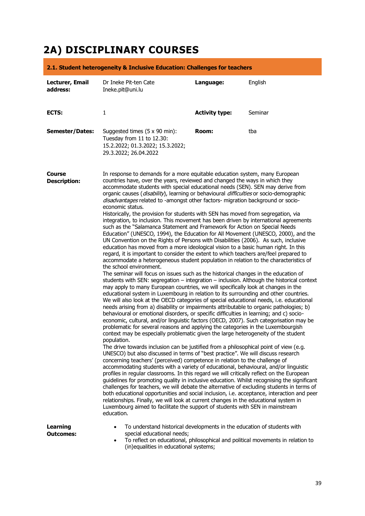# **2A) DISCIPLINARY COURSES**

|                                     | 2.1. Student heterogeneity & Inclusive Education: Challenges for teachers                                                                                                                                                                                                                                                                                                                                                                                                                                                                                                                                                                                                                                                                                                                                                                                                                                                                                                                                                                                                                                                                                                                                                                                                                                                                                                                                                                                                                                                                                                                                                                                                                                                                                                                                                                                                                                                                                                                                                                                                                                                                                                                                                                                                                                                                                                                                                                                                                                                                                                                                                                                                                                                                                                                                                                                                                                                                                                                                                                                         |                       |         |
|-------------------------------------|-------------------------------------------------------------------------------------------------------------------------------------------------------------------------------------------------------------------------------------------------------------------------------------------------------------------------------------------------------------------------------------------------------------------------------------------------------------------------------------------------------------------------------------------------------------------------------------------------------------------------------------------------------------------------------------------------------------------------------------------------------------------------------------------------------------------------------------------------------------------------------------------------------------------------------------------------------------------------------------------------------------------------------------------------------------------------------------------------------------------------------------------------------------------------------------------------------------------------------------------------------------------------------------------------------------------------------------------------------------------------------------------------------------------------------------------------------------------------------------------------------------------------------------------------------------------------------------------------------------------------------------------------------------------------------------------------------------------------------------------------------------------------------------------------------------------------------------------------------------------------------------------------------------------------------------------------------------------------------------------------------------------------------------------------------------------------------------------------------------------------------------------------------------------------------------------------------------------------------------------------------------------------------------------------------------------------------------------------------------------------------------------------------------------------------------------------------------------------------------------------------------------------------------------------------------------------------------------------------------------------------------------------------------------------------------------------------------------------------------------------------------------------------------------------------------------------------------------------------------------------------------------------------------------------------------------------------------------------------------------------------------------------------------------------------------------|-----------------------|---------|
| Lecturer, Email<br>address:         | Dr Ineke Pit-ten Cate<br>Ineke.pit@uni.lu                                                                                                                                                                                                                                                                                                                                                                                                                                                                                                                                                                                                                                                                                                                                                                                                                                                                                                                                                                                                                                                                                                                                                                                                                                                                                                                                                                                                                                                                                                                                                                                                                                                                                                                                                                                                                                                                                                                                                                                                                                                                                                                                                                                                                                                                                                                                                                                                                                                                                                                                                                                                                                                                                                                                                                                                                                                                                                                                                                                                                         | Language:             | English |
| ECTS:                               | $\mathbf{1}$                                                                                                                                                                                                                                                                                                                                                                                                                                                                                                                                                                                                                                                                                                                                                                                                                                                                                                                                                                                                                                                                                                                                                                                                                                                                                                                                                                                                                                                                                                                                                                                                                                                                                                                                                                                                                                                                                                                                                                                                                                                                                                                                                                                                                                                                                                                                                                                                                                                                                                                                                                                                                                                                                                                                                                                                                                                                                                                                                                                                                                                      | <b>Activity type:</b> | Seminar |
| <b>Semester/Dates:</b>              | Suggested times (5 x 90 min):<br>Tuesday from 11 to 12.30:<br>15.2.2022; 01.3.2022; 15.3.2022;<br>29.3.2022; 26.04.2022                                                                                                                                                                                                                                                                                                                                                                                                                                                                                                                                                                                                                                                                                                                                                                                                                                                                                                                                                                                                                                                                                                                                                                                                                                                                                                                                                                                                                                                                                                                                                                                                                                                                                                                                                                                                                                                                                                                                                                                                                                                                                                                                                                                                                                                                                                                                                                                                                                                                                                                                                                                                                                                                                                                                                                                                                                                                                                                                           | Room:                 | tba     |
| Course<br><b>Description:</b>       | In response to demands for a more equitable education system, many European<br>countries have, over the years, reviewed and changed the ways in which they<br>accommodate students with special educational needs (SEN). SEN may derive from<br>organic causes (disability), learning or behavioural difficulties or socio-demographic<br>disadvantages related to -amongst other factors- migration background or socio-<br>economic status.<br>Historically, the provision for students with SEN has moved from segregation, via<br>integration, to inclusion. This movement has been driven by international agreements<br>such as the "Salamanca Statement and Framework for Action on Special Needs<br>Education" (UNESCO, 1994), the Education for All Movement (UNESCO, 2000), and the<br>UN Convention on the Rights of Persons with Disabilities (2006). As such, inclusive<br>education has moved from a more ideological vision to a basic human right. In this<br>regard, it is important to consider the extent to which teachers are/feel prepared to<br>accommodate a heterogeneous student population in relation to the characteristics of<br>the school environment.<br>The seminar will focus on issues such as the historical changes in the education of<br>students with SEN: segregation $-$ integration $-$ inclusion. Although the historical context<br>may apply to many European countries, we will specifically look at changes in the<br>educational system in Luxembourg in relation to its surrounding and other countries.<br>We will also look at the OECD categories of special educational needs, i.e. educational<br>needs arising from a) disability or impairments attributable to organic pathologies; b)<br>behavioural or emotional disorders, or specific difficulties in learning; and c) socio-<br>economic, cultural, and/or linguistic factors (OECD, 2007). Such categorisation may be<br>problematic for several reasons and applying the categories in the Luxembourgish<br>context may be especially problematic given the large heterogeneity of the student<br>population.<br>The drive towards inclusion can be justified from a philosophical point of view (e.g.<br>UNESCO) but also discussed in terms of "best practice". We will discuss research<br>concerning teachers' (perceived) competence in relation to the challenge of<br>accommodating students with a variety of educational, behavioural, and/or linguistic<br>profiles in regular classrooms. In this regard we will critically reflect on the European<br>guidelines for promoting quality in inclusive education. Whilst recognising the significant<br>challenges for teachers, we will debate the alternative of excluding students in terms of<br>both educational opportunities and social inclusion, i.e. acceptance, interaction and peer<br>relationships. Finally, we will look at current changes in the educational system in<br>Luxembourg aimed to facilitate the support of students with SEN in mainstream<br>education. |                       |         |
| <b>Learning</b><br><b>Outcomes:</b> | To understand historical developments in the education of students with<br>٠<br>special educational needs;<br>To reflect on educational, philosophical and political movements in relation to<br>(in)equalities in educational systems;                                                                                                                                                                                                                                                                                                                                                                                                                                                                                                                                                                                                                                                                                                                                                                                                                                                                                                                                                                                                                                                                                                                                                                                                                                                                                                                                                                                                                                                                                                                                                                                                                                                                                                                                                                                                                                                                                                                                                                                                                                                                                                                                                                                                                                                                                                                                                                                                                                                                                                                                                                                                                                                                                                                                                                                                                           |                       |         |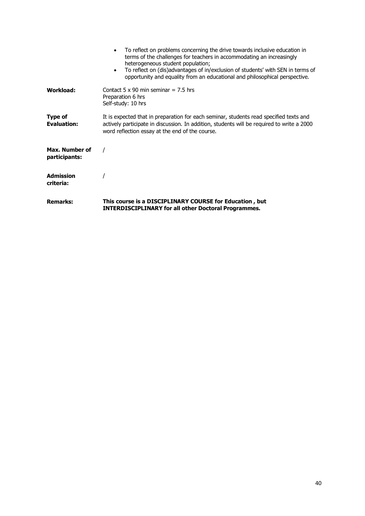|                                 | To reflect on problems concerning the drive towards inclusive education in<br>terms of the challenges for teachers in accommodating an increasingly<br>heterogeneous student population;<br>To reflect on (dis)advantages of in/exclusion of students' with SEN in terms of<br>opportunity and equality from an educational and philosophical perspective. |
|---------------------------------|------------------------------------------------------------------------------------------------------------------------------------------------------------------------------------------------------------------------------------------------------------------------------------------------------------------------------------------------------------|
| Workload:                       | Contact 5 x 90 min seminar = 7.5 hrs<br>Preparation 6 hrs<br>Self-study: 10 hrs                                                                                                                                                                                                                                                                            |
| Type of<br><b>Evaluation:</b>   | It is expected that in preparation for each seminar, students read specified texts and<br>actively participate in discussion. In addition, students will be required to write a 2000<br>word reflection essay at the end of the course.                                                                                                                    |
| Max. Number of<br>participants: |                                                                                                                                                                                                                                                                                                                                                            |
| <b>Admission</b><br>criteria:   |                                                                                                                                                                                                                                                                                                                                                            |
| <b>Remarks:</b>                 | This course is a DISCIPLINARY COURSE for Education, but<br><b>INTERDISCIPLINARY for all other Doctoral Programmes.</b>                                                                                                                                                                                                                                     |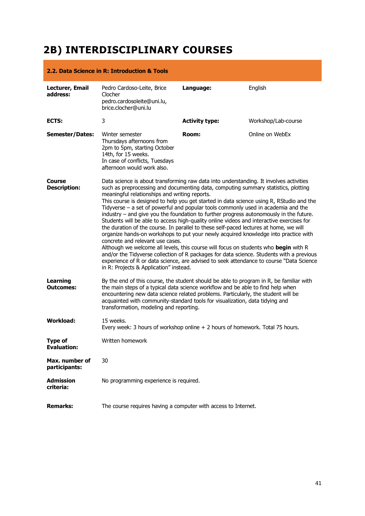# **2B) INTERDISCIPLINARY COURSES**

|                                      | 2.2. Data Science in R: Introduction & Tools                                                                                                                                                                                                                                                                                                                                                                                                                                                                                                                                                                                                                                                                                                                                                                                                                                                                                                                                                                                                                                                                                                      |                       |                     |
|--------------------------------------|---------------------------------------------------------------------------------------------------------------------------------------------------------------------------------------------------------------------------------------------------------------------------------------------------------------------------------------------------------------------------------------------------------------------------------------------------------------------------------------------------------------------------------------------------------------------------------------------------------------------------------------------------------------------------------------------------------------------------------------------------------------------------------------------------------------------------------------------------------------------------------------------------------------------------------------------------------------------------------------------------------------------------------------------------------------------------------------------------------------------------------------------------|-----------------------|---------------------|
| Lecturer, Email<br>address:          | Pedro Cardoso-Leite, Brice<br>Clocher<br>pedro.cardosoleite@uni.lu,<br>brice.clocher@uni.lu                                                                                                                                                                                                                                                                                                                                                                                                                                                                                                                                                                                                                                                                                                                                                                                                                                                                                                                                                                                                                                                       | Language:             | English             |
| ECTS:                                | 3                                                                                                                                                                                                                                                                                                                                                                                                                                                                                                                                                                                                                                                                                                                                                                                                                                                                                                                                                                                                                                                                                                                                                 | <b>Activity type:</b> | Workshop/Lab-course |
| <b>Semester/Dates:</b>               | Winter semester<br>Thursdays afternoons from<br>2pm to 5pm, starting October<br>14th, for 15 weeks.<br>In case of conflicts, Tuesdays<br>afternoon would work also.                                                                                                                                                                                                                                                                                                                                                                                                                                                                                                                                                                                                                                                                                                                                                                                                                                                                                                                                                                               | Room:                 | Online on WebEx     |
| Course<br><b>Description:</b>        | Data science is about transforming raw data into understanding. It involves activities<br>such as preprocessing and documenting data, computing summary statistics, plotting<br>meaningful relationships and writing reports.<br>This course is designed to help you get started in data science using R, RStudio and the<br>Tidyverse - a set of powerful and popular tools commonly used in academia and the<br>industry - and give you the foundation to further progress autonomously in the future.<br>Students will be able to access high-quality online videos and interactive exercises for<br>the duration of the course. In parallel to these self-paced lectures at home, we will<br>organize hands-on workshops to put your newly acquired knowledge into practice with<br>concrete and relevant use cases.<br>Although we welcome all levels, this course will focus on students who begin with R<br>and/or the Tidyverse collection of R packages for data science. Students with a previous<br>experience of R or data science, are advised to seek attendance to course "Data Science"<br>in R: Projects & Application" instead. |                       |                     |
| Learning<br>Outcomes:                | By the end of this course, the student should be able to program in R, be familiar with<br>the main steps of a typical data science workflow and be able to find help when<br>encountering new data science related problems. Particularly, the student will be<br>acquainted with community-standard tools for visualization, data tidying and<br>transformation, modeling and reporting.                                                                                                                                                                                                                                                                                                                                                                                                                                                                                                                                                                                                                                                                                                                                                        |                       |                     |
| <b>Workload:</b>                     | 15 weeks.<br>Every week: 3 hours of workshop online + 2 hours of homework. Total 75 hours.                                                                                                                                                                                                                                                                                                                                                                                                                                                                                                                                                                                                                                                                                                                                                                                                                                                                                                                                                                                                                                                        |                       |                     |
| <b>Type of</b><br><b>Evaluation:</b> | Written homework                                                                                                                                                                                                                                                                                                                                                                                                                                                                                                                                                                                                                                                                                                                                                                                                                                                                                                                                                                                                                                                                                                                                  |                       |                     |
| Max. number of<br>participants:      | 30                                                                                                                                                                                                                                                                                                                                                                                                                                                                                                                                                                                                                                                                                                                                                                                                                                                                                                                                                                                                                                                                                                                                                |                       |                     |
| <b>Admission</b><br>criteria:        | No programming experience is required.                                                                                                                                                                                                                                                                                                                                                                                                                                                                                                                                                                                                                                                                                                                                                                                                                                                                                                                                                                                                                                                                                                            |                       |                     |
| <b>Remarks:</b>                      | The course requires having a computer with access to Internet.                                                                                                                                                                                                                                                                                                                                                                                                                                                                                                                                                                                                                                                                                                                                                                                                                                                                                                                                                                                                                                                                                    |                       |                     |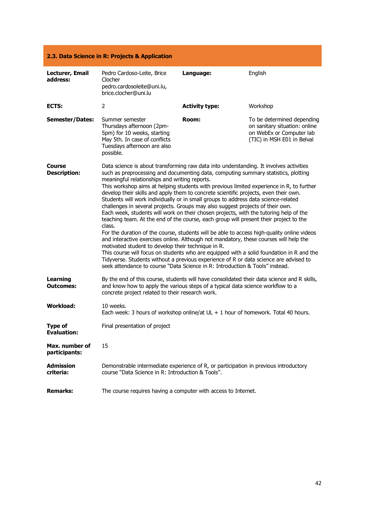| 2.3. Data Science in R: Projects & Application |                                                                                                                                                                                                                                                                                                                                                                                                                                                                                                                                                                                                                                                                                                                                                                                                                                                                                                                                                                                                                                                                                                                                                                                                                                                                                                         |                       |                                                                                                                       |
|------------------------------------------------|---------------------------------------------------------------------------------------------------------------------------------------------------------------------------------------------------------------------------------------------------------------------------------------------------------------------------------------------------------------------------------------------------------------------------------------------------------------------------------------------------------------------------------------------------------------------------------------------------------------------------------------------------------------------------------------------------------------------------------------------------------------------------------------------------------------------------------------------------------------------------------------------------------------------------------------------------------------------------------------------------------------------------------------------------------------------------------------------------------------------------------------------------------------------------------------------------------------------------------------------------------------------------------------------------------|-----------------------|-----------------------------------------------------------------------------------------------------------------------|
| Lecturer, Email<br>address:                    | Pedro Cardoso-Leite, Brice<br>Clocher<br>pedro.cardosoleite@uni.lu,<br>brice.clocher@uni.lu                                                                                                                                                                                                                                                                                                                                                                                                                                                                                                                                                                                                                                                                                                                                                                                                                                                                                                                                                                                                                                                                                                                                                                                                             | Language:             | English                                                                                                               |
| ECTS:                                          | 2                                                                                                                                                                                                                                                                                                                                                                                                                                                                                                                                                                                                                                                                                                                                                                                                                                                                                                                                                                                                                                                                                                                                                                                                                                                                                                       | <b>Activity type:</b> | Workshop                                                                                                              |
| <b>Semester/Dates:</b>                         | Summer semester<br>Thursdays afternoon (2pm-<br>5pm) for 10 weeks, starting<br>May 5th. In case of conflicts<br>Tuesdays afternoon are also<br>possible.                                                                                                                                                                                                                                                                                                                                                                                                                                                                                                                                                                                                                                                                                                                                                                                                                                                                                                                                                                                                                                                                                                                                                | Room:                 | To be determined depending<br>on sanitary situation: online<br>on WebEx or Computer lab<br>(TIC) in MSH E01 in Belval |
| Course<br><b>Description:</b>                  | Data science is about transforming raw data into understanding. It involves activities<br>such as preprocessing and documenting data, computing summary statistics, plotting<br>meaningful relationships and writing reports.<br>This workshop aims at helping students with previous limited experience in R, to further<br>develop their skills and apply them to concrete scientific projects, even their own.<br>Students will work individually or in small groups to address data science-related<br>challenges in several projects. Groups may also suggest projects of their own.<br>Each week, students will work on their chosen projects, with the tutoring help of the<br>teaching team. At the end of the course, each group will present their project to the<br>class.<br>For the duration of the course, students will be able to access high-quality online videos<br>and interactive exercises online. Although not mandatory, these courses will help the<br>motivated student to develop their technique in R.<br>This course will focus on students who are equipped with a solid foundation in R and the<br>Tidyverse. Students without a previous experience of R or data science are advised to<br>seek attendance to course "Data Science in R: Introduction & Tools" instead. |                       |                                                                                                                       |
| <b>Learning</b><br><b>Outcomes:</b>            | By the end of this course, students will have consolidated their data science and R skills,<br>and know how to apply the various steps of a typical data science workflow to a<br>concrete project related to their research work.                                                                                                                                                                                                                                                                                                                                                                                                                                                                                                                                                                                                                                                                                                                                                                                                                                                                                                                                                                                                                                                                      |                       |                                                                                                                       |
| <b>Workload:</b>                               | 10 weeks.<br>Each week: 3 hours of workshop online/at $UL + 1$ hour of homework. Total 40 hours.                                                                                                                                                                                                                                                                                                                                                                                                                                                                                                                                                                                                                                                                                                                                                                                                                                                                                                                                                                                                                                                                                                                                                                                                        |                       |                                                                                                                       |
| <b>Type of</b><br><b>Evaluation:</b>           | Final presentation of project                                                                                                                                                                                                                                                                                                                                                                                                                                                                                                                                                                                                                                                                                                                                                                                                                                                                                                                                                                                                                                                                                                                                                                                                                                                                           |                       |                                                                                                                       |
| Max. number of<br>participants:                | 15                                                                                                                                                                                                                                                                                                                                                                                                                                                                                                                                                                                                                                                                                                                                                                                                                                                                                                                                                                                                                                                                                                                                                                                                                                                                                                      |                       |                                                                                                                       |
| <b>Admission</b><br>criteria:                  | Demonstrable intermediate experience of R, or participation in previous introductory<br>course "Data Science in R: Introduction & Tools".                                                                                                                                                                                                                                                                                                                                                                                                                                                                                                                                                                                                                                                                                                                                                                                                                                                                                                                                                                                                                                                                                                                                                               |                       |                                                                                                                       |
| <b>Remarks:</b>                                | The course requires having a computer with access to Internet.                                                                                                                                                                                                                                                                                                                                                                                                                                                                                                                                                                                                                                                                                                                                                                                                                                                                                                                                                                                                                                                                                                                                                                                                                                          |                       |                                                                                                                       |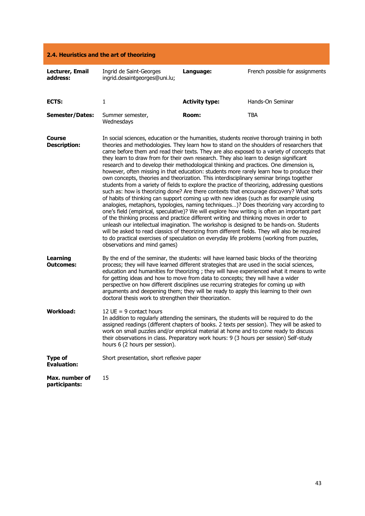| 2.4. Heuristics and the art of theorizing |                                                                                                                                                                                                                                                                                                                                                                                                                                                                                                                                                                                                                                                                                                                                                                                                                                                                                                                                                                                                                                                                                                                                                                                                                                                                                                                                                                                                                                                                                                                                                                      |                       |                                 |
|-------------------------------------------|----------------------------------------------------------------------------------------------------------------------------------------------------------------------------------------------------------------------------------------------------------------------------------------------------------------------------------------------------------------------------------------------------------------------------------------------------------------------------------------------------------------------------------------------------------------------------------------------------------------------------------------------------------------------------------------------------------------------------------------------------------------------------------------------------------------------------------------------------------------------------------------------------------------------------------------------------------------------------------------------------------------------------------------------------------------------------------------------------------------------------------------------------------------------------------------------------------------------------------------------------------------------------------------------------------------------------------------------------------------------------------------------------------------------------------------------------------------------------------------------------------------------------------------------------------------------|-----------------------|---------------------------------|
| Lecturer, Email<br>address:               | Ingrid de Saint-Georges<br>ingrid.desaintgeorges@uni.lu;                                                                                                                                                                                                                                                                                                                                                                                                                                                                                                                                                                                                                                                                                                                                                                                                                                                                                                                                                                                                                                                                                                                                                                                                                                                                                                                                                                                                                                                                                                             | Language:             | French possible for assignments |
| ECTS:                                     | $\mathbf{1}$                                                                                                                                                                                                                                                                                                                                                                                                                                                                                                                                                                                                                                                                                                                                                                                                                                                                                                                                                                                                                                                                                                                                                                                                                                                                                                                                                                                                                                                                                                                                                         | <b>Activity type:</b> | Hands-On Seminar                |
| <b>Semester/Dates:</b>                    | Summer semester,<br>Wednesdays                                                                                                                                                                                                                                                                                                                                                                                                                                                                                                                                                                                                                                                                                                                                                                                                                                                                                                                                                                                                                                                                                                                                                                                                                                                                                                                                                                                                                                                                                                                                       | Room:                 | <b>TBA</b>                      |
| Course<br><b>Description:</b>             | In social sciences, education or the humanities, students receive thorough training in both<br>theories and methodologies. They learn how to stand on the shoulders of researchers that<br>came before them and read their texts. They are also exposed to a variety of concepts that<br>they learn to draw from for their own research. They also learn to design significant<br>research and to develop their methodological thinking and practices. One dimension is,<br>however, often missing in that education: students more rarely learn how to produce their<br>own concepts, theories and theorization. This interdisciplinary seminar brings together<br>students from a variety of fields to explore the practice of theorizing, addressing questions<br>such as: how is theorizing done? Are there contexts that encourage discovery? What sorts<br>of habits of thinking can support coming up with new ideas (such as for example using<br>analogies, metaphors, typologies, naming techniques)? Does theorizing vary according to<br>one's field (empirical, speculative)? We will explore how writing is often an important part<br>of the thinking process and practice different writing and thinking moves in order to<br>unleash our intellectual imagination. The workshop is designed to be hands-on. Students<br>will be asked to read classics of theorizing from different fields. They will also be required<br>to do practical exercises of speculation on everyday life problems (working from puzzles,<br>observations and mind games) |                       |                                 |
| <b>Learning</b><br><b>Outcomes:</b>       | By the end of the seminar, the students: will have learned basic blocks of the theorizing<br>process; they will have learned different strategies that are used in the social sciences,<br>education and humanities for theorizing; they will have experienced what it means to write<br>for getting ideas and how to move from data to concepts; they will have a wider<br>perspective on how different disciplines use recurring strategies for coming up with<br>arguments and deepening them; they will be ready to apply this learning to their own<br>doctoral thesis work to strengthen their theorization.                                                                                                                                                                                                                                                                                                                                                                                                                                                                                                                                                                                                                                                                                                                                                                                                                                                                                                                                                   |                       |                                 |
| <b>Workload:</b>                          | 12 UE = $9$ contact hours<br>In addition to regularly attending the seminars, the students will be required to do the<br>assigned readings (different chapters of books. 2 texts per session). They will be asked to<br>work on small puzzles and/or empirical material at home and to come ready to discuss<br>their observations in class. Preparatory work hours: 9 (3 hours per session) Self-study<br>hours 6 (2 hours per session).                                                                                                                                                                                                                                                                                                                                                                                                                                                                                                                                                                                                                                                                                                                                                                                                                                                                                                                                                                                                                                                                                                                            |                       |                                 |
| <b>Type of</b><br><b>Evaluation:</b>      | Short presentation, short reflexive paper                                                                                                                                                                                                                                                                                                                                                                                                                                                                                                                                                                                                                                                                                                                                                                                                                                                                                                                                                                                                                                                                                                                                                                                                                                                                                                                                                                                                                                                                                                                            |                       |                                 |
| Max. number of<br>participants:           | 15                                                                                                                                                                                                                                                                                                                                                                                                                                                                                                                                                                                                                                                                                                                                                                                                                                                                                                                                                                                                                                                                                                                                                                                                                                                                                                                                                                                                                                                                                                                                                                   |                       |                                 |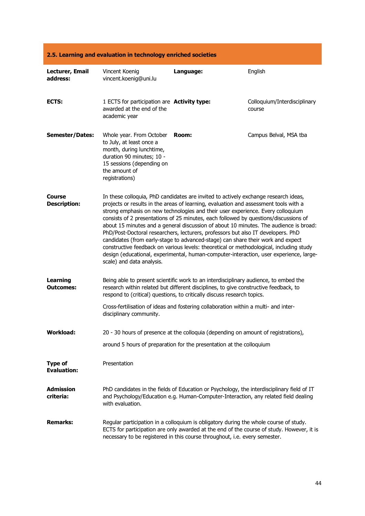| 2.5. Learning and evaluation in technology enriched societies |                                                                                                                                                                               |                                                                                                                                                                                                                                                                                                                                                                                                                                                                                                                                                                                                                                                                                                                                                                                                             |                                        |
|---------------------------------------------------------------|-------------------------------------------------------------------------------------------------------------------------------------------------------------------------------|-------------------------------------------------------------------------------------------------------------------------------------------------------------------------------------------------------------------------------------------------------------------------------------------------------------------------------------------------------------------------------------------------------------------------------------------------------------------------------------------------------------------------------------------------------------------------------------------------------------------------------------------------------------------------------------------------------------------------------------------------------------------------------------------------------------|----------------------------------------|
| Lecturer, Email<br>address:                                   | Vincent Koenig<br>vincent.koenig@uni.lu                                                                                                                                       | Language:                                                                                                                                                                                                                                                                                                                                                                                                                                                                                                                                                                                                                                                                                                                                                                                                   | English                                |
| ECTS:                                                         | 1 ECTS for participation are Activity type:<br>awarded at the end of the<br>academic year                                                                                     |                                                                                                                                                                                                                                                                                                                                                                                                                                                                                                                                                                                                                                                                                                                                                                                                             | Colloquium/Interdisciplinary<br>course |
| <b>Semester/Dates:</b>                                        | Whole year. From October<br>to July, at least once a<br>month, during lunchtime,<br>duration 90 minutes; 10 -<br>15 sessions (depending on<br>the amount of<br>registrations) | Room:                                                                                                                                                                                                                                                                                                                                                                                                                                                                                                                                                                                                                                                                                                                                                                                                       | Campus Belval, MSA tba                 |
| Course<br><b>Description:</b>                                 | scale) and data analysis.                                                                                                                                                     | In these colloquia, PhD candidates are invited to actively exchange research ideas,<br>projects or results in the areas of learning, evaluation and assessment tools with a<br>strong emphasis on new technologies and their user experience. Every colloquium<br>consists of 2 presentations of 25 minutes, each followed by questions/discussions of<br>about 15 minutes and a general discussion of about 10 minutes. The audience is broad:<br>PhD/Post-Doctoral researchers, lecturers, professors but also IT developers. PhD<br>candidates (from early-stage to advanced-stage) can share their work and expect<br>constructive feedback on various levels: theoretical or methodological, including study<br>design (educational, experimental, human-computer-interaction, user experience, large- |                                        |
| <b>Learning</b><br>Outcomes:                                  |                                                                                                                                                                               | Being able to present scientific work to an interdisciplinary audience, to embed the<br>research within related but different disciplines, to give constructive feedback, to<br>respond to (critical) questions, to critically discuss research topics.                                                                                                                                                                                                                                                                                                                                                                                                                                                                                                                                                     |                                        |
|                                                               | disciplinary community.                                                                                                                                                       | Cross-fertilisation of ideas and fostering collaboration within a multi- and inter-                                                                                                                                                                                                                                                                                                                                                                                                                                                                                                                                                                                                                                                                                                                         |                                        |
| <b>Workload:</b>                                              |                                                                                                                                                                               | 20 - 30 hours of presence at the colloquia (depending on amount of registrations),                                                                                                                                                                                                                                                                                                                                                                                                                                                                                                                                                                                                                                                                                                                          |                                        |
|                                                               |                                                                                                                                                                               | around 5 hours of preparation for the presentation at the colloquium                                                                                                                                                                                                                                                                                                                                                                                                                                                                                                                                                                                                                                                                                                                                        |                                        |
| <b>Type of</b><br><b>Evaluation:</b>                          | Presentation                                                                                                                                                                  |                                                                                                                                                                                                                                                                                                                                                                                                                                                                                                                                                                                                                                                                                                                                                                                                             |                                        |
| <b>Admission</b><br>criteria:                                 | with evaluation.                                                                                                                                                              | PhD candidates in the fields of Education or Psychology, the interdisciplinary field of IT<br>and Psychology/Education e.g. Human-Computer-Interaction, any related field dealing                                                                                                                                                                                                                                                                                                                                                                                                                                                                                                                                                                                                                           |                                        |
| <b>Remarks:</b>                                               |                                                                                                                                                                               | Regular participation in a colloquium is obligatory during the whole course of study.<br>ECTS for participation are only awarded at the end of the course of study. However, it is<br>necessary to be registered in this course throughout, i.e. every semester.                                                                                                                                                                                                                                                                                                                                                                                                                                                                                                                                            |                                        |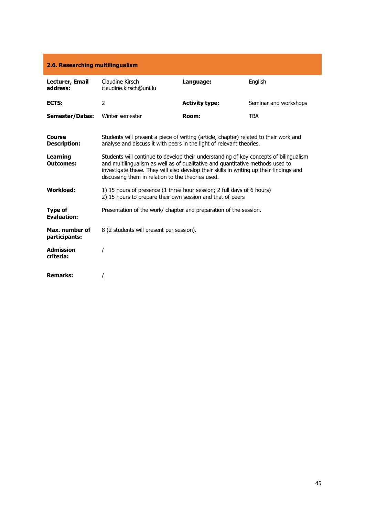| 2.6. Researching multilingualism     |                                                                                                                                                                                                                                                                                                                         |                       |                       |  |
|--------------------------------------|-------------------------------------------------------------------------------------------------------------------------------------------------------------------------------------------------------------------------------------------------------------------------------------------------------------------------|-----------------------|-----------------------|--|
| Lecturer, Email<br>address:          | Claudine Kirsch<br>claudine.kirsch@uni.lu                                                                                                                                                                                                                                                                               | Language:             | English               |  |
| ECTS:                                | $\overline{2}$                                                                                                                                                                                                                                                                                                          | <b>Activity type:</b> | Seminar and workshops |  |
| Semester/Dates:                      | Winter semester                                                                                                                                                                                                                                                                                                         | Room:                 | <b>TBA</b>            |  |
| <b>Course</b><br><b>Description:</b> | Students will present a piece of writing (article, chapter) related to their work and<br>analyse and discuss it with peers in the light of relevant theories.                                                                                                                                                           |                       |                       |  |
| <b>Learning</b><br><b>Outcomes:</b>  | Students will continue to develop their understanding of key concepts of bilingualism<br>and multilingualism as well as of qualitative and quantitative methods used to<br>investigate these. They will also develop their skills in writing up their findings and<br>discussing them in relation to the theories used. |                       |                       |  |
| <b>Workload:</b>                     | 1) 15 hours of presence (1 three hour session; 2 full days of 6 hours)<br>2) 15 hours to prepare their own session and that of peers                                                                                                                                                                                    |                       |                       |  |
| <b>Type of</b><br><b>Evaluation:</b> | Presentation of the work/ chapter and preparation of the session.                                                                                                                                                                                                                                                       |                       |                       |  |
| Max. number of<br>participants:      | 8 (2 students will present per session).                                                                                                                                                                                                                                                                                |                       |                       |  |
| <b>Admission</b><br>criteria:        |                                                                                                                                                                                                                                                                                                                         |                       |                       |  |
| <b>Remarks:</b>                      |                                                                                                                                                                                                                                                                                                                         |                       |                       |  |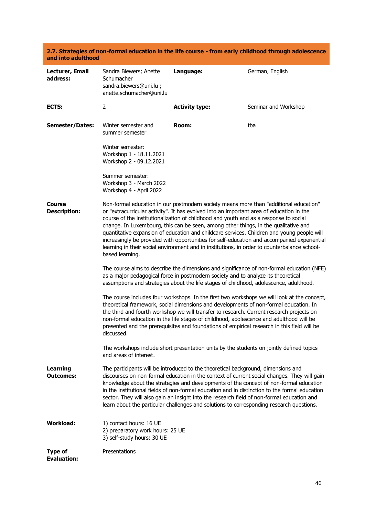#### **2.7. Strategies of non-formal education in the life course - from early childhood through adolescence and into adulthood**

| Lecturer, Email<br>address:          | Sandra Biewers; Anette<br>Schumacher<br>sandra.biewers@uni.lu;<br>anette.schumacher@uni.lu                                                                                                                                                                               | Language:                                                                                                                                                                                                                                                                                                                                                                                                                                                                                                                                                                                                                                                      | German, English                                                                                                                                                                                                                                                                         |
|--------------------------------------|--------------------------------------------------------------------------------------------------------------------------------------------------------------------------------------------------------------------------------------------------------------------------|----------------------------------------------------------------------------------------------------------------------------------------------------------------------------------------------------------------------------------------------------------------------------------------------------------------------------------------------------------------------------------------------------------------------------------------------------------------------------------------------------------------------------------------------------------------------------------------------------------------------------------------------------------------|-----------------------------------------------------------------------------------------------------------------------------------------------------------------------------------------------------------------------------------------------------------------------------------------|
| ECTS:                                | $\overline{2}$                                                                                                                                                                                                                                                           | <b>Activity type:</b>                                                                                                                                                                                                                                                                                                                                                                                                                                                                                                                                                                                                                                          | Seminar and Workshop                                                                                                                                                                                                                                                                    |
| <b>Semester/Dates:</b>               | Winter semester and<br>summer semester                                                                                                                                                                                                                                   | Room:                                                                                                                                                                                                                                                                                                                                                                                                                                                                                                                                                                                                                                                          | tba                                                                                                                                                                                                                                                                                     |
|                                      | Winter semester:<br>Workshop 1 - 18.11.2021<br>Workshop 2 - 09.12.2021                                                                                                                                                                                                   |                                                                                                                                                                                                                                                                                                                                                                                                                                                                                                                                                                                                                                                                |                                                                                                                                                                                                                                                                                         |
|                                      | Summer semester:<br>Workshop 3 - March 2022<br>Workshop 4 - April 2022                                                                                                                                                                                                   |                                                                                                                                                                                                                                                                                                                                                                                                                                                                                                                                                                                                                                                                |                                                                                                                                                                                                                                                                                         |
| Course<br><b>Description:</b>        | based learning.                                                                                                                                                                                                                                                          | Non-formal education in our postmodern society means more than "additional education"<br>or "extracurricular activity". It has evolved into an important area of education in the<br>course of the institutionalization of childhood and youth and as a response to social<br>change. In Luxembourg, this can be seen, among other things, in the qualitative and<br>quantitative expansion of education and childcare services. Children and young people will<br>increasingly be provided with opportunities for self-education and accompanied experiential<br>learning in their social environment and in institutions, in order to counterbalance school- |                                                                                                                                                                                                                                                                                         |
|                                      | The course aims to describe the dimensions and significance of non-formal education (NFE)<br>as a major pedagogical force in postmodern society and to analyze its theoretical<br>assumptions and strategies about the life stages of childhood, adolescence, adulthood. |                                                                                                                                                                                                                                                                                                                                                                                                                                                                                                                                                                                                                                                                |                                                                                                                                                                                                                                                                                         |
|                                      | discussed.                                                                                                                                                                                                                                                               | theoretical framework, social dimensions and developments of non-formal education. In<br>the third and fourth workshop we will transfer to research. Current research projects on<br>non-formal education in the life stages of childhood, adolescence and adulthood will be                                                                                                                                                                                                                                                                                                                                                                                   | The course includes four workshops. In the first two workshops we will look at the concept,<br>presented and the prerequisites and foundations of empirical research in this field will be                                                                                              |
|                                      | and areas of interest.                                                                                                                                                                                                                                                   | The workshops include short presentation units by the students on jointly defined topics                                                                                                                                                                                                                                                                                                                                                                                                                                                                                                                                                                       |                                                                                                                                                                                                                                                                                         |
| <b>Learning</b><br><b>Outcomes:</b>  |                                                                                                                                                                                                                                                                          | The participants will be introduced to the theoretical background, dimensions and<br>sector. They will also gain an insight into the research field of non-formal education and<br>learn about the particular challenges and solutions to corresponding research questions.                                                                                                                                                                                                                                                                                                                                                                                    | discourses on non-formal education in the context of current social changes. They will gain<br>knowledge about the strategies and developments of the concept of non-formal education<br>in the institutional fields of non-formal education and in distinction to the formal education |
| <b>Workload:</b>                     | 1) contact hours: 16 UE<br>2) preparatory work hours: 25 UE<br>3) self-study hours: 30 UE                                                                                                                                                                                |                                                                                                                                                                                                                                                                                                                                                                                                                                                                                                                                                                                                                                                                |                                                                                                                                                                                                                                                                                         |
| <b>Type of</b><br><b>Evaluation:</b> | Presentations                                                                                                                                                                                                                                                            |                                                                                                                                                                                                                                                                                                                                                                                                                                                                                                                                                                                                                                                                |                                                                                                                                                                                                                                                                                         |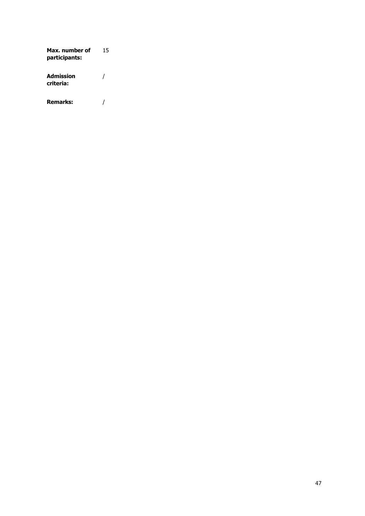**Max. number of participants:**  15 **Admission criteria:** / **Remarks:** /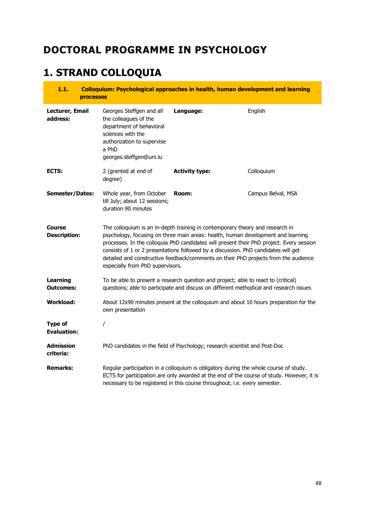# **DOCTORAL PROGRAMME IN PSYCHOLOGY**

# **1. STRAND COLLOQUIA**

| 1.1.<br><b>processes</b>             |                                                                                                                                                                      | Colloquium: Psychological approaches in health, human development and learning                                                                                                                                                                                                                                                                                                                                                             |                    |
|--------------------------------------|----------------------------------------------------------------------------------------------------------------------------------------------------------------------|--------------------------------------------------------------------------------------------------------------------------------------------------------------------------------------------------------------------------------------------------------------------------------------------------------------------------------------------------------------------------------------------------------------------------------------------|--------------------|
| Lecturer, Email<br>address:          | Georges Steffgen and all<br>the colleagues of the<br>department of behavioral<br>sciences with the<br>authorization to supervise<br>a PhD<br>georges.steffgen@uni.lu | Language:                                                                                                                                                                                                                                                                                                                                                                                                                                  | English            |
| ECTS:                                | 2 (granted at end of<br>degree)                                                                                                                                      | <b>Activity type:</b>                                                                                                                                                                                                                                                                                                                                                                                                                      | Colloquium         |
| <b>Semester/Dates:</b>               | Whole year, from October<br>till July; about 12 sessions;<br>duration 90 minutes                                                                                     | Room:                                                                                                                                                                                                                                                                                                                                                                                                                                      | Campus Belval, MSA |
| Course<br><b>Description:</b>        | especially from PhD supervisors.                                                                                                                                     | The colloquium is an in-depth training in contemporary theory and research in<br>psychology, focusing on three main areas: health, human development and learning<br>processes. In the colloquia PhD candidates will present their PhD project. Every session<br>consists of 1 or 2 presentations followed by a discussion. PhD candidates will get<br>detailed and constructive feedback/comments on their PhD projects from the audience |                    |
| <b>Learning</b><br><b>Outcomes:</b>  |                                                                                                                                                                      | To be able to present a research question and project; able to react to (critical)<br>questions; able to participate and discuss on different methodical and research issues                                                                                                                                                                                                                                                               |                    |
| <b>Workload:</b>                     | own presentation                                                                                                                                                     | About 12x90 minutes present at the colloquium and about 10 hours preparation for the                                                                                                                                                                                                                                                                                                                                                       |                    |
| <b>Type of</b><br><b>Evaluation:</b> | T                                                                                                                                                                    |                                                                                                                                                                                                                                                                                                                                                                                                                                            |                    |
| <b>Admission</b><br>criteria:        |                                                                                                                                                                      | PhD candidates in the field of Psychology; research scientist and Post-Doc                                                                                                                                                                                                                                                                                                                                                                 |                    |
| <b>Remarks:</b>                      |                                                                                                                                                                      | Regular participation in a colloquium is obligatory during the whole course of study.<br>ECTS for participation are only awarded at the end of the course of study. However, it is<br>necessary to be registered in this course throughout, i.e. every semester.                                                                                                                                                                           |                    |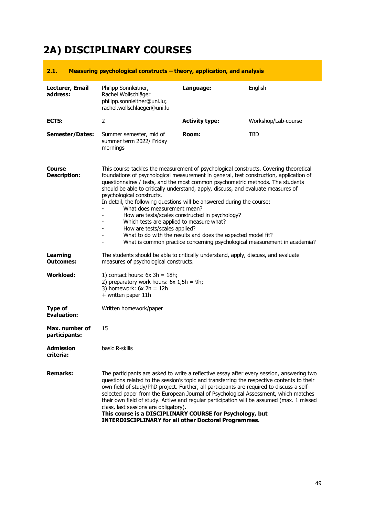# **2A) DISCIPLINARY COURSES**

| 2.1.                                 | Measuring psychological constructs – theory, application, and analysis                                                                                                                                                                                                                                                                                                                                                                                                                                                                                                                                                                                                                                                                                                    |                       |                     |
|--------------------------------------|---------------------------------------------------------------------------------------------------------------------------------------------------------------------------------------------------------------------------------------------------------------------------------------------------------------------------------------------------------------------------------------------------------------------------------------------------------------------------------------------------------------------------------------------------------------------------------------------------------------------------------------------------------------------------------------------------------------------------------------------------------------------------|-----------------------|---------------------|
| Lecturer, Email<br>address:          | Philipp Sonnleitner,<br>Rachel Wollschläger<br>philipp.sonnleitner@uni.lu;<br>rachel.wollschlaeger@uni.lu                                                                                                                                                                                                                                                                                                                                                                                                                                                                                                                                                                                                                                                                 | Language:             | English             |
| ECTS:                                | 2                                                                                                                                                                                                                                                                                                                                                                                                                                                                                                                                                                                                                                                                                                                                                                         | <b>Activity type:</b> | Workshop/Lab-course |
| <b>Semester/Dates:</b>               | Summer semester, mid of<br>summer term 2022/ Friday<br>mornings                                                                                                                                                                                                                                                                                                                                                                                                                                                                                                                                                                                                                                                                                                           | Room:                 | <b>TBD</b>          |
| Course<br><b>Description:</b>        | This course tackles the measurement of psychological constructs. Covering theoretical<br>foundations of psychological measurement in general, test construction, application of<br>questionnaires / tests, and the most common psychometric methods. The students<br>should be able to critically understand, apply, discuss, and evaluate measures of<br>psychological constructs.<br>In detail, the following questions will be answered during the course:<br>What does measurement mean?<br>How are tests/scales constructed in psychology?<br>Which tests are applied to measure what?<br>How are tests/scales applied?<br>What to do with the results and does the expected model fit?<br>What is common practice concerning psychological measurement in academia? |                       |                     |
| <b>Learning</b><br><b>Outcomes:</b>  | The students should be able to critically understand, apply, discuss, and evaluate<br>measures of psychological constructs.                                                                                                                                                                                                                                                                                                                                                                                                                                                                                                                                                                                                                                               |                       |                     |
| Workload:                            | 1) contact hours: $6x$ 3h = 18h;<br>2) preparatory work hours: $6x 1,5h = 9h$ ;<br>3) homework: $6x 2h = 12h$<br>+ written paper 11h                                                                                                                                                                                                                                                                                                                                                                                                                                                                                                                                                                                                                                      |                       |                     |
| <b>Type of</b><br><b>Evaluation:</b> | Written homework/paper                                                                                                                                                                                                                                                                                                                                                                                                                                                                                                                                                                                                                                                                                                                                                    |                       |                     |
| Max. number of<br>participants:      | 15                                                                                                                                                                                                                                                                                                                                                                                                                                                                                                                                                                                                                                                                                                                                                                        |                       |                     |
| <b>Admission</b><br>criteria:        | basic R-skills                                                                                                                                                                                                                                                                                                                                                                                                                                                                                                                                                                                                                                                                                                                                                            |                       |                     |
| <b>Remarks:</b>                      | The participants are asked to write a reflective essay after every session, answering two<br>questions related to the session's topic and transferring the respective contents to their<br>own field of study/PhD project. Further, all participants are required to discuss a self-<br>selected paper from the European Journal of Psychological Assessment, which matches<br>their own field of study. Active and regular participation will be assumed (max. 1 missed<br>class, last sessions are obligatory).<br>This course is a DISCIPLINARY COURSE for Psychology, but<br><b>INTERDISCIPLINARY for all other Doctoral Programmes.</b>                                                                                                                              |                       |                     |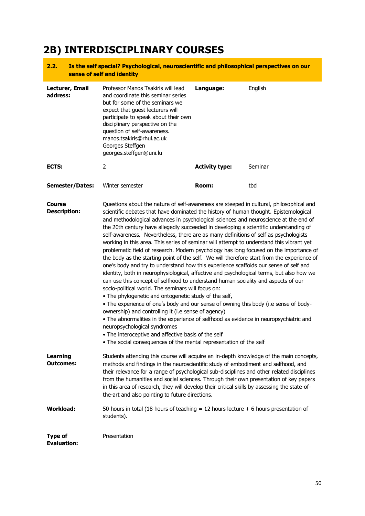# **2B) INTERDISCIPLINARY COURSES**

#### **2.2. Is the self special? Psychological, neuroscientific and philosophical perspectives on our sense of self and identity**

| Lecturer, Email<br>address:   | Professor Manos Tsakiris will lead<br>and coordinate this seminar series<br>but for some of the seminars we<br>expect that guest lecturers will<br>participate to speak about their own<br>disciplinary perspective on the<br>question of self-awareness.<br>manos.tsakiris@rhul.ac.uk<br>Georges Steffgen<br>georges.steffgen@uni.lu                                                                                                                                                                                                                                                                                                                                                                                                                                                                                                                                                                                                                                                                                                                                                                                                                                                                                                                                                                                                                                                                                                                                                                                                     | Language:             | English |
|-------------------------------|-------------------------------------------------------------------------------------------------------------------------------------------------------------------------------------------------------------------------------------------------------------------------------------------------------------------------------------------------------------------------------------------------------------------------------------------------------------------------------------------------------------------------------------------------------------------------------------------------------------------------------------------------------------------------------------------------------------------------------------------------------------------------------------------------------------------------------------------------------------------------------------------------------------------------------------------------------------------------------------------------------------------------------------------------------------------------------------------------------------------------------------------------------------------------------------------------------------------------------------------------------------------------------------------------------------------------------------------------------------------------------------------------------------------------------------------------------------------------------------------------------------------------------------------|-----------------------|---------|
| ECTS:                         | 2                                                                                                                                                                                                                                                                                                                                                                                                                                                                                                                                                                                                                                                                                                                                                                                                                                                                                                                                                                                                                                                                                                                                                                                                                                                                                                                                                                                                                                                                                                                                         | <b>Activity type:</b> | Seminar |
| Semester/Dates:               | Winter semester                                                                                                                                                                                                                                                                                                                                                                                                                                                                                                                                                                                                                                                                                                                                                                                                                                                                                                                                                                                                                                                                                                                                                                                                                                                                                                                                                                                                                                                                                                                           | Room:                 | tbd     |
| Course<br><b>Description:</b> | Questions about the nature of self-awareness are steeped in cultural, philosophical and<br>scientific debates that have dominated the history of human thought. Epistemological<br>and methodological advances in psychological sciences and neuroscience at the end of<br>the 20th century have allegedly succeeded in developing a scientific understanding of<br>self-awareness. Nevertheless, there are as many definitions of self as psychologists<br>working in this area. This series of seminar will attempt to understand this vibrant yet<br>problematic field of research. Modern psychology has long focused on the importance of<br>the body as the starting point of the self. We will therefore start from the experience of<br>one's body and try to understand how this experience scaffolds our sense of self and<br>identity, both in neurophysiological, affective and psychological terms, but also how we<br>can use this concept of selfhood to understand human sociality and aspects of our<br>socio-political world. The seminars will focus on:<br>• The phylogenetic and ontogenetic study of the self,<br>• The experience of one's body and our sense of owning this body (i.e sense of body-<br>ownership) and controlling it (i.e sense of agency)<br>. The abnormalities in the experience of selfhood as evidence in neuropsychiatric and<br>neuropsychological syndromes<br>. The interoceptive and affective basis of the self<br>• The social consequences of the mental representation of the self |                       |         |
| Learning<br><b>Outcomes:</b>  | Students attending this course will acquire an in-depth knowledge of the main concepts,<br>methods and findings in the neuroscientific study of embodiment and selfhood, and<br>their relevance for a range of psychological sub-disciplines and other related disciplines<br>from the humanities and social sciences. Through their own presentation of key papers<br>in this area of research, they will develop their critical skills by assessing the state-of-<br>the-art and also pointing to future directions.                                                                                                                                                                                                                                                                                                                                                                                                                                                                                                                                                                                                                                                                                                                                                                                                                                                                                                                                                                                                                    |                       |         |
| Workload:                     | 50 hours in total (18 hours of teaching $= 12$ hours lecture $+ 6$ hours presentation of<br>students).                                                                                                                                                                                                                                                                                                                                                                                                                                                                                                                                                                                                                                                                                                                                                                                                                                                                                                                                                                                                                                                                                                                                                                                                                                                                                                                                                                                                                                    |                       |         |

**Type of Evaluation:** Presentation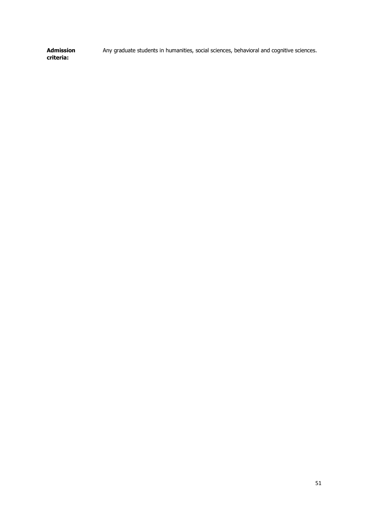**Admission criteria:** Any graduate students in humanities, social sciences, behavioral and cognitive sciences.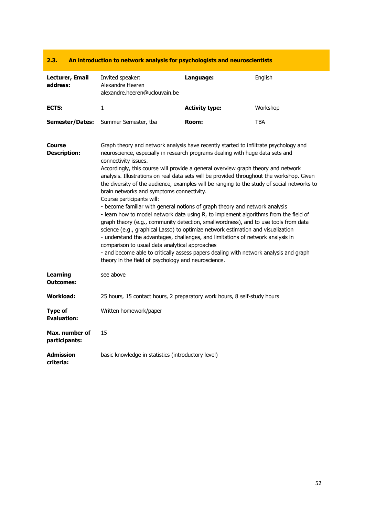### **2.3. An introduction to network analysis for psychologists and neuroscientists**

| Lecturer, Email<br>address:          | Invited speaker:<br>Alexandre Heeren<br>alexandre.heeren@uclouvain.be                                                                                                                                                                                                                                                                                                                                                                                                                                                                                                                                                                                                                                                                                                                                                                                                                                                                                                                                                                                                                                                                                                                          | Language:             | English    |
|--------------------------------------|------------------------------------------------------------------------------------------------------------------------------------------------------------------------------------------------------------------------------------------------------------------------------------------------------------------------------------------------------------------------------------------------------------------------------------------------------------------------------------------------------------------------------------------------------------------------------------------------------------------------------------------------------------------------------------------------------------------------------------------------------------------------------------------------------------------------------------------------------------------------------------------------------------------------------------------------------------------------------------------------------------------------------------------------------------------------------------------------------------------------------------------------------------------------------------------------|-----------------------|------------|
| ECTS:                                | 1                                                                                                                                                                                                                                                                                                                                                                                                                                                                                                                                                                                                                                                                                                                                                                                                                                                                                                                                                                                                                                                                                                                                                                                              | <b>Activity type:</b> | Workshop   |
| <b>Semester/Dates:</b>               | Summer Semester, tba                                                                                                                                                                                                                                                                                                                                                                                                                                                                                                                                                                                                                                                                                                                                                                                                                                                                                                                                                                                                                                                                                                                                                                           | Room:                 | <b>TBA</b> |
| Course<br><b>Description:</b>        | Graph theory and network analysis have recently started to infiltrate psychology and<br>neuroscience, especially in research programs dealing with huge data sets and<br>connectivity issues.<br>Accordingly, this course will provide a general overview graph theory and network<br>analysis. Illustrations on real data sets will be provided throughout the workshop. Given<br>the diversity of the audience, examples will be ranging to the study of social networks to<br>brain networks and symptoms connectivity.<br>Course participants will:<br>- become familiar with general notions of graph theory and network analysis<br>- learn how to model network data using R, to implement algorithms from the field of<br>graph theory (e.g., community detection, smallwordness), and to use tools from data<br>science (e.g., graphical Lasso) to optimize network estimation and visualization<br>- understand the advantages, challenges, and limitations of network analysis in<br>comparison to usual data analytical approaches<br>- and become able to critically assess papers dealing with network analysis and graph<br>theory in the field of psychology and neuroscience. |                       |            |
| <b>Learning</b><br><b>Outcomes:</b>  | see above                                                                                                                                                                                                                                                                                                                                                                                                                                                                                                                                                                                                                                                                                                                                                                                                                                                                                                                                                                                                                                                                                                                                                                                      |                       |            |
| <b>Workload:</b>                     | 25 hours, 15 contact hours, 2 preparatory work hours, 8 self-study hours                                                                                                                                                                                                                                                                                                                                                                                                                                                                                                                                                                                                                                                                                                                                                                                                                                                                                                                                                                                                                                                                                                                       |                       |            |
| <b>Type of</b><br><b>Evaluation:</b> | Written homework/paper                                                                                                                                                                                                                                                                                                                                                                                                                                                                                                                                                                                                                                                                                                                                                                                                                                                                                                                                                                                                                                                                                                                                                                         |                       |            |
| Max. number of<br>participants:      | 15                                                                                                                                                                                                                                                                                                                                                                                                                                                                                                                                                                                                                                                                                                                                                                                                                                                                                                                                                                                                                                                                                                                                                                                             |                       |            |
| <b>Admission</b><br>criteria:        | basic knowledge in statistics (introductory level)                                                                                                                                                                                                                                                                                                                                                                                                                                                                                                                                                                                                                                                                                                                                                                                                                                                                                                                                                                                                                                                                                                                                             |                       |            |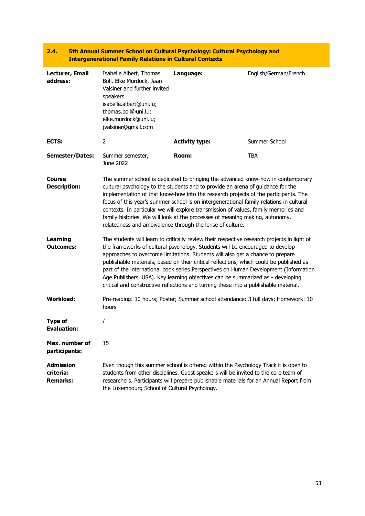|                                                  | <b>Intergenerational Family Relations in Cultural Contexts</b>                                                                                                                                                                                                                                                                                                                                                                                                                                                                                                                                                               | 2000 THE PUT OF SHIP IS AN ONE OF A SHIP OF A SHIP IS A SHIP OF A SHIP IS A SHIP OF A SHIP OF A SHIP OF A SHIP                                                                                                                                                                                                                                                                                                                                                                                                                                                                            |                       |
|--------------------------------------------------|------------------------------------------------------------------------------------------------------------------------------------------------------------------------------------------------------------------------------------------------------------------------------------------------------------------------------------------------------------------------------------------------------------------------------------------------------------------------------------------------------------------------------------------------------------------------------------------------------------------------------|-------------------------------------------------------------------------------------------------------------------------------------------------------------------------------------------------------------------------------------------------------------------------------------------------------------------------------------------------------------------------------------------------------------------------------------------------------------------------------------------------------------------------------------------------------------------------------------------|-----------------------|
| Lecturer, Email<br>address:                      | Isabelle Albert, Thomas<br>Boll, Elke Murdock, Jaan<br>Valsiner and further invited<br>speakers<br>isabelle.albert@uni.lu;<br>thomas.boll@uni.lu;<br>elke.murdock@uni.lu;<br>jvalsiner@gmail.com                                                                                                                                                                                                                                                                                                                                                                                                                             | Language:                                                                                                                                                                                                                                                                                                                                                                                                                                                                                                                                                                                 | English/German/French |
| ECTS:                                            | 2                                                                                                                                                                                                                                                                                                                                                                                                                                                                                                                                                                                                                            | <b>Activity type:</b>                                                                                                                                                                                                                                                                                                                                                                                                                                                                                                                                                                     | Summer School         |
| <b>Semester/Dates:</b>                           | Summer semester,<br>June 2022                                                                                                                                                                                                                                                                                                                                                                                                                                                                                                                                                                                                | Room:                                                                                                                                                                                                                                                                                                                                                                                                                                                                                                                                                                                     | <b>TBA</b>            |
| <b>Course</b><br><b>Description:</b>             |                                                                                                                                                                                                                                                                                                                                                                                                                                                                                                                                                                                                                              | The summer school is dedicated to bringing the advanced know-how in contemporary<br>cultural psychology to the students and to provide an arena of guidance for the<br>implementation of that know-how into the research projects of the participants. The<br>focus of this year's summer school is on intergenerational family relations in cultural<br>contexts. In particular we will explore transmission of values, family memories and<br>family histories. We will look at the processes of meaning making, autonomy,<br>relatedness and ambivalence through the lense of culture. |                       |
| <b>Learning</b><br><b>Outcomes:</b>              | The students will learn to critically review their respective research projects in light of<br>the frameworks of cultural psychology. Students will be encouraged to develop<br>approaches to overcome limitations. Students will also get a chance to prepare<br>publishable materials, based on their critical reflections, which could be published as<br>part of the international book series Perspectives on Human Development (Information<br>Age Publishers, USA). Key learning objectives can be summarized as - developing<br>critical and constructive reflections and turning these into a publishable material. |                                                                                                                                                                                                                                                                                                                                                                                                                                                                                                                                                                                           |                       |
| <b>Workload:</b>                                 | hours                                                                                                                                                                                                                                                                                                                                                                                                                                                                                                                                                                                                                        | Pre-reading: 10 hours; Poster; Summer school attendance: 3 full days; Homework: 10                                                                                                                                                                                                                                                                                                                                                                                                                                                                                                        |                       |
| <b>Type of</b><br>Evaluation:                    |                                                                                                                                                                                                                                                                                                                                                                                                                                                                                                                                                                                                                              |                                                                                                                                                                                                                                                                                                                                                                                                                                                                                                                                                                                           |                       |
| Max. number of<br>participants:                  | 15                                                                                                                                                                                                                                                                                                                                                                                                                                                                                                                                                                                                                           |                                                                                                                                                                                                                                                                                                                                                                                                                                                                                                                                                                                           |                       |
| <b>Admission</b><br>criteria:<br><b>Remarks:</b> | the Luxembourg School of Cultural Psychology.                                                                                                                                                                                                                                                                                                                                                                                                                                                                                                                                                                                | Even though this summer school is offered within the Psychology Track it is open to<br>students from other disciplines. Guest speakers will be invited to the core team of<br>researchers. Participants will prepare publishable materials for an Annual Report from                                                                                                                                                                                                                                                                                                                      |                       |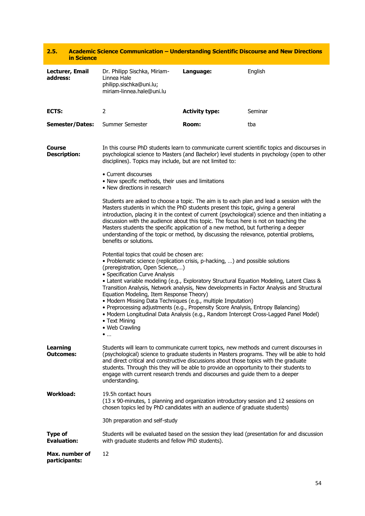| 2.5.                                 | in Science             | <b>Academic Science Communication - Understanding Scientific Discourse and New Directions</b>                                                                                                                                                                                                                                                                                                                                                                                                                                                                                                                                                                                                                                          |                                                                                                                                                                                                                                                                                                                                                                                                                                                                                                                                                          |                                                                                                                                                                                         |  |
|--------------------------------------|------------------------|----------------------------------------------------------------------------------------------------------------------------------------------------------------------------------------------------------------------------------------------------------------------------------------------------------------------------------------------------------------------------------------------------------------------------------------------------------------------------------------------------------------------------------------------------------------------------------------------------------------------------------------------------------------------------------------------------------------------------------------|----------------------------------------------------------------------------------------------------------------------------------------------------------------------------------------------------------------------------------------------------------------------------------------------------------------------------------------------------------------------------------------------------------------------------------------------------------------------------------------------------------------------------------------------------------|-----------------------------------------------------------------------------------------------------------------------------------------------------------------------------------------|--|
| address:                             | Lecturer, Email        | Dr. Philipp Sischka, Miriam-<br>Linnea Hale<br>philipp.sischka@uni.lu;<br>miriam-linnea.hale@uni.lu                                                                                                                                                                                                                                                                                                                                                                                                                                                                                                                                                                                                                                    | Language:                                                                                                                                                                                                                                                                                                                                                                                                                                                                                                                                                | English                                                                                                                                                                                 |  |
| ECTS:                                |                        | $\overline{2}$                                                                                                                                                                                                                                                                                                                                                                                                                                                                                                                                                                                                                                                                                                                         | <b>Activity type:</b>                                                                                                                                                                                                                                                                                                                                                                                                                                                                                                                                    | Seminar                                                                                                                                                                                 |  |
|                                      | <b>Semester/Dates:</b> | Summer Semester                                                                                                                                                                                                                                                                                                                                                                                                                                                                                                                                                                                                                                                                                                                        | Room:                                                                                                                                                                                                                                                                                                                                                                                                                                                                                                                                                    | tba                                                                                                                                                                                     |  |
| <b>Course</b><br><b>Description:</b> |                        |                                                                                                                                                                                                                                                                                                                                                                                                                                                                                                                                                                                                                                                                                                                                        | In this course PhD students learn to communicate current scientific topics and discourses in<br>psychological science to Masters (and Bachelor) level students in psychology (open to other<br>disciplines). Topics may include, but are not limited to:                                                                                                                                                                                                                                                                                                 |                                                                                                                                                                                         |  |
|                                      |                        | • Current discourses<br>• New specific methods, their uses and limitations<br>• New directions in research                                                                                                                                                                                                                                                                                                                                                                                                                                                                                                                                                                                                                             |                                                                                                                                                                                                                                                                                                                                                                                                                                                                                                                                                          |                                                                                                                                                                                         |  |
|                                      |                        | benefits or solutions.                                                                                                                                                                                                                                                                                                                                                                                                                                                                                                                                                                                                                                                                                                                 | Students are asked to choose a topic. The aim is to each plan and lead a session with the<br>Masters students in which the PhD students present this topic, giving a general<br>introduction, placing it in the context of current (psychological) science and then initiating a<br>discussion with the audience about this topic. The focus here is not on teaching the<br>Masters students the specific application of a new method, but furthering a deeper<br>understanding of the topic or method, by discussing the relevance, potential problems, |                                                                                                                                                                                         |  |
|                                      |                        | Potential topics that could be chosen are:<br>· Problematic science (replication crisis, p-hacking, ) and possible solutions<br>(preregistration, Open Science,)<br>• Specification Curve Analysis<br>• Latent variable modeling (e.g., Exploratory Structural Equation Modeling, Latent Class &<br>Transition Analysis, Network analysis, New developments in Factor Analysis and Structural<br>Equation Modeling, Item Response Theory)<br>• Modern Missing Data Techniques (e.g., multiple Imputation)<br>• Preprocessing adjustments (e.g., Propensity Score Analysis, Entropy Balancing)<br>• Modern Longitudinal Data Analysis (e.g., Random Intercept Cross-Lagged Panel Model)<br>• Text Mining<br>• Web Crawling<br>$\bullet$ |                                                                                                                                                                                                                                                                                                                                                                                                                                                                                                                                                          |                                                                                                                                                                                         |  |
| <b>Learning</b><br><b>Outcomes:</b>  |                        | and direct critical and constructive discussions about those topics with the graduate<br>students. Through this they will be able to provide an opportunity to their students to<br>engage with current research trends and discourses and guide them to a deeper<br>understanding.                                                                                                                                                                                                                                                                                                                                                                                                                                                    |                                                                                                                                                                                                                                                                                                                                                                                                                                                                                                                                                          | Students will learn to communicate current topics, new methods and current discourses in<br>(psychological) science to graduate students in Masters programs. They will be able to hold |  |
| <b>Workload:</b>                     |                        | 19.5h contact hours<br>(13 x 90-minutes, 1 planning and organization introductory session and 12 sessions on<br>chosen topics led by PhD candidates with an audience of graduate students)                                                                                                                                                                                                                                                                                                                                                                                                                                                                                                                                             |                                                                                                                                                                                                                                                                                                                                                                                                                                                                                                                                                          |                                                                                                                                                                                         |  |
|                                      |                        | 30h preparation and self-study                                                                                                                                                                                                                                                                                                                                                                                                                                                                                                                                                                                                                                                                                                         |                                                                                                                                                                                                                                                                                                                                                                                                                                                                                                                                                          |                                                                                                                                                                                         |  |
| <b>Type of</b><br><b>Evaluation:</b> |                        | with graduate students and fellow PhD students).                                                                                                                                                                                                                                                                                                                                                                                                                                                                                                                                                                                                                                                                                       |                                                                                                                                                                                                                                                                                                                                                                                                                                                                                                                                                          | Students will be evaluated based on the session they lead (presentation for and discussion                                                                                              |  |
| participants:                        | Max. number of         | 12                                                                                                                                                                                                                                                                                                                                                                                                                                                                                                                                                                                                                                                                                                                                     |                                                                                                                                                                                                                                                                                                                                                                                                                                                                                                                                                          |                                                                                                                                                                                         |  |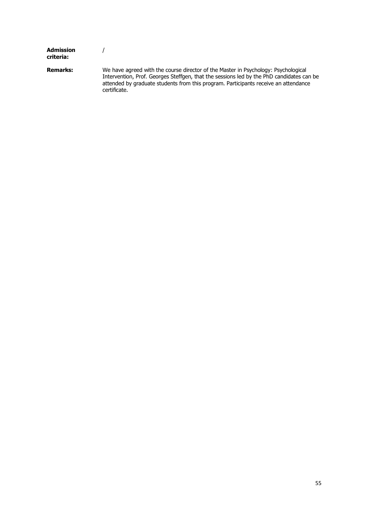| Admission<br>criteria: |                                                                                                                                                                                                                                                                                       |
|------------------------|---------------------------------------------------------------------------------------------------------------------------------------------------------------------------------------------------------------------------------------------------------------------------------------|
| <b>Remarks:</b>        | We have agreed with the course director of the Master in Psychology: Psychological<br>Intervention, Prof. Georges Steffgen, that the sessions led by the PhD candidates can be<br>attended by graduate students from this program. Participants receive an attendance<br>certificate. |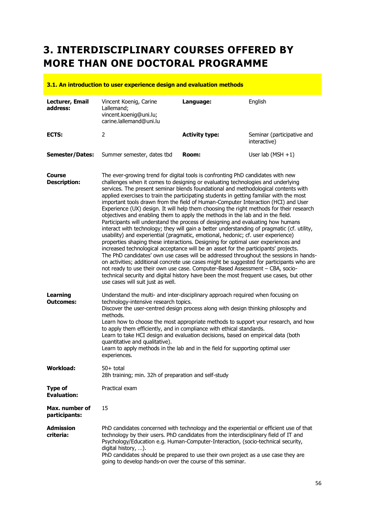# **3. INTERDISCIPLINARY COURSES OFFERED BY MORE THAN ONE DOCTORAL PROGRAMME**

#### **3.1. An introduction to user experience design and evaluation methods**

| Lecturer, Email<br>address:          | Vincent Koenig, Carine<br>Lallemand;<br>vincent.koenig@uni.lu;<br>carine.lallemand@uni.lu                                                                                                                                                                                                                                                                                                                                                                                                                                                                                                                                                                                                                                                                                                                                                                                                                                                                                                                                                                                                                                                                                                                                                                                                                                                                                                                                                                                   | Language:             | English                                    |
|--------------------------------------|-----------------------------------------------------------------------------------------------------------------------------------------------------------------------------------------------------------------------------------------------------------------------------------------------------------------------------------------------------------------------------------------------------------------------------------------------------------------------------------------------------------------------------------------------------------------------------------------------------------------------------------------------------------------------------------------------------------------------------------------------------------------------------------------------------------------------------------------------------------------------------------------------------------------------------------------------------------------------------------------------------------------------------------------------------------------------------------------------------------------------------------------------------------------------------------------------------------------------------------------------------------------------------------------------------------------------------------------------------------------------------------------------------------------------------------------------------------------------------|-----------------------|--------------------------------------------|
| <b>ECTS:</b>                         | 2                                                                                                                                                                                                                                                                                                                                                                                                                                                                                                                                                                                                                                                                                                                                                                                                                                                                                                                                                                                                                                                                                                                                                                                                                                                                                                                                                                                                                                                                           | <b>Activity type:</b> | Seminar (participative and<br>interactive) |
| <b>Semester/Dates:</b>               | Summer semester, dates tbd                                                                                                                                                                                                                                                                                                                                                                                                                                                                                                                                                                                                                                                                                                                                                                                                                                                                                                                                                                                                                                                                                                                                                                                                                                                                                                                                                                                                                                                  | Room:                 | User lab $(MSH + 1)$                       |
| Course<br><b>Description:</b>        | The ever-growing trend for digital tools is confronting PhD candidates with new<br>challenges when it comes to designing or evaluating technologies and underlying<br>services. The present seminar blends foundational and methodological contents with<br>applied exercises to train the participating students in getting familiar with the most<br>important tools drawn from the field of Human-Computer Interaction (HCI) and User<br>Experience (UX) design. It will help them choosing the right methods for their research<br>objectives and enabling them to apply the methods in the lab and in the field.<br>Participants will understand the process of designing and evaluating how humans<br>interact with technology; they will gain a better understanding of pragmatic (cf. utility,<br>usability) and experiential (pragmatic, emotional, hedonic; cf. user experience)<br>properties shaping these interactions. Designing for optimal user experiences and<br>increased technological acceptance will be an asset for the participants' projects.<br>The PhD candidates' own use cases will be addressed throughout the sessions in hands-<br>on activities; additional concrete use cases might be suggested for participants who are<br>not ready to use their own use case. Computer-Based Assessment - CBA, socio-<br>technical security and digital history have been the most frequent use cases, but other<br>use cases will suit just as well. |                       |                                            |
| Learning<br><b>Outcomes:</b>         | Understand the multi- and inter-disciplinary approach required when focusing on<br>technology-intensive research topics.<br>Discover the user-centred design process along with design thinking philosophy and<br>methods.<br>Learn how to choose the most appropriate methods to support your research, and how<br>to apply them efficiently, and in compliance with ethical standards.<br>Learn to take HCI design and evaluation decisions, based on empirical data (both<br>quantitative and qualitative).<br>Learn to apply methods in the lab and in the field for supporting optimal user<br>experiences.                                                                                                                                                                                                                                                                                                                                                                                                                                                                                                                                                                                                                                                                                                                                                                                                                                                            |                       |                                            |
| <b>Workload:</b>                     | $50+$ total<br>28h training; min. 32h of preparation and self-study                                                                                                                                                                                                                                                                                                                                                                                                                                                                                                                                                                                                                                                                                                                                                                                                                                                                                                                                                                                                                                                                                                                                                                                                                                                                                                                                                                                                         |                       |                                            |
| <b>Type of</b><br><b>Evaluation:</b> | Practical exam                                                                                                                                                                                                                                                                                                                                                                                                                                                                                                                                                                                                                                                                                                                                                                                                                                                                                                                                                                                                                                                                                                                                                                                                                                                                                                                                                                                                                                                              |                       |                                            |
| Max. number of<br>participants:      | 15                                                                                                                                                                                                                                                                                                                                                                                                                                                                                                                                                                                                                                                                                                                                                                                                                                                                                                                                                                                                                                                                                                                                                                                                                                                                                                                                                                                                                                                                          |                       |                                            |
| <b>Admission</b><br>criteria:        | PhD candidates concerned with technology and the experiential or efficient use of that<br>technology by their users. PhD candidates from the interdisciplinary field of IT and<br>Psychology/Education e.g. Human-Computer-Interaction, (socio-technical security,<br>digital history, ).<br>PhD candidates should be prepared to use their own project as a use case they are                                                                                                                                                                                                                                                                                                                                                                                                                                                                                                                                                                                                                                                                                                                                                                                                                                                                                                                                                                                                                                                                                              |                       |                                            |

going to develop hands-on over the course of this seminar.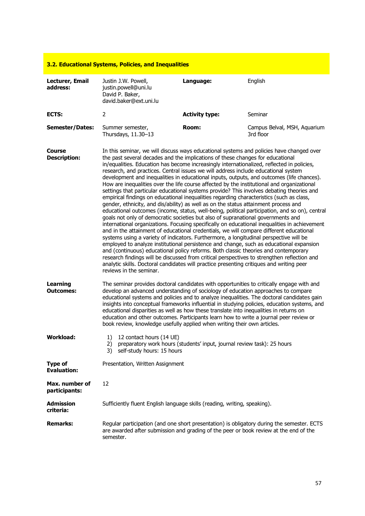|                                      | 3.2. Educational Systems, Policies, and Inequalities                                                                                                                                                                                                                                                                                                                                                                                                                                                                                                                                                                                                                                                                                                                                                                                                                                                                                                                                                                                                                                                                                                                                                                                                                                                                                                                                                                                                                                                                                                                                                                                                                                                                          |                                                                         |                                                                                                                                                                                            |
|--------------------------------------|-------------------------------------------------------------------------------------------------------------------------------------------------------------------------------------------------------------------------------------------------------------------------------------------------------------------------------------------------------------------------------------------------------------------------------------------------------------------------------------------------------------------------------------------------------------------------------------------------------------------------------------------------------------------------------------------------------------------------------------------------------------------------------------------------------------------------------------------------------------------------------------------------------------------------------------------------------------------------------------------------------------------------------------------------------------------------------------------------------------------------------------------------------------------------------------------------------------------------------------------------------------------------------------------------------------------------------------------------------------------------------------------------------------------------------------------------------------------------------------------------------------------------------------------------------------------------------------------------------------------------------------------------------------------------------------------------------------------------------|-------------------------------------------------------------------------|--------------------------------------------------------------------------------------------------------------------------------------------------------------------------------------------|
| Lecturer, Email<br>address:          | Justin J.W. Powell,<br>justin.powell@uni.lu<br>David P. Baker,<br>david.baker@ext.uni.lu                                                                                                                                                                                                                                                                                                                                                                                                                                                                                                                                                                                                                                                                                                                                                                                                                                                                                                                                                                                                                                                                                                                                                                                                                                                                                                                                                                                                                                                                                                                                                                                                                                      | Language:                                                               | English                                                                                                                                                                                    |
| <b>ECTS:</b>                         | 2                                                                                                                                                                                                                                                                                                                                                                                                                                                                                                                                                                                                                                                                                                                                                                                                                                                                                                                                                                                                                                                                                                                                                                                                                                                                                                                                                                                                                                                                                                                                                                                                                                                                                                                             | <b>Activity type:</b>                                                   | Seminar                                                                                                                                                                                    |
| <b>Semester/Dates:</b>               | Summer semester,<br>Thursdays, 11.30-13                                                                                                                                                                                                                                                                                                                                                                                                                                                                                                                                                                                                                                                                                                                                                                                                                                                                                                                                                                                                                                                                                                                                                                                                                                                                                                                                                                                                                                                                                                                                                                                                                                                                                       | Room:                                                                   | Campus Belval, MSH, Aquarium<br>3rd floor                                                                                                                                                  |
| <b>Course</b><br><b>Description:</b> | In this seminar, we will discuss ways educational systems and policies have changed over<br>the past several decades and the implications of these changes for educational<br>in/equalities. Education has become increasingly internationalized, reflected in policies,<br>research, and practices. Central issues we will address include educational system<br>development and inequalities in educational inputs, outputs, and outcomes (life chances).<br>How are inequalities over the life course affected by the institutional and organizational<br>settings that particular educational systems provide? This involves debating theories and<br>empirical findings on educational inequalities regarding characteristics (such as class,<br>gender, ethnicity, and dis/ability) as well as on the status attainment process and<br>educational outcomes (income, status, well-being, political participation, and so on), central<br>goals not only of democratic societies but also of supranational governments and<br>international organizations. Focusing specifically on educational inequalities in achievement<br>and in the attainment of educational credentials, we will compare different educational<br>systems using a variety of indicators. Furthermore, a longitudinal perspective will be<br>employed to analyze institutional persistence and change, such as educational expansion<br>and (continuous) educational policy reforms. Both classic theories and contemporary<br>research findings will be discussed from critical perspectives to strengthen reflection and<br>analytic skills. Doctoral candidates will practice presenting critiques and writing peer<br>reviews in the seminar. |                                                                         |                                                                                                                                                                                            |
| <b>Learning</b><br><b>Outcomes:</b>  | The seminar provides doctoral candidates with opportunities to critically engage with and<br>develop an advanced understanding of sociology of education approaches to compare<br>educational disparities as well as how these translate into inequalities in returns on<br>education and other outcomes. Participants learn how to write a journal peer review or<br>book review, knowledge usefully applied when writing their own articles.                                                                                                                                                                                                                                                                                                                                                                                                                                                                                                                                                                                                                                                                                                                                                                                                                                                                                                                                                                                                                                                                                                                                                                                                                                                                                |                                                                         | educational systems and policies and to analyze inequalities. The doctoral candidates gain<br>insights into conceptual frameworks influential in studying policies, education systems, and |
| <b>Workload:</b>                     | 12 contact hours (14 UE)<br>1)<br>2)<br>3)<br>self-study hours: 15 hours                                                                                                                                                                                                                                                                                                                                                                                                                                                                                                                                                                                                                                                                                                                                                                                                                                                                                                                                                                                                                                                                                                                                                                                                                                                                                                                                                                                                                                                                                                                                                                                                                                                      | preparatory work hours (students' input, journal review task): 25 hours |                                                                                                                                                                                            |
| <b>Type of</b><br><b>Evaluation:</b> | Presentation, Written Assignment                                                                                                                                                                                                                                                                                                                                                                                                                                                                                                                                                                                                                                                                                                                                                                                                                                                                                                                                                                                                                                                                                                                                                                                                                                                                                                                                                                                                                                                                                                                                                                                                                                                                                              |                                                                         |                                                                                                                                                                                            |
| Max. number of<br>participants:      | 12                                                                                                                                                                                                                                                                                                                                                                                                                                                                                                                                                                                                                                                                                                                                                                                                                                                                                                                                                                                                                                                                                                                                                                                                                                                                                                                                                                                                                                                                                                                                                                                                                                                                                                                            |                                                                         |                                                                                                                                                                                            |
| <b>Admission</b><br>criteria:        | Sufficiently fluent English language skills (reading, writing, speaking).                                                                                                                                                                                                                                                                                                                                                                                                                                                                                                                                                                                                                                                                                                                                                                                                                                                                                                                                                                                                                                                                                                                                                                                                                                                                                                                                                                                                                                                                                                                                                                                                                                                     |                                                                         |                                                                                                                                                                                            |
| <b>Remarks:</b>                      | are awarded after submission and grading of the peer or book review at the end of the<br>semester.                                                                                                                                                                                                                                                                                                                                                                                                                                                                                                                                                                                                                                                                                                                                                                                                                                                                                                                                                                                                                                                                                                                                                                                                                                                                                                                                                                                                                                                                                                                                                                                                                            |                                                                         | Regular participation (and one short presentation) is obligatory during the semester. ECTS                                                                                                 |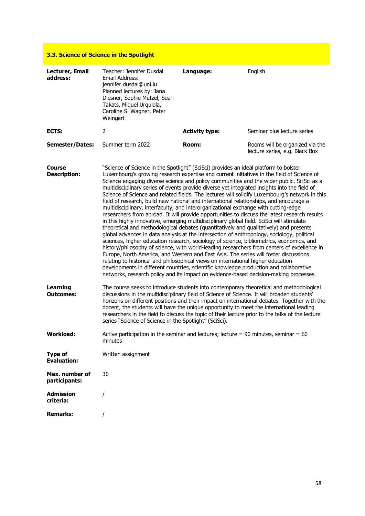| 3.3. Science of Science in the Spotlight |                                                                                                                                                                                                                                                                                                                                                                                                                                                                                                                                                                                                                                                                                                                                                                                                                                                                                                                                                                                                                                                                                                                                                                                                                                                                                                                                                                                                                                                                                                                                                                                                                    |                       |                                                                   |  |
|------------------------------------------|--------------------------------------------------------------------------------------------------------------------------------------------------------------------------------------------------------------------------------------------------------------------------------------------------------------------------------------------------------------------------------------------------------------------------------------------------------------------------------------------------------------------------------------------------------------------------------------------------------------------------------------------------------------------------------------------------------------------------------------------------------------------------------------------------------------------------------------------------------------------------------------------------------------------------------------------------------------------------------------------------------------------------------------------------------------------------------------------------------------------------------------------------------------------------------------------------------------------------------------------------------------------------------------------------------------------------------------------------------------------------------------------------------------------------------------------------------------------------------------------------------------------------------------------------------------------------------------------------------------------|-----------------------|-------------------------------------------------------------------|--|
| Lecturer, Email<br>address:              | Teacher: Jennifer Dusdal<br>Email Address:<br>jennifer.dusdal@uni.lu<br>Planned lectures by: Jana<br>Diesner, Sophie Mützel, Sean<br>Takats, Miquel Urquiola,<br>Caroline S. Wagner, Peter<br>Weingart                                                                                                                                                                                                                                                                                                                                                                                                                                                                                                                                                                                                                                                                                                                                                                                                                                                                                                                                                                                                                                                                                                                                                                                                                                                                                                                                                                                                             | Language:             | English                                                           |  |
| <b>ECTS:</b>                             | 2                                                                                                                                                                                                                                                                                                                                                                                                                                                                                                                                                                                                                                                                                                                                                                                                                                                                                                                                                                                                                                                                                                                                                                                                                                                                                                                                                                                                                                                                                                                                                                                                                  | <b>Activity type:</b> | Seminar plus lecture series                                       |  |
| <b>Semester/Dates:</b>                   | Summer term 2022                                                                                                                                                                                                                                                                                                                                                                                                                                                                                                                                                                                                                                                                                                                                                                                                                                                                                                                                                                                                                                                                                                                                                                                                                                                                                                                                                                                                                                                                                                                                                                                                   | Room:                 | Rooms will be organized via the<br>lecture series, e.g. Black Box |  |
| Course<br><b>Description:</b>            | "Science of Science in the Spotlight" (SciSci) provides an ideal platform to bolster<br>Luxembourg's growing research expertise and current initiatives in the field of Science of<br>Science engaging diverse science and policy communities and the wider public. SciSci as a<br>multidisciplinary series of events provide diverse yet integrated insights into the field of<br>Science of Science and related fields. The lectures will solidify Luxembourg's network in this<br>field of research, build new national and international relationships, and encourage a<br>multidisciplinary, interfaculty, and interorganizational exchange with cutting-edge<br>researchers from abroad. It will provide opportunities to discuss the latest research results<br>in this highly innovative, emerging multidisciplinary global field. SciSci will stimulate<br>theoretical and methodological debates (quantitatively and qualitatively) and presents<br>global advances in data analysis at the intersection of anthropology, sociology, political<br>sciences, higher education research, sociology of science, bibliometrics, economics, and<br>history/philosophy of science, with world-leading researchers from centers of excellence in<br>Europe, North America, and Western and East Asia. The series will foster discussions<br>relating to historical and philosophical views on international higher education<br>developments in different countries, scientific knowledge production and collaborative<br>networks, research policy and its impact on evidence-based decision-making processes. |                       |                                                                   |  |
| <b>Learning</b><br><b>Outcomes:</b>      | The course seeks to introduce students into contemporary theoretical and methodological<br>discussions in the multidisciplinary field of Science of Science. It will broaden students'<br>horizons on different positions and their impact on international debates. Together with the<br>docent, the students will have the unique opportunity to meet the international leading<br>researchers in the field to discuss the topic of their lecture prior to the talks of the lecture<br>series "Science of Science in the Spotlight" (SciSci).                                                                                                                                                                                                                                                                                                                                                                                                                                                                                                                                                                                                                                                                                                                                                                                                                                                                                                                                                                                                                                                                    |                       |                                                                   |  |
| <b>Workload:</b>                         | Active participation in the seminar and lectures; lecture = 90 minutes, seminar = 60<br>minutes                                                                                                                                                                                                                                                                                                                                                                                                                                                                                                                                                                                                                                                                                                                                                                                                                                                                                                                                                                                                                                                                                                                                                                                                                                                                                                                                                                                                                                                                                                                    |                       |                                                                   |  |
| <b>Type of</b><br><b>Evaluation:</b>     | Written assignment                                                                                                                                                                                                                                                                                                                                                                                                                                                                                                                                                                                                                                                                                                                                                                                                                                                                                                                                                                                                                                                                                                                                                                                                                                                                                                                                                                                                                                                                                                                                                                                                 |                       |                                                                   |  |
| Max. number of<br>participants:          | 30                                                                                                                                                                                                                                                                                                                                                                                                                                                                                                                                                                                                                                                                                                                                                                                                                                                                                                                                                                                                                                                                                                                                                                                                                                                                                                                                                                                                                                                                                                                                                                                                                 |                       |                                                                   |  |
| <b>Admission</b><br>criteria:            |                                                                                                                                                                                                                                                                                                                                                                                                                                                                                                                                                                                                                                                                                                                                                                                                                                                                                                                                                                                                                                                                                                                                                                                                                                                                                                                                                                                                                                                                                                                                                                                                                    |                       |                                                                   |  |
| <b>Remarks:</b>                          |                                                                                                                                                                                                                                                                                                                                                                                                                                                                                                                                                                                                                                                                                                                                                                                                                                                                                                                                                                                                                                                                                                                                                                                                                                                                                                                                                                                                                                                                                                                                                                                                                    |                       |                                                                   |  |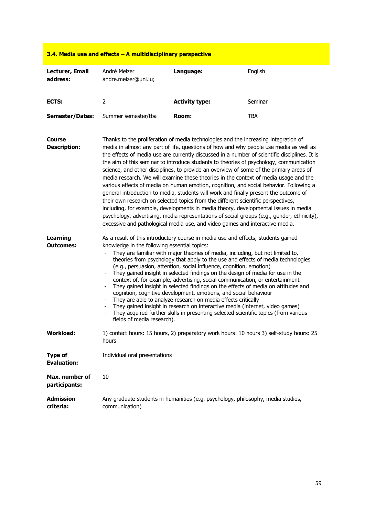| 3.4. Media use and effects $-$ A multidisciplinary perspective |                                                                                                                                                                                                                                                                                                                                                                                                                                                                                                                                                                                                                                                                                                                                                                                                                                                                                                                                                                                                                                                                                                        |                                                                                         |            |
|----------------------------------------------------------------|--------------------------------------------------------------------------------------------------------------------------------------------------------------------------------------------------------------------------------------------------------------------------------------------------------------------------------------------------------------------------------------------------------------------------------------------------------------------------------------------------------------------------------------------------------------------------------------------------------------------------------------------------------------------------------------------------------------------------------------------------------------------------------------------------------------------------------------------------------------------------------------------------------------------------------------------------------------------------------------------------------------------------------------------------------------------------------------------------------|-----------------------------------------------------------------------------------------|------------|
| Lecturer, Email<br>address:                                    | André Melzer<br>andre.melzer@uni.lu;                                                                                                                                                                                                                                                                                                                                                                                                                                                                                                                                                                                                                                                                                                                                                                                                                                                                                                                                                                                                                                                                   | Language:                                                                               | English    |
| ECTS:                                                          | $\overline{2}$                                                                                                                                                                                                                                                                                                                                                                                                                                                                                                                                                                                                                                                                                                                                                                                                                                                                                                                                                                                                                                                                                         | <b>Activity type:</b>                                                                   | Seminar    |
| <b>Semester/Dates:</b>                                         | Summer semester/tba                                                                                                                                                                                                                                                                                                                                                                                                                                                                                                                                                                                                                                                                                                                                                                                                                                                                                                                                                                                                                                                                                    | Room:                                                                                   | <b>TBA</b> |
| <b>Course</b><br><b>Description:</b>                           | Thanks to the proliferation of media technologies and the increasing integration of<br>media in almost any part of life, questions of how and why people use media as well as<br>the effects of media use are currently discussed in a number of scientific disciplines. It is<br>the aim of this seminar to introduce students to theories of psychology, communication<br>science, and other disciplines, to provide an overview of some of the primary areas of<br>media research. We will examine these theories in the context of media usage and the<br>various effects of media on human emotion, cognition, and social behavior. Following a<br>general introduction to media, students will work and finally present the outcome of<br>their own research on selected topics from the different scientific perspectives,<br>including, for example, developments in media theory, developmental issues in media<br>psychology, advertising, media representations of social groups (e.g., gender, ethnicity),<br>excessive and pathological media use, and video games and interactive media. |                                                                                         |            |
| <b>Learning</b><br>Outcomes:                                   | As a result of this introductory course in media use and effects, students gained<br>knowledge in the following essential topics:<br>They are familiar with major theories of media, including, but not limited to,<br>theories from psychology that apply to the use and effects of media technologies<br>(e.g., persuasion, attention, social influence, cognition, emotion)<br>They gained insight in selected findings on the design of media for use in the<br>context of, for example, advertising, social communication, or entertainment<br>They gained insight in selected findings on the effects of media on attitudes and<br>cognition, cognitive development, emotions, and social behaviour<br>They are able to analyze research on media effects critically<br>They gained insight in research on interactive media (internet, video games)<br>They acquired further skills in presenting selected scientific topics (from various<br>fields of media research).                                                                                                                        |                                                                                         |            |
| <b>Workload:</b>                                               | hours                                                                                                                                                                                                                                                                                                                                                                                                                                                                                                                                                                                                                                                                                                                                                                                                                                                                                                                                                                                                                                                                                                  | 1) contact hours: 15 hours, 2) preparatory work hours: 10 hours 3) self-study hours: 25 |            |
| <b>Type of</b><br><b>Evaluation:</b>                           | Individual oral presentations                                                                                                                                                                                                                                                                                                                                                                                                                                                                                                                                                                                                                                                                                                                                                                                                                                                                                                                                                                                                                                                                          |                                                                                         |            |
| Max. number of<br>participants:                                | 10                                                                                                                                                                                                                                                                                                                                                                                                                                                                                                                                                                                                                                                                                                                                                                                                                                                                                                                                                                                                                                                                                                     |                                                                                         |            |
| <b>Admission</b><br>criteria:                                  | communication)                                                                                                                                                                                                                                                                                                                                                                                                                                                                                                                                                                                                                                                                                                                                                                                                                                                                                                                                                                                                                                                                                         | Any graduate students in humanities (e.g. psychology, philosophy, media studies,        |            |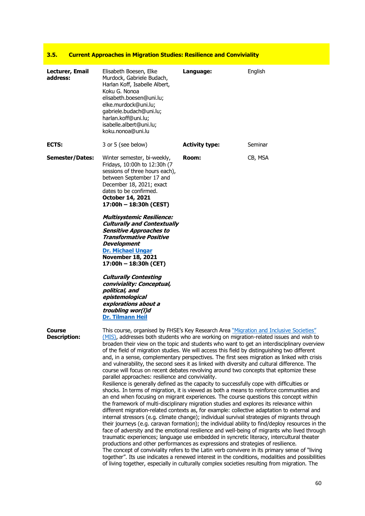#### **3.5. Current Approaches in Migration Studies: Resilience and Conviviality**

| Lecturer, Email<br>address:          | Elisabeth Boesen, Elke<br>Murdock, Gabriele Budach,<br>Harlan Koff, Isabelle Albert,<br>Koku G. Nonoa<br>elisabeth.boesen@uni.lu;<br>elke.murdock@uni.lu;<br>gabriele.budach@uni.lu;<br>harlan.koff@uni.lu;<br>isabelle.albert@uni.lu;<br>koku.nonoa@uni.lu                                                                                                                                                                                                                                                                                                                                                                                                                                                                                                                                                                                                                                                                                                                                                                                                                                                                                                                                                                                                                                                                                                                                                                                                                                                                                                                                 | Language:             | English                                                                                                                                                                                                                                                                                                                                                                                         |
|--------------------------------------|---------------------------------------------------------------------------------------------------------------------------------------------------------------------------------------------------------------------------------------------------------------------------------------------------------------------------------------------------------------------------------------------------------------------------------------------------------------------------------------------------------------------------------------------------------------------------------------------------------------------------------------------------------------------------------------------------------------------------------------------------------------------------------------------------------------------------------------------------------------------------------------------------------------------------------------------------------------------------------------------------------------------------------------------------------------------------------------------------------------------------------------------------------------------------------------------------------------------------------------------------------------------------------------------------------------------------------------------------------------------------------------------------------------------------------------------------------------------------------------------------------------------------------------------------------------------------------------------|-----------------------|-------------------------------------------------------------------------------------------------------------------------------------------------------------------------------------------------------------------------------------------------------------------------------------------------------------------------------------------------------------------------------------------------|
| ECTS:                                | 3 or 5 (see below)                                                                                                                                                                                                                                                                                                                                                                                                                                                                                                                                                                                                                                                                                                                                                                                                                                                                                                                                                                                                                                                                                                                                                                                                                                                                                                                                                                                                                                                                                                                                                                          | <b>Activity type:</b> | Seminar                                                                                                                                                                                                                                                                                                                                                                                         |
| <b>Semester/Dates:</b>               | Winter semester, bi-weekly,<br>Fridays, 10:00h to 12:30h (7<br>sessions of three hours each),<br>between September 17 and<br>December 18, 2021; exact<br>dates to be confirmed.<br>October 14, 2021<br>17:00h - 18:30h (CEST)<br><b>Multisystemic Resilience:</b><br><b>Culturally and Contextually</b><br><b>Sensitive Approaches to</b><br><b>Transformative Positive</b><br>Development<br><b>Dr. Michael Ungar</b><br><b>November 18, 2021</b><br>17:00h - 18:30h (CET)<br><b>Culturally Contesting</b><br>conviviality: Conceptual,<br>political, and<br>epistemological<br>explorations about a<br>troubling wor(I)d<br>Dr. Tilmann Heil                                                                                                                                                                                                                                                                                                                                                                                                                                                                                                                                                                                                                                                                                                                                                                                                                                                                                                                                              | Room:                 | CB, MSA                                                                                                                                                                                                                                                                                                                                                                                         |
| <b>Course</b><br><b>Description:</b> | This course, organised by FHSE's Key Research Area "Migration and Inclusive Societies"<br>(MIS), addresses both students who are working on migration-related issues and wish to<br>of the field of migration studies. We will access this field by distinguishing two different<br>and, in a sense, complementary perspectives. The first sees migration as linked with crisis<br>and vulnerability, the second sees it as linked with diversity and cultural difference. The<br>course will focus on recent debates revolving around two concepts that epitomize these<br>parallel approaches: resilience and conviviality.<br>Resilience is generally defined as the capacity to successfully cope with difficulties or<br>shocks. In terms of migration, it is viewed as both a means to reinforce communities and<br>an end when focusing on migrant experiences. The course questions this concept within<br>the framework of multi-disciplinary migration studies and explores its relevance within<br>different migration-related contexts as, for example: collective adaptation to external and<br>internal stressors (e.g. climate change); individual survival strategies of migrants through<br>traumatic experiences; language use embedded in syncretic literacy, intercultural theater<br>productions and other performances as expressions and strategies of resilience.<br>The concept of conviviality refers to the Latin verb convivere in its primary sense of "living<br>of living together, especially in culturally complex societies resulting from migration. The |                       | broaden their view on the topic and students who want to get an interdisciplinary overview<br>their journeys (e.g. caravan formation); the individual ability to find/deploy resources in the<br>face of adversity and the emotional resilience and well-being of migrants who lived through<br>together". Its use indicates a renewed interest in the conditions, modalities and possibilities |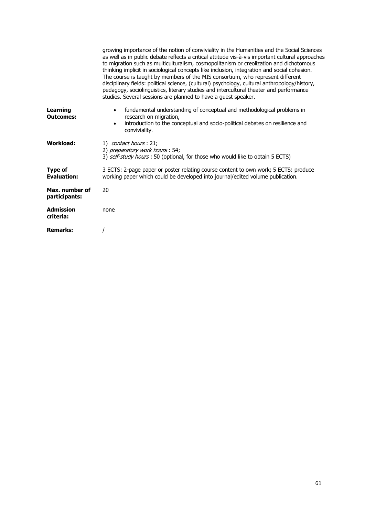|                                     | growing importance of the notion of conviviality in the Humanities and the Social Sciences<br>as well as in public debate reflects a critical attitude vis-à-vis important cultural approaches<br>to migration such as multiculturalism, cosmopolitanism or creolization and dichotomous<br>thinking implicit in sociological concepts like inclusion, integration and social cohesion.<br>The course is taught by members of the MIS consortium, who represent different<br>disciplinary fields: political science, (cultural) psychology, cultural anthropology/history,<br>pedagogy, sociolinguistics, literary studies and intercultural theater and performance<br>studies. Several sessions are planned to have a guest speaker. |
|-------------------------------------|----------------------------------------------------------------------------------------------------------------------------------------------------------------------------------------------------------------------------------------------------------------------------------------------------------------------------------------------------------------------------------------------------------------------------------------------------------------------------------------------------------------------------------------------------------------------------------------------------------------------------------------------------------------------------------------------------------------------------------------|
| <b>Learning</b><br><b>Outcomes:</b> | fundamental understanding of conceptual and methodological problems in<br>$\bullet$<br>research on migration,<br>introduction to the conceptual and socio-political debates on resilience and<br>$\bullet$<br>conviviality.                                                                                                                                                                                                                                                                                                                                                                                                                                                                                                            |
| Workload:                           | 1) contact hours : 21;<br>2) preparatory work hours: 54;<br>3) self-study hours : 50 (optional, for those who would like to obtain 5 ECTS)                                                                                                                                                                                                                                                                                                                                                                                                                                                                                                                                                                                             |
| Type of<br><b>Evaluation:</b>       | 3 ECTS: 2-page paper or poster relating course content to own work; 5 ECTS: produce<br>working paper which could be developed into journal/edited volume publication.                                                                                                                                                                                                                                                                                                                                                                                                                                                                                                                                                                  |
| Max. number of<br>participants:     | 20                                                                                                                                                                                                                                                                                                                                                                                                                                                                                                                                                                                                                                                                                                                                     |
| <b>Admission</b><br>criteria:       | none                                                                                                                                                                                                                                                                                                                                                                                                                                                                                                                                                                                                                                                                                                                                   |
| <b>Remarks:</b>                     |                                                                                                                                                                                                                                                                                                                                                                                                                                                                                                                                                                                                                                                                                                                                        |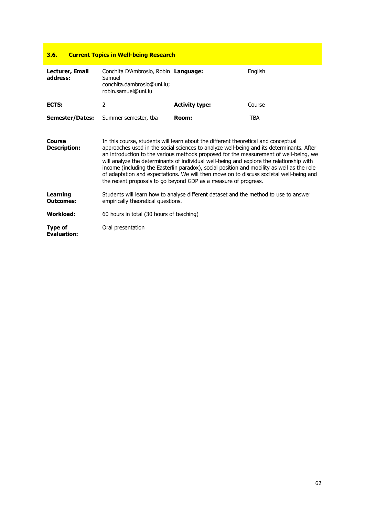### **3.6. Current Topics in Well-being Research**

| Lecturer, Email<br>address:         | Conchita D'Ambrosio, Robin Language:<br>Samuel<br>conchita.dambrosio@uni.lu;<br>robin.samuel@uni.lu                                                                                                                                                                                                                                                                                                                                                                                                                                                                                                                             |                       | English |
|-------------------------------------|---------------------------------------------------------------------------------------------------------------------------------------------------------------------------------------------------------------------------------------------------------------------------------------------------------------------------------------------------------------------------------------------------------------------------------------------------------------------------------------------------------------------------------------------------------------------------------------------------------------------------------|-----------------------|---------|
| ECTS:                               | 2                                                                                                                                                                                                                                                                                                                                                                                                                                                                                                                                                                                                                               | <b>Activity type:</b> | Course  |
| <b>Semester/Dates:</b>              | Summer semester, tba                                                                                                                                                                                                                                                                                                                                                                                                                                                                                                                                                                                                            | Room:                 | TBA     |
| Course<br><b>Description:</b>       | In this course, students will learn about the different theoretical and conceptual<br>approaches used in the social sciences to analyze well-being and its determinants. After<br>an introduction to the various methods proposed for the measurement of well-being, we<br>will analyze the determinants of individual well-being and explore the relationship with<br>income (including the Easterlin paradox), social position and mobility as well as the role<br>of adaptation and expectations. We will then move on to discuss societal well-being and<br>the recent proposals to go beyond GDP as a measure of progress. |                       |         |
| <b>Learning</b><br><b>Outcomes:</b> | Students will learn how to analyse different dataset and the method to use to answer<br>empirically theoretical questions.                                                                                                                                                                                                                                                                                                                                                                                                                                                                                                      |                       |         |
| <b>Workload:</b>                    | 60 hours in total (30 hours of teaching)                                                                                                                                                                                                                                                                                                                                                                                                                                                                                                                                                                                        |                       |         |
| Type of<br><b>Evaluation:</b>       | Oral presentation                                                                                                                                                                                                                                                                                                                                                                                                                                                                                                                                                                                                               |                       |         |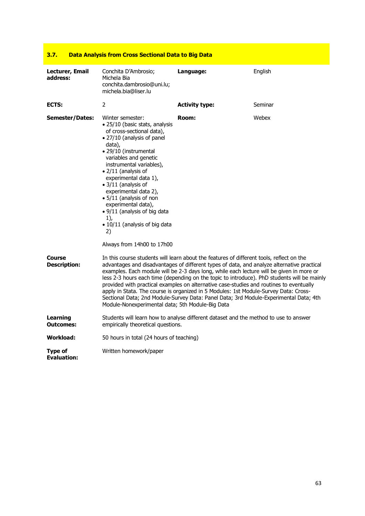| 3.7.                                 | <u>Data Analysis from Cross Sectional Data to Big Data</u>                                                                                                                                                                                                                                                                                                                                                                                                             |                       |                                                                                                                                                                                                                                                                                                                                                                                                                                                                                                                                                                   |
|--------------------------------------|------------------------------------------------------------------------------------------------------------------------------------------------------------------------------------------------------------------------------------------------------------------------------------------------------------------------------------------------------------------------------------------------------------------------------------------------------------------------|-----------------------|-------------------------------------------------------------------------------------------------------------------------------------------------------------------------------------------------------------------------------------------------------------------------------------------------------------------------------------------------------------------------------------------------------------------------------------------------------------------------------------------------------------------------------------------------------------------|
| Lecturer, Email<br>address:          | Conchita D'Ambrosio;<br>Michela Bia<br>conchita.dambrosio@uni.lu;<br>michela.bia@liser.lu                                                                                                                                                                                                                                                                                                                                                                              | Language:             | English                                                                                                                                                                                                                                                                                                                                                                                                                                                                                                                                                           |
| ECTS:                                | 2                                                                                                                                                                                                                                                                                                                                                                                                                                                                      | <b>Activity type:</b> | Seminar                                                                                                                                                                                                                                                                                                                                                                                                                                                                                                                                                           |
| <b>Semester/Dates:</b>               | Winter semester:<br>· 25/10 (basic stats, analysis<br>of cross-sectional data),<br>• 27/10 (analysis of panel<br>data),<br>· 29/10 (instrumental<br>variables and genetic<br>instrumental variables),<br>• 2/11 (analysis of<br>experimental data 1),<br>• 3/11 (analysis of<br>experimental data 2),<br>• 5/11 (analysis of non<br>experimental data),<br>• 9/11 (analysis of big data<br>$1$ ),<br>• 10/11 (analysis of big data<br>2)<br>Always from 14h00 to 17h00 | Room:                 | Webex                                                                                                                                                                                                                                                                                                                                                                                                                                                                                                                                                             |
| Course<br><b>Description:</b>        | In this course students will learn about the features of different tools, reflect on the<br>Module-Nonexperimental data; 5th Module-Big Data                                                                                                                                                                                                                                                                                                                           |                       | advantages and disadvantages of different types of data, and analyze alternative practical<br>examples. Each module will be 2-3 days long, while each lecture will be given in more or<br>less 2-3 hours each time (depending on the topic to introduce). PhD students will be mainly<br>provided with practical examples on alternative case-studies and routines to eventually<br>apply in Stata. The course is organized in 5 Modules: 1st Module-Survey Data: Cross-<br>Sectional Data; 2nd Module-Survey Data: Panel Data; 3rd Module-Experimental Data; 4th |
| Learning<br><b>Outcomes:</b>         | empirically theoretical questions.                                                                                                                                                                                                                                                                                                                                                                                                                                     |                       | Students will learn how to analyse different dataset and the method to use to answer                                                                                                                                                                                                                                                                                                                                                                                                                                                                              |
| Workload:                            | 50 hours in total (24 hours of teaching)                                                                                                                                                                                                                                                                                                                                                                                                                               |                       |                                                                                                                                                                                                                                                                                                                                                                                                                                                                                                                                                                   |
| <b>Type of</b><br><b>Evaluation:</b> | Written homework/paper                                                                                                                                                                                                                                                                                                                                                                                                                                                 |                       |                                                                                                                                                                                                                                                                                                                                                                                                                                                                                                                                                                   |

#### **3.7. Data Analysis from Cross Sectional Data to Big Data**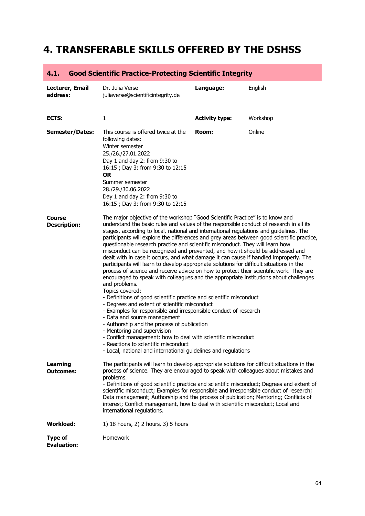## **4. TRANSFERABLE SKILLS OFFERED BY THE DSHSS**

| 4.1.                                 | Good Scientific Practice-Protecting Scientific Integrity                                                                                                                                                                                                                                                                                                                                                                                                                                                                                                                                                                                                                                                                                                                                                                                                                                                                                                                                                                                                                                                                                                                                                                                                                                                                                                                                                                              |                       |          |
|--------------------------------------|---------------------------------------------------------------------------------------------------------------------------------------------------------------------------------------------------------------------------------------------------------------------------------------------------------------------------------------------------------------------------------------------------------------------------------------------------------------------------------------------------------------------------------------------------------------------------------------------------------------------------------------------------------------------------------------------------------------------------------------------------------------------------------------------------------------------------------------------------------------------------------------------------------------------------------------------------------------------------------------------------------------------------------------------------------------------------------------------------------------------------------------------------------------------------------------------------------------------------------------------------------------------------------------------------------------------------------------------------------------------------------------------------------------------------------------|-----------------------|----------|
| Lecturer, Email<br>address:          | Dr. Julia Verse<br>juliaverse@scientificintegrity.de                                                                                                                                                                                                                                                                                                                                                                                                                                                                                                                                                                                                                                                                                                                                                                                                                                                                                                                                                                                                                                                                                                                                                                                                                                                                                                                                                                                  | Language:             | English  |
| ECTS:                                | 1                                                                                                                                                                                                                                                                                                                                                                                                                                                                                                                                                                                                                                                                                                                                                                                                                                                                                                                                                                                                                                                                                                                                                                                                                                                                                                                                                                                                                                     | <b>Activity type:</b> | Workshop |
| <b>Semester/Dates:</b>               | This course is offered twice at the<br>following dates:<br>Winter semester<br>25./26./27.01.2022<br>Day 1 and day 2: from 9:30 to<br>16:15 ; Day 3: from 9:30 to 12:15<br><b>OR</b><br>Summer semester<br>28./29./30.06.2022<br>Day 1 and day 2: from 9:30 to<br>16:15 ; Day 3: from 9:30 to 12:15                                                                                                                                                                                                                                                                                                                                                                                                                                                                                                                                                                                                                                                                                                                                                                                                                                                                                                                                                                                                                                                                                                                                    | Room:                 | Online   |
| <b>Course</b><br><b>Description:</b> | The major objective of the workshop "Good Scientific Practice" is to know and<br>understand the basic rules and values of the responsible conduct of research in all its<br>stages, according to local, national and international regulations and guidelines. The<br>participants will explore the differences and grey areas between good scientific practice,<br>questionable research practice and scientific misconduct. They will learn how<br>misconduct can be recognized and prevented, and how it should be addressed and<br>dealt with in case it occurs, and what damage it can cause if handled improperly. The<br>participants will learn to develop appropriate solutions for difficult situations in the<br>process of science and receive advice on how to protect their scientific work. They are<br>encouraged to speak with colleagues and the appropriate institutions about challenges<br>and problems.<br>Topics covered:<br>- Definitions of good scientific practice and scientific misconduct<br>- Degrees and extent of scientific misconduct<br>- Examples for responsible and irresponsible conduct of research<br>- Data and source management<br>- Authorship and the process of publication<br>- Mentoring and supervision<br>- Conflict management: how to deal with scientific misconduct<br>- Reactions to scientific misconduct<br>- Local, national and international guidelines and regulations |                       |          |
| <b>Learning</b><br><b>Outcomes:</b>  | The participants will learn to develop appropriate solutions for difficult situations in the<br>process of science. They are encouraged to speak with colleagues about mistakes and<br>problems.<br>- Definitions of good scientific practice and scientific misconduct; Degrees and extent of<br>scientific misconduct; Examples for responsible and irresponsible conduct of research;<br>Data management; Authorship and the process of publication; Mentoring; Conflicts of<br>interest; Conflict management, how to deal with scientific misconduct; Local and<br>international regulations.                                                                                                                                                                                                                                                                                                                                                                                                                                                                                                                                                                                                                                                                                                                                                                                                                                     |                       |          |
| <b>Workload:</b>                     | 1) 18 hours, 2) 2 hours, 3) 5 hours                                                                                                                                                                                                                                                                                                                                                                                                                                                                                                                                                                                                                                                                                                                                                                                                                                                                                                                                                                                                                                                                                                                                                                                                                                                                                                                                                                                                   |                       |          |
| <b>Type of</b><br><b>Evaluation:</b> | Homework                                                                                                                                                                                                                                                                                                                                                                                                                                                                                                                                                                                                                                                                                                                                                                                                                                                                                                                                                                                                                                                                                                                                                                                                                                                                                                                                                                                                                              |                       |          |

#### **4.1. Good Scientific Practice-Protecting Scientific Integrity**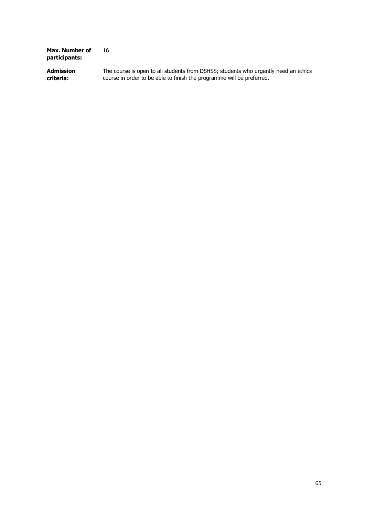| Max. Number of<br>participants: | 16                                                                                  |
|---------------------------------|-------------------------------------------------------------------------------------|
| <b>Admission</b>                | The course is open to all students from DSHSS; students who urgently need an ethics |
| criteria:                       | course in order to be able to finish the programme will be preferred.               |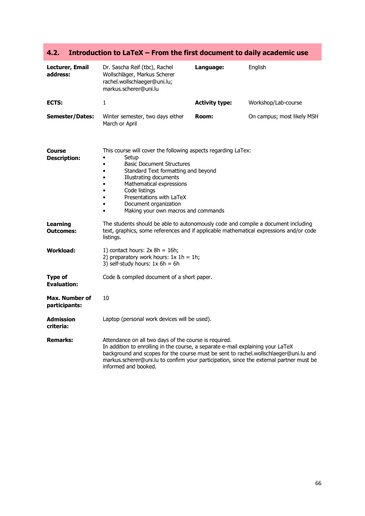| Lecturer, Email<br>address:          | Dr. Sascha Reif (tbc), Rachel<br>Wollschläger, Markus Scherer<br>rachel.wollschlaeger@uni.lu;<br>markus.scherer@uni.lu                                                                                                                                                                                                                                      | Language:             | English                    |
|--------------------------------------|-------------------------------------------------------------------------------------------------------------------------------------------------------------------------------------------------------------------------------------------------------------------------------------------------------------------------------------------------------------|-----------------------|----------------------------|
| ECTS:                                | $\mathbf{1}$                                                                                                                                                                                                                                                                                                                                                | <b>Activity type:</b> | Workshop/Lab-course        |
| <b>Semester/Dates:</b>               | Winter semester, two days either<br>March or April                                                                                                                                                                                                                                                                                                          | Room:                 | On campus; most likely MSH |
| Course<br><b>Description:</b>        | This course will cover the following aspects regarding LaTex:<br>Setup<br><b>Basic Document Structures</b><br>$\bullet$<br>Standard Text formatting and beyond<br>$\bullet$<br>Illustrating documents<br>Mathematical expressions<br>Code listings<br>Presentations with LaTeX<br>$\bullet$<br>Document organization<br>Making your own macros and commands |                       |                            |
| Learning<br><b>Outcomes:</b>         | The students should be able to autonomously code and compile a document including<br>text, graphics, some references and if applicable mathematical expressions and/or code<br>listings.                                                                                                                                                                    |                       |                            |
| Workload:                            | 1) contact hours: $2x 8h = 16h$ ;<br>2) preparatory work hours: $1x 1h = 1h$ ;<br>3) self-study hours: $1x 6h = 6h$                                                                                                                                                                                                                                         |                       |                            |
| <b>Type of</b><br><b>Evaluation:</b> | Code & compiled document of a short paper.                                                                                                                                                                                                                                                                                                                  |                       |                            |
| Max. Number of<br>participants:      | 10                                                                                                                                                                                                                                                                                                                                                          |                       |                            |
| Admission<br>criteria:               | Laptop (personal work devices will be used).                                                                                                                                                                                                                                                                                                                |                       |                            |
| <b>Remarks:</b>                      | Attendance on all two days of the course is required.<br>In addition to enrolling in the course, a separate e-mail explaining your LaTeX<br>background and scopes for the course must be sent to rachel.wollschlaeger@uni.lu and<br>markus.scherer@uni.lu to confirm your participation, since the external partner must be<br>informed and booked.         |                       |                            |

### **4.2. Introduction to LaTeX – From the first document to daily academic use**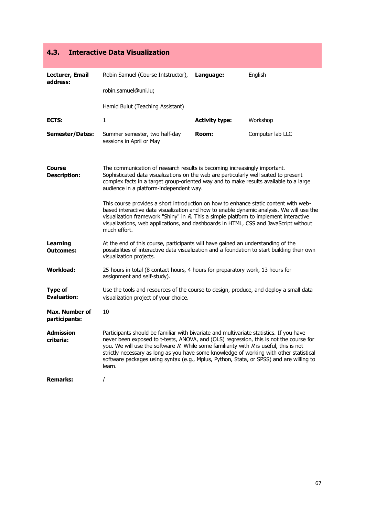| 4.3.<br><b>Interactive Data Visualization</b> |                                                                                                                                                                                                                                                                                                                                                                                                                                                                                 |                       |                  |
|-----------------------------------------------|---------------------------------------------------------------------------------------------------------------------------------------------------------------------------------------------------------------------------------------------------------------------------------------------------------------------------------------------------------------------------------------------------------------------------------------------------------------------------------|-----------------------|------------------|
| Lecturer, Email<br>address:                   | Robin Samuel (Course Intstructor),                                                                                                                                                                                                                                                                                                                                                                                                                                              | Language:             | English          |
|                                               | robin.samuel@uni.lu;                                                                                                                                                                                                                                                                                                                                                                                                                                                            |                       |                  |
|                                               | Hamid Bulut (Teaching Assistant)                                                                                                                                                                                                                                                                                                                                                                                                                                                |                       |                  |
| ECTS:                                         | $\mathbf{1}$                                                                                                                                                                                                                                                                                                                                                                                                                                                                    | <b>Activity type:</b> | Workshop         |
| <b>Semester/Dates:</b>                        | Summer semester, two half-day<br>sessions in April or May                                                                                                                                                                                                                                                                                                                                                                                                                       | Room:                 | Computer lab LLC |
| Course<br><b>Description:</b>                 | The communication of research results is becoming increasingly important.<br>Sophisticated data visualizations on the web are particularly well suited to present<br>complex facts in a target group-oriented way and to make results available to a large<br>audience in a platform-independent way.                                                                                                                                                                           |                       |                  |
|                                               | This course provides a short introduction on how to enhance static content with web-<br>based interactive data visualization and how to enable dynamic analysis. We will use the<br>visualization framework "Shiny" in $R$ . This a simple platform to implement interactive<br>visualizations, web applications, and dashboards in HTML, CSS and JavaScript without<br>much effort.                                                                                            |                       |                  |
| <b>Learning</b><br><b>Outcomes:</b>           | At the end of this course, participants will have gained an understanding of the<br>possibilities of interactive data visualization and a foundation to start building their own<br>visualization projects.                                                                                                                                                                                                                                                                     |                       |                  |
| <b>Workload:</b>                              | 25 hours in total (8 contact hours, 4 hours for preparatory work, 13 hours for<br>assignment and self-study).                                                                                                                                                                                                                                                                                                                                                                   |                       |                  |
| <b>Type of</b><br><b>Evaluation:</b>          | Use the tools and resources of the course to design, produce, and deploy a small data<br>visualization project of your choice.                                                                                                                                                                                                                                                                                                                                                  |                       |                  |
| Max. Number of<br>participants:               | 10                                                                                                                                                                                                                                                                                                                                                                                                                                                                              |                       |                  |
| <b>Admission</b><br>criteria:                 | Participants should be familiar with bivariate and multivariate statistics. If you have<br>never been exposed to t-tests, ANOVA, and (OLS) regression, this is not the course for<br>you. We will use the software $R$ . While some familiarity with $R$ is useful, this is not<br>strictly necessary as long as you have some knowledge of working with other statistical<br>software packages using syntax (e.g., Mplus, Python, Stata, or SPSS) and are willing to<br>learn. |                       |                  |
| <b>Remarks:</b>                               | $\prime$                                                                                                                                                                                                                                                                                                                                                                                                                                                                        |                       |                  |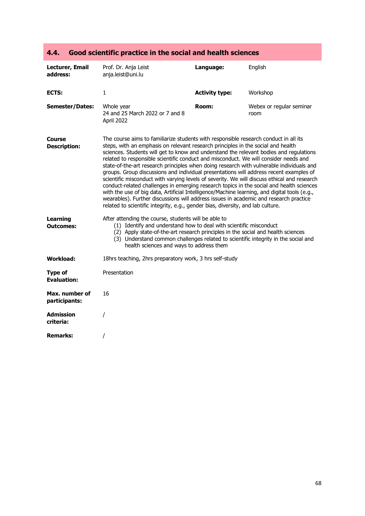| Lecturer, Email<br>address:          | Prof. Dr. Anja Leist<br>anja.leist@uni.lu                                                                                                                                                                                                                                                                                                                                                                                                                                                                                                                                                                                                                                                                                                                                                                                                                                                                                                                                                                               | Language:             | English                          |
|--------------------------------------|-------------------------------------------------------------------------------------------------------------------------------------------------------------------------------------------------------------------------------------------------------------------------------------------------------------------------------------------------------------------------------------------------------------------------------------------------------------------------------------------------------------------------------------------------------------------------------------------------------------------------------------------------------------------------------------------------------------------------------------------------------------------------------------------------------------------------------------------------------------------------------------------------------------------------------------------------------------------------------------------------------------------------|-----------------------|----------------------------------|
| <b>ECTS:</b>                         | 1                                                                                                                                                                                                                                                                                                                                                                                                                                                                                                                                                                                                                                                                                                                                                                                                                                                                                                                                                                                                                       | <b>Activity type:</b> | Workshop                         |
| <b>Semester/Dates:</b>               | Whole year<br>24 and 25 March 2022 or 7 and 8<br>April 2022                                                                                                                                                                                                                                                                                                                                                                                                                                                                                                                                                                                                                                                                                                                                                                                                                                                                                                                                                             | Room:                 | Webex or regular seminar<br>room |
| Course<br><b>Description:</b>        | The course aims to familiarize students with responsible research conduct in all its<br>steps, with an emphasis on relevant research principles in the social and health<br>sciences. Students will get to know and understand the relevant bodies and regulations<br>related to responsible scientific conduct and misconduct. We will consider needs and<br>state-of-the-art research principles when doing research with vulnerable individuals and<br>groups. Group discussions and individual presentations will address recent examples of<br>scientific misconduct with varying levels of severity. We will discuss ethical and research<br>conduct-related challenges in emerging research topics in the social and health sciences<br>with the use of big data, Artificial Intelligence/Machine learning, and digital tools (e.g.,<br>wearables). Further discussions will address issues in academic and research practice<br>related to scientific integrity, e.g., gender bias, diversity, and lab culture. |                       |                                  |
| <b>Learning</b><br><b>Outcomes:</b>  | After attending the course, students will be able to<br>(1) Identify and understand how to deal with scientific misconduct<br>(2) Apply state-of-the-art research principles in the social and health sciences<br>(3) Understand common challenges related to scientific integrity in the social and<br>health sciences and ways to address them                                                                                                                                                                                                                                                                                                                                                                                                                                                                                                                                                                                                                                                                        |                       |                                  |
| <b>Workload:</b>                     | 18hrs teaching, 2hrs preparatory work, 3 hrs self-study                                                                                                                                                                                                                                                                                                                                                                                                                                                                                                                                                                                                                                                                                                                                                                                                                                                                                                                                                                 |                       |                                  |
| <b>Type of</b><br><b>Evaluation:</b> | Presentation                                                                                                                                                                                                                                                                                                                                                                                                                                                                                                                                                                                                                                                                                                                                                                                                                                                                                                                                                                                                            |                       |                                  |
| Max. number of<br>participants:      | 16                                                                                                                                                                                                                                                                                                                                                                                                                                                                                                                                                                                                                                                                                                                                                                                                                                                                                                                                                                                                                      |                       |                                  |
| <b>Admission</b><br>criteria:        |                                                                                                                                                                                                                                                                                                                                                                                                                                                                                                                                                                                                                                                                                                                                                                                                                                                                                                                                                                                                                         |                       |                                  |
| <b>Remarks:</b>                      |                                                                                                                                                                                                                                                                                                                                                                                                                                                                                                                                                                                                                                                                                                                                                                                                                                                                                                                                                                                                                         |                       |                                  |

### **4.4. Good scientific practice in the social and health sciences**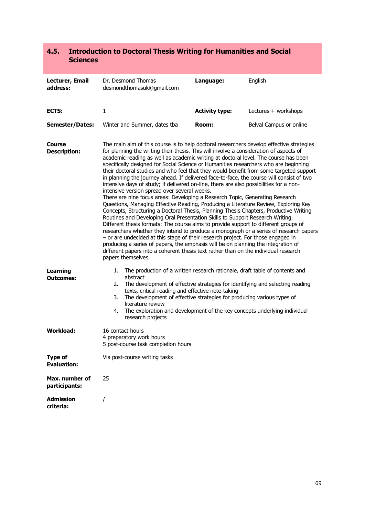### **4.5. Introduction to Doctoral Thesis Writing for Humanities and Social Sciences**

| Lecturer, Email<br>address:          | Dr. Desmond Thomas<br>desmondthomasuk@qmail.com                                                                                                                                                                                                                                                                                                                                                                                                                                                                                                                                                                                                                                                                                                                                                                                                                                                                                                                                                                                                                                                                                                                                                                                                                                                                                                                                                                                                                                                                          | Language:             | English                 |
|--------------------------------------|--------------------------------------------------------------------------------------------------------------------------------------------------------------------------------------------------------------------------------------------------------------------------------------------------------------------------------------------------------------------------------------------------------------------------------------------------------------------------------------------------------------------------------------------------------------------------------------------------------------------------------------------------------------------------------------------------------------------------------------------------------------------------------------------------------------------------------------------------------------------------------------------------------------------------------------------------------------------------------------------------------------------------------------------------------------------------------------------------------------------------------------------------------------------------------------------------------------------------------------------------------------------------------------------------------------------------------------------------------------------------------------------------------------------------------------------------------------------------------------------------------------------------|-----------------------|-------------------------|
| ECTS:                                | $\mathbf{1}$                                                                                                                                                                                                                                                                                                                                                                                                                                                                                                                                                                                                                                                                                                                                                                                                                                                                                                                                                                                                                                                                                                                                                                                                                                                                                                                                                                                                                                                                                                             | <b>Activity type:</b> | Lectures + workshops    |
| <b>Semester/Dates:</b>               | Winter and Summer, dates tba                                                                                                                                                                                                                                                                                                                                                                                                                                                                                                                                                                                                                                                                                                                                                                                                                                                                                                                                                                                                                                                                                                                                                                                                                                                                                                                                                                                                                                                                                             | Room:                 | Belval Campus or online |
| Course<br><b>Description:</b>        | The main aim of this course is to help doctoral researchers develop effective strategies<br>for planning the writing their thesis. This will involve a consideration of aspects of<br>academic reading as well as academic writing at doctoral level. The course has been<br>specifically designed for Social Science or Humanities researchers who are beginning<br>their doctoral studies and who feel that they would benefit from some targeted support<br>in planning the journey ahead. If delivered face-to-face, the course will consist of two<br>intensive days of study; if delivered on-line, there are also possibilities for a non-<br>intensive version spread over several weeks.<br>There are nine focus areas: Developing a Research Topic, Generating Research<br>Questions, Managing Effective Reading, Producing a Literature Review, Exploring Key<br>Concepts, Structuring a Doctoral Thesis, Planning Thesis Chapters, Productive Writing<br>Routines and Developing Oral Presentation Skills to Support Research Writing.<br>Different thesis formats: The course aims to provide support to different groups of<br>researchers whether they intend to produce a monograph or a series of research papers<br>- or are undecided at this stage of their research project. For those engaged in<br>producing a series of papers, the emphasis will be on planning the integration of<br>different papers into a coherent thesis text rather than on the individual research<br>papers themselves. |                       |                         |
| <b>Learning</b><br><b>Outcomes:</b>  | 1. The production of a written research rationale, draft table of contents and<br>abstract<br>The development of effective strategies for identifying and selecting reading<br>2.<br>texts, critical reading and effective note-taking<br>The development of effective strategies for producing various types of<br>3.<br>literature review<br>The exploration and development of the key concepts underlying individual<br>4.<br>research projects                                                                                                                                                                                                                                                                                                                                                                                                                                                                                                                                                                                                                                                                                                                                                                                                                                                                                                                                                                                                                                                                      |                       |                         |
| <b>Workload:</b>                     | 16 contact hours<br>4 preparatory work hours<br>5 post-course task completion hours                                                                                                                                                                                                                                                                                                                                                                                                                                                                                                                                                                                                                                                                                                                                                                                                                                                                                                                                                                                                                                                                                                                                                                                                                                                                                                                                                                                                                                      |                       |                         |
| <b>Type of</b><br><b>Evaluation:</b> | Via post-course writing tasks                                                                                                                                                                                                                                                                                                                                                                                                                                                                                                                                                                                                                                                                                                                                                                                                                                                                                                                                                                                                                                                                                                                                                                                                                                                                                                                                                                                                                                                                                            |                       |                         |
| Max. number of<br>participants:      | 25                                                                                                                                                                                                                                                                                                                                                                                                                                                                                                                                                                                                                                                                                                                                                                                                                                                                                                                                                                                                                                                                                                                                                                                                                                                                                                                                                                                                                                                                                                                       |                       |                         |
| <b>Admission</b><br>criteria:        | $\prime$                                                                                                                                                                                                                                                                                                                                                                                                                                                                                                                                                                                                                                                                                                                                                                                                                                                                                                                                                                                                                                                                                                                                                                                                                                                                                                                                                                                                                                                                                                                 |                       |                         |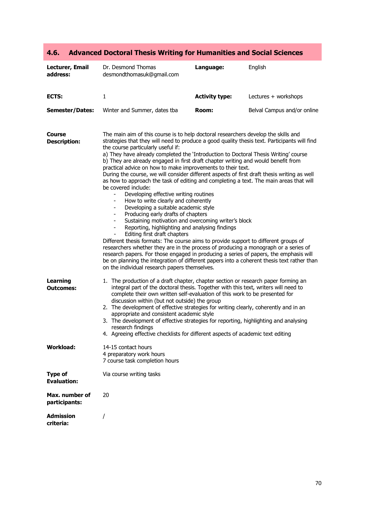| Lecturer, Email<br>address:          | Dr. Desmond Thomas<br>desmondthomasuk@gmail.com                                                                                                                                                                                                                                                                                                                                                                                                                                                                                                                                                                                                                                                                                                                                                                                                                                                                                                                                                                                                                                                                                                                                                                                                                                                                                                                                                                                              | Language:             | English                     |
|--------------------------------------|----------------------------------------------------------------------------------------------------------------------------------------------------------------------------------------------------------------------------------------------------------------------------------------------------------------------------------------------------------------------------------------------------------------------------------------------------------------------------------------------------------------------------------------------------------------------------------------------------------------------------------------------------------------------------------------------------------------------------------------------------------------------------------------------------------------------------------------------------------------------------------------------------------------------------------------------------------------------------------------------------------------------------------------------------------------------------------------------------------------------------------------------------------------------------------------------------------------------------------------------------------------------------------------------------------------------------------------------------------------------------------------------------------------------------------------------|-----------------------|-----------------------------|
| ECTS:                                | $\mathbf{1}$                                                                                                                                                                                                                                                                                                                                                                                                                                                                                                                                                                                                                                                                                                                                                                                                                                                                                                                                                                                                                                                                                                                                                                                                                                                                                                                                                                                                                                 | <b>Activity type:</b> | Lectures + workshops        |
| <b>Semester/Dates:</b>               | Winter and Summer, dates tba                                                                                                                                                                                                                                                                                                                                                                                                                                                                                                                                                                                                                                                                                                                                                                                                                                                                                                                                                                                                                                                                                                                                                                                                                                                                                                                                                                                                                 | Room:                 | Belval Campus and/or online |
| Course<br><b>Description:</b>        | The main aim of this course is to help doctoral researchers develop the skills and<br>strategies that they will need to produce a good quality thesis text. Participants will find<br>the course particularly useful if:<br>a) They have already completed the 'Introduction to Doctoral Thesis Writing' course<br>b) They are already engaged in first draft chapter writing and would benefit from<br>practical advice on how to make improvements to their text.<br>During the course, we will consider different aspects of first draft thesis writing as well<br>as how to approach the task of editing and completing a text. The main areas that will<br>be covered include:<br>Developing effective writing routines<br>How to write clearly and coherently<br>Developing a suitable academic style<br>Producing early drafts of chapters<br>$\overline{\phantom{a}}$<br>Sustaining motivation and overcoming writer's block<br>Reporting, highlighting and analysing findings<br>Editing first draft chapters<br>Different thesis formats: The course aims to provide support to different groups of<br>researchers whether they are in the process of producing a monograph or a series of<br>research papers. For those engaged in producing a series of papers, the emphasis will<br>be on planning the integration of different papers into a coherent thesis text rather than<br>on the individual research papers themselves. |                       |                             |
| <b>Learning</b><br><b>Outcomes:</b>  | 1. The production of a draft chapter, chapter section or research paper forming an<br>integral part of the doctoral thesis. Together with this text, writers will need to<br>complete their own written self-evaluation of this work to be presented for<br>discussion within (but not outside) the group<br>2. The development of effective strategies for writing clearly, coherently and in an<br>appropriate and consistent academic style<br>3. The development of effective strategies for reporting, highlighting and analysing<br>research findings<br>4. Agreeing effective checklists for different aspects of academic text editing                                                                                                                                                                                                                                                                                                                                                                                                                                                                                                                                                                                                                                                                                                                                                                                               |                       |                             |
| <b>Workload:</b>                     | 14-15 contact hours<br>4 preparatory work hours<br>7 course task completion hours                                                                                                                                                                                                                                                                                                                                                                                                                                                                                                                                                                                                                                                                                                                                                                                                                                                                                                                                                                                                                                                                                                                                                                                                                                                                                                                                                            |                       |                             |
| <b>Type of</b><br><b>Evaluation:</b> | Via course writing tasks                                                                                                                                                                                                                                                                                                                                                                                                                                                                                                                                                                                                                                                                                                                                                                                                                                                                                                                                                                                                                                                                                                                                                                                                                                                                                                                                                                                                                     |                       |                             |
| Max. number of<br>participants:      | 20                                                                                                                                                                                                                                                                                                                                                                                                                                                                                                                                                                                                                                                                                                                                                                                                                                                                                                                                                                                                                                                                                                                                                                                                                                                                                                                                                                                                                                           |                       |                             |
| <b>Admission</b><br>criteria:        |                                                                                                                                                                                                                                                                                                                                                                                                                                                                                                                                                                                                                                                                                                                                                                                                                                                                                                                                                                                                                                                                                                                                                                                                                                                                                                                                                                                                                                              |                       |                             |

### **4.6. Advanced Doctoral Thesis Writing for Humanities and Social Sciences**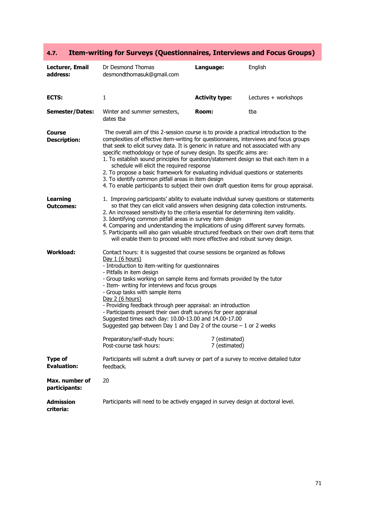### **4.7. Item-writing for Surveys (Questionnaires, Interviews and Focus Groups)**

| Lecturer, Email<br>address:          | Dr Desmond Thomas<br>desmondthomasuk@gmail.com                                                                                                                                                                                                                                                                                                                                                                                                                                                                                                                                                                                                                                                                                  | Language:             | English              |
|--------------------------------------|---------------------------------------------------------------------------------------------------------------------------------------------------------------------------------------------------------------------------------------------------------------------------------------------------------------------------------------------------------------------------------------------------------------------------------------------------------------------------------------------------------------------------------------------------------------------------------------------------------------------------------------------------------------------------------------------------------------------------------|-----------------------|----------------------|
| ECTS:                                | $\mathbf{1}$                                                                                                                                                                                                                                                                                                                                                                                                                                                                                                                                                                                                                                                                                                                    | <b>Activity type:</b> | Lectures + workshops |
| <b>Semester/Dates:</b>               | Winter and summer semesters,<br>dates tba                                                                                                                                                                                                                                                                                                                                                                                                                                                                                                                                                                                                                                                                                       | Room:                 | tba                  |
| <b>Course</b><br><b>Description:</b> | The overall aim of this 2-session course is to provide a practical introduction to the<br>complexities of effective item-writing for questionnaires, interviews and focus groups<br>that seek to elicit survey data. It is generic in nature and not associated with any<br>specific methodology or type of survey design. Its specific aims are:<br>1. To establish sound principles for question/statement design so that each item in a<br>schedule will elicit the required response<br>2. To propose a basic framework for evaluating individual questions or statements<br>3. To identify common pitfall areas in item design<br>4. To enable participants to subject their own draft question items for group appraisal. |                       |                      |
| <b>Learning</b><br><b>Outcomes:</b>  | 1. Improving participants' ability to evaluate individual survey questions or statements<br>so that they can elicit valid answers when designing data collection instruments.<br>2. An increased sensitivity to the criteria essential for determining item validity.<br>3. Identifying common pitfall areas in survey item design<br>4. Comparing and understanding the implications of using different survey formats.<br>5. Participants will also gain valuable structured feedback on their own draft items that<br>will enable them to proceed with more effective and robust survey design.                                                                                                                              |                       |                      |
| Workload:                            | Contact hours: it is suggested that course sessions be organized as follows<br>Day 1 (6 hours)<br>- Introduction to item-writing for questionnaires<br>- Pitfalls in item design<br>- Group tasks working on sample items and formats provided by the tutor<br>- Item- writing for interviews and focus groups<br>- Group tasks with sample items<br>Day 2 (6 hours)<br>- Providing feedback through peer appraisal: an introduction<br>- Participants present their own draft surveys for peer appraisal<br>Suggested times each day: 10.00-13.00 and 14.00-17.00<br>Suggested gap between Day 1 and Day 2 of the course $-1$ or 2 weeks                                                                                       |                       |                      |
|                                      | Preparatory/self-study hours: 7 (estimated)<br>Post-course task hours:                                                                                                                                                                                                                                                                                                                                                                                                                                                                                                                                                                                                                                                          | 7 (estimated)         |                      |
| <b>Type of</b><br><b>Evaluation:</b> | Participants will submit a draft survey or part of a survey to receive detailed tutor<br>feedback.                                                                                                                                                                                                                                                                                                                                                                                                                                                                                                                                                                                                                              |                       |                      |
| Max. number of<br>participants:      | 20                                                                                                                                                                                                                                                                                                                                                                                                                                                                                                                                                                                                                                                                                                                              |                       |                      |
| <b>Admission</b><br>criteria:        | Participants will need to be actively engaged in survey design at doctoral level.                                                                                                                                                                                                                                                                                                                                                                                                                                                                                                                                                                                                                                               |                       |                      |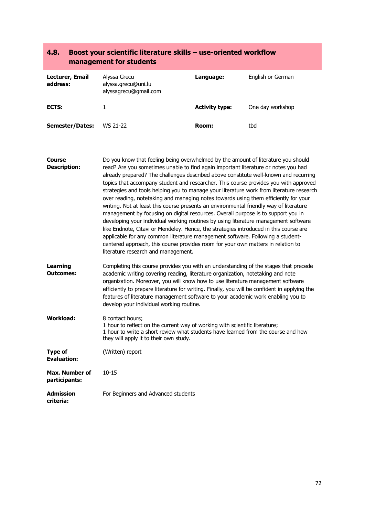|                                        | management for students                                                                                                                                                                                                                                                                                                                                                                                                                                                                                                                                                                                                                                                                                                                                                                                                                                                                                                                                                                                                                                                                                                |                       |                   |
|----------------------------------------|------------------------------------------------------------------------------------------------------------------------------------------------------------------------------------------------------------------------------------------------------------------------------------------------------------------------------------------------------------------------------------------------------------------------------------------------------------------------------------------------------------------------------------------------------------------------------------------------------------------------------------------------------------------------------------------------------------------------------------------------------------------------------------------------------------------------------------------------------------------------------------------------------------------------------------------------------------------------------------------------------------------------------------------------------------------------------------------------------------------------|-----------------------|-------------------|
| Lecturer, Email<br>address:            | Alyssa Grecu<br>alyssa.grecu@uni.lu<br>alyssagrecu@gmail.com                                                                                                                                                                                                                                                                                                                                                                                                                                                                                                                                                                                                                                                                                                                                                                                                                                                                                                                                                                                                                                                           | Language:             | English or German |
| ECTS:                                  | 1                                                                                                                                                                                                                                                                                                                                                                                                                                                                                                                                                                                                                                                                                                                                                                                                                                                                                                                                                                                                                                                                                                                      | <b>Activity type:</b> | One day workshop  |
| Semester/Dates:                        | WS 21-22                                                                                                                                                                                                                                                                                                                                                                                                                                                                                                                                                                                                                                                                                                                                                                                                                                                                                                                                                                                                                                                                                                               | Room:                 | tbd               |
| <b>Course</b><br><b>Description:</b>   | Do you know that feeling being overwhelmed by the amount of literature you should<br>read? Are you sometimes unable to find again important literature or notes you had<br>already prepared? The challenges described above constitute well-known and recurring<br>topics that accompany student and researcher. This course provides you with approved<br>strategies and tools helping you to manage your literature work from literature research<br>over reading, notetaking and managing notes towards using them efficiently for your<br>writing. Not at least this course presents an environmental friendly way of literature<br>management by focusing on digital resources. Overall purpose is to support you in<br>developing your individual working routines by using literature management software<br>like Endnote, Citavi or Mendeley. Hence, the strategies introduced in this course are<br>applicable for any common literature management software. Following a student-<br>centered approach, this course provides room for your own matters in relation to<br>literature research and management. |                       |                   |
| <b>Learning</b><br>Outcomes:           | Completing this course provides you with an understanding of the stages that precede<br>academic writing covering reading, literature organization, notetaking and note<br>organization. Moreover, you will know how to use literature management software<br>efficiently to prepare literature for writing. Finally, you will be confident in applying the<br>features of literature management software to your academic work enabling you to<br>develop your individual working routine.                                                                                                                                                                                                                                                                                                                                                                                                                                                                                                                                                                                                                            |                       |                   |
| <b>Workload:</b>                       | 8 contact hours;<br>1 hour to reflect on the current way of working with scientific literature;<br>1 hour to write a short review what students have learned from the course and how<br>they will apply it to their own study.                                                                                                                                                                                                                                                                                                                                                                                                                                                                                                                                                                                                                                                                                                                                                                                                                                                                                         |                       |                   |
| <b>Type of</b><br><b>Evaluation:</b>   | (Written) report                                                                                                                                                                                                                                                                                                                                                                                                                                                                                                                                                                                                                                                                                                                                                                                                                                                                                                                                                                                                                                                                                                       |                       |                   |
| <b>Max. Number of</b><br>participants: | $10 - 15$                                                                                                                                                                                                                                                                                                                                                                                                                                                                                                                                                                                                                                                                                                                                                                                                                                                                                                                                                                                                                                                                                                              |                       |                   |
| <b>Admission</b><br>criteria:          | For Beginners and Advanced students                                                                                                                                                                                                                                                                                                                                                                                                                                                                                                                                                                                                                                                                                                                                                                                                                                                                                                                                                                                                                                                                                    |                       |                   |